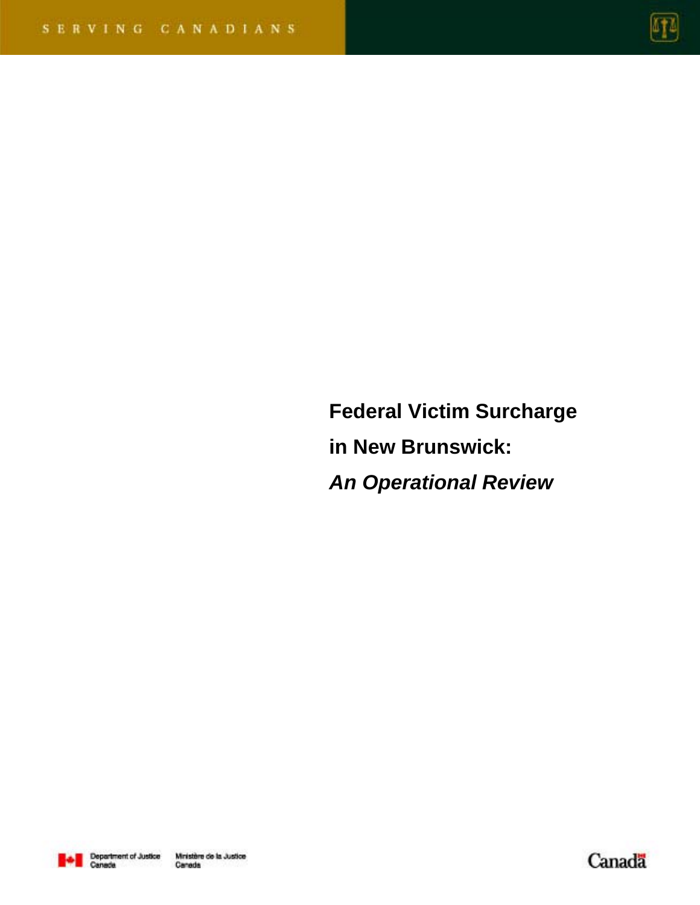

**Federal Victim Surcharge in New Brunswick:**  *An Operational Review* 



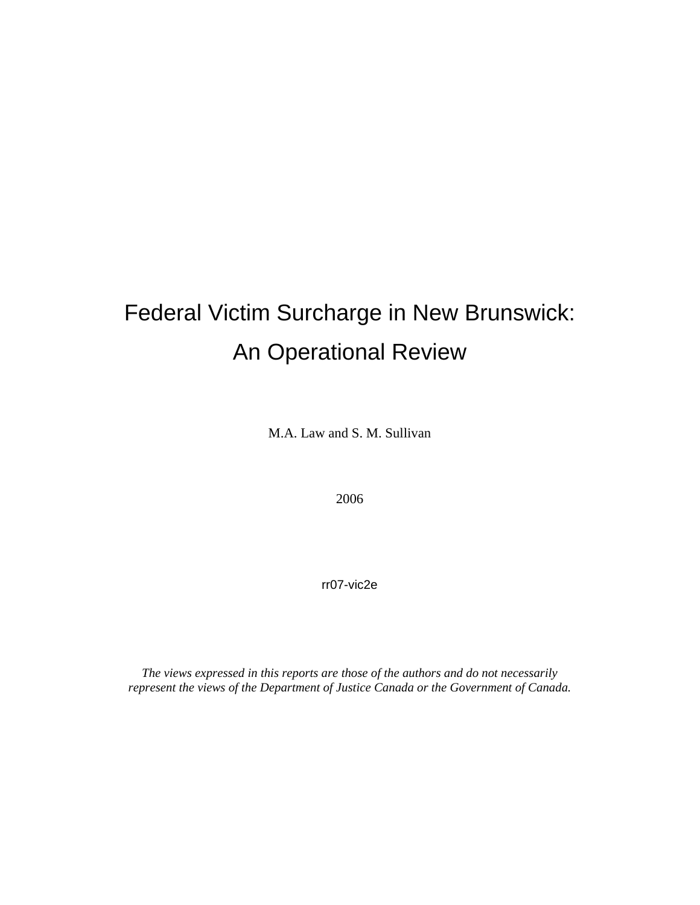# Federal Victim Surcharge in New Brunswick: An Operational Review

M.A. Law and S. M. Sullivan

2006

rr07-vic2e

*The views expressed in this reports are those of the authors and do not necessarily represent the views of the Department of Justice Canada or the Government of Canada.*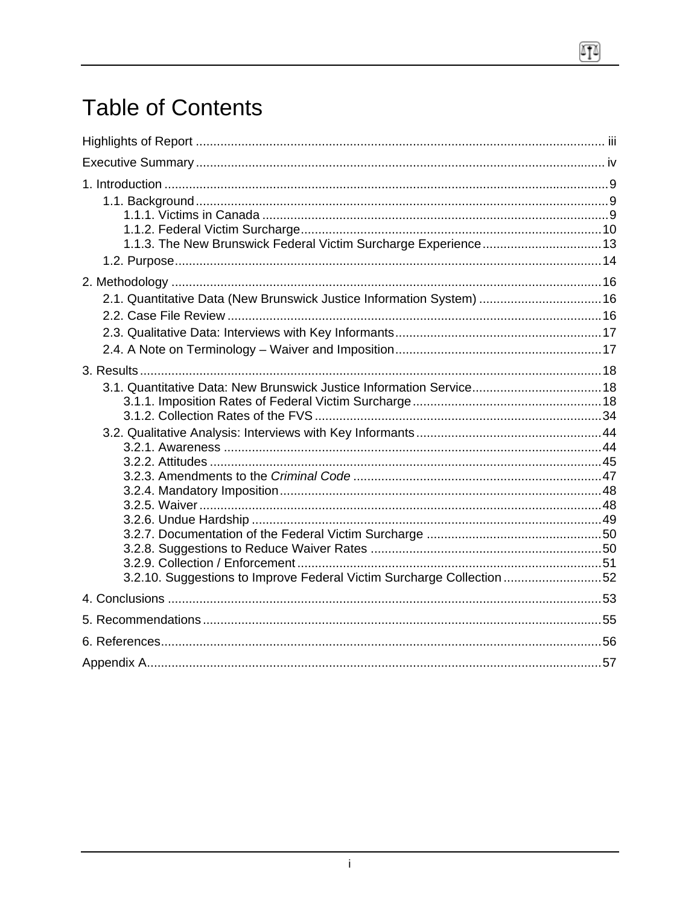# **Table of Contents**

| 1.1.3. The New Brunswick Federal Victim Surcharge Experience 13       |  |
|-----------------------------------------------------------------------|--|
|                                                                       |  |
|                                                                       |  |
| 2.1. Quantitative Data (New Brunswick Justice Information System)  16 |  |
|                                                                       |  |
|                                                                       |  |
|                                                                       |  |
| 3.1. Quantitative Data: New Brunswick Justice Information Service 18  |  |
|                                                                       |  |
|                                                                       |  |
|                                                                       |  |
|                                                                       |  |
|                                                                       |  |
|                                                                       |  |
|                                                                       |  |
|                                                                       |  |
|                                                                       |  |
| 3.2.10. Suggestions to Improve Federal Victim Surcharge Collection 52 |  |
|                                                                       |  |
|                                                                       |  |
|                                                                       |  |
|                                                                       |  |

 $\sqrt{10}$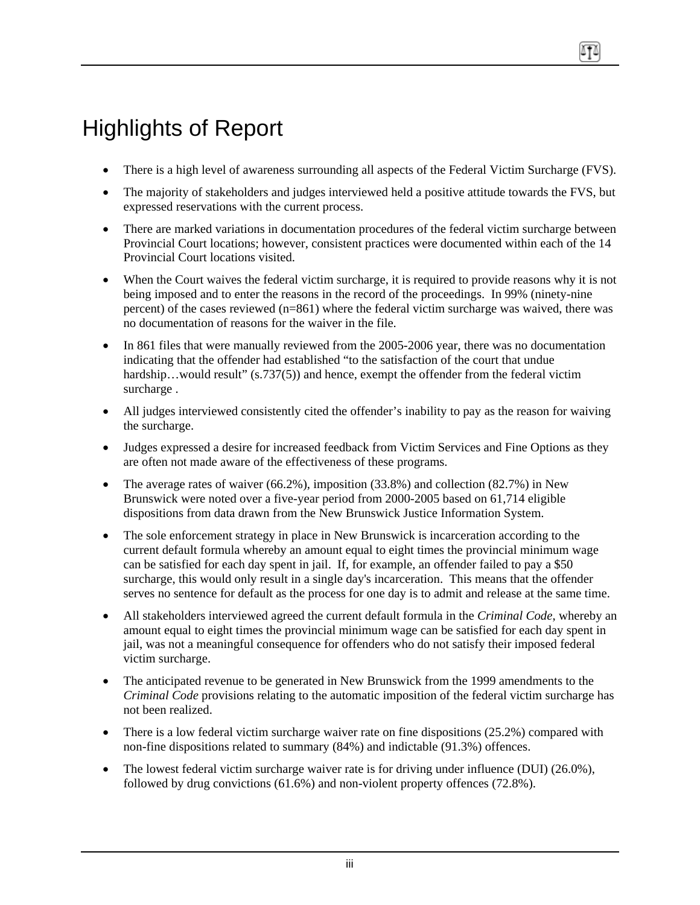# <span id="page-3-0"></span>Highlights of Report

- There is a high level of awareness surrounding all aspects of the Federal Victim Surcharge (FVS).
- The majority of stakeholders and judges interviewed held a positive attitude towards the FVS, but expressed reservations with the current process.
- There are marked variations in documentation procedures of the federal victim surcharge between Provincial Court locations; however, consistent practices were documented within each of the 14 Provincial Court locations visited.
- When the Court waives the federal victim surcharge, it is required to provide reasons why it is not being imposed and to enter the reasons in the record of the proceedings. In 99% (ninety-nine percent) of the cases reviewed (n=861) where the federal victim surcharge was waived, there was no documentation of reasons for the waiver in the file.
- In 861 files that were manually reviewed from the 2005-2006 year, there was no documentation indicating that the offender had established "to the satisfaction of the court that undue hardship...would result" (s.737(5)) and hence, exempt the offender from the federal victim surcharge .
- All judges interviewed consistently cited the offender's inability to pay as the reason for waiving the surcharge.
- Judges expressed a desire for increased feedback from Victim Services and Fine Options as they are often not made aware of the effectiveness of these programs.
- The average rates of waiver (66.2%), imposition (33.8%) and collection (82.7%) in New Brunswick were noted over a five-year period from 2000-2005 based on 61,714 eligible dispositions from data drawn from the New Brunswick Justice Information System.
- The sole enforcement strategy in place in New Brunswick is incarceration according to the current default formula whereby an amount equal to eight times the provincial minimum wage can be satisfied for each day spent in jail. If, for example, an offender failed to pay a \$50 surcharge, this would only result in a single day's incarceration. This means that the offender serves no sentence for default as the process for one day is to admit and release at the same time.
- All stakeholders interviewed agreed the current default formula in the *Criminal Code*, whereby an amount equal to eight times the provincial minimum wage can be satisfied for each day spent in jail, was not a meaningful consequence for offenders who do not satisfy their imposed federal victim surcharge.
- The anticipated revenue to be generated in New Brunswick from the 1999 amendments to the *Criminal Code* provisions relating to the automatic imposition of the federal victim surcharge has not been realized.
- There is a low federal victim surcharge waiver rate on fine dispositions  $(25.2%)$  compared with non-fine dispositions related to summary (84%) and indictable (91.3%) offences.
- The lowest federal victim surcharge waiver rate is for driving under influence (DUI) (26.0%), followed by drug convictions (61.6%) and non-violent property offences (72.8%).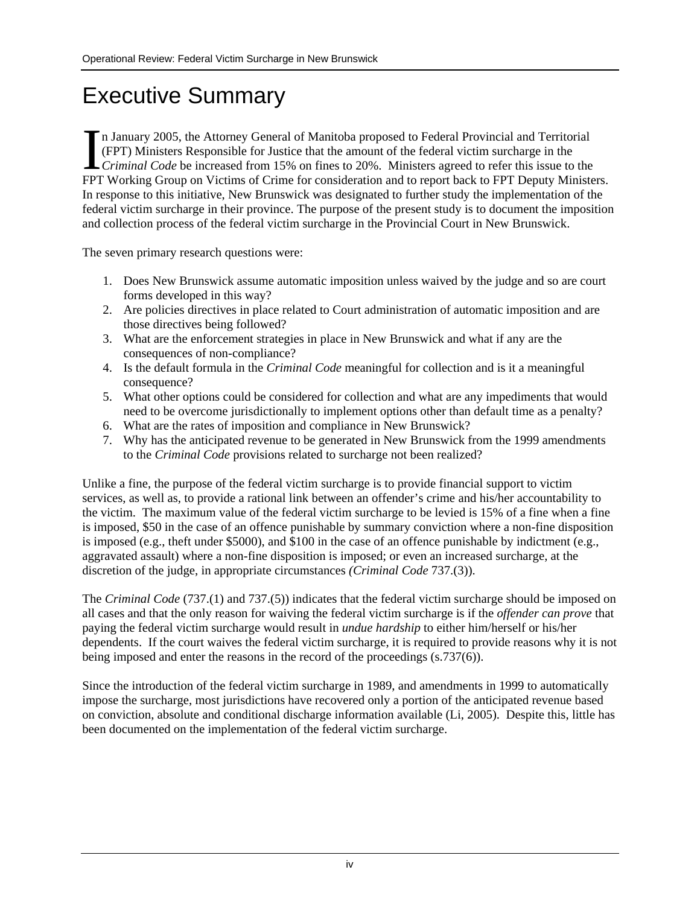# <span id="page-4-0"></span>Executive Summary

n January 2005, the Attorney General of Manitoba proposed to Federal Provincial and Territorial (FPT) Ministers Responsible for Justice that the amount of the federal victim surcharge in the **CRIMINATE:** In January 2005, the Attorney General of Manitoba proposed to Federal Provincial and Territorial (FPT) Ministers Responsible for Justice that the amount of the federal victim surcharge in the Criminal Code be FPT Working Group on Victims of Crime for consideration and to report back to FPT Deputy Ministers. In response to this initiative, New Brunswick was designated to further study the implementation of the federal victim surcharge in their province. The purpose of the present study is to document the imposition and collection process of the federal victim surcharge in the Provincial Court in New Brunswick.

The seven primary research questions were:

- 1. Does New Brunswick assume automatic imposition unless waived by the judge and so are court forms developed in this way?
- 2. Are policies directives in place related to Court administration of automatic imposition and are those directives being followed?
- 3. What are the enforcement strategies in place in New Brunswick and what if any are the consequences of non-compliance?
- 4. Is the default formula in the *Criminal Code* meaningful for collection and is it a meaningful consequence?
- 5. What other options could be considered for collection and what are any impediments that would need to be overcome jurisdictionally to implement options other than default time as a penalty?
- 6. What are the rates of imposition and compliance in New Brunswick?
- 7. Why has the anticipated revenue to be generated in New Brunswick from the 1999 amendments to the *Criminal Code* provisions related to surcharge not been realized?

Unlike a fine, the purpose of the federal victim surcharge is to provide financial support to victim services, as well as, to provide a rational link between an offender's crime and his/her accountability to the victim. The maximum value of the federal victim surcharge to be levied is 15% of a fine when a fine is imposed, \$50 in the case of an offence punishable by summary conviction where a non-fine disposition is imposed (e.g., theft under \$5000), and \$100 in the case of an offence punishable by indictment (e.g., aggravated assault) where a non-fine disposition is imposed; or even an increased surcharge, at the discretion of the judge, in appropriate circumstances *(Criminal Code* 737.(3)).

The *Criminal Code* (737.(1) and 737.(5)) indicates that the federal victim surcharge should be imposed on all cases and that the only reason for waiving the federal victim surcharge is if the *offender can prove* that paying the federal victim surcharge would result in *undue hardship* to either him/herself or his/her dependents. If the court waives the federal victim surcharge, it is required to provide reasons why it is not being imposed and enter the reasons in the record of the proceedings (s.737(6)).

Since the introduction of the federal victim surcharge in 1989, and amendments in 1999 to automatically impose the surcharge, most jurisdictions have recovered only a portion of the anticipated revenue based on conviction, absolute and conditional discharge information available (Li, 2005). Despite this, little has been documented on the implementation of the federal victim surcharge.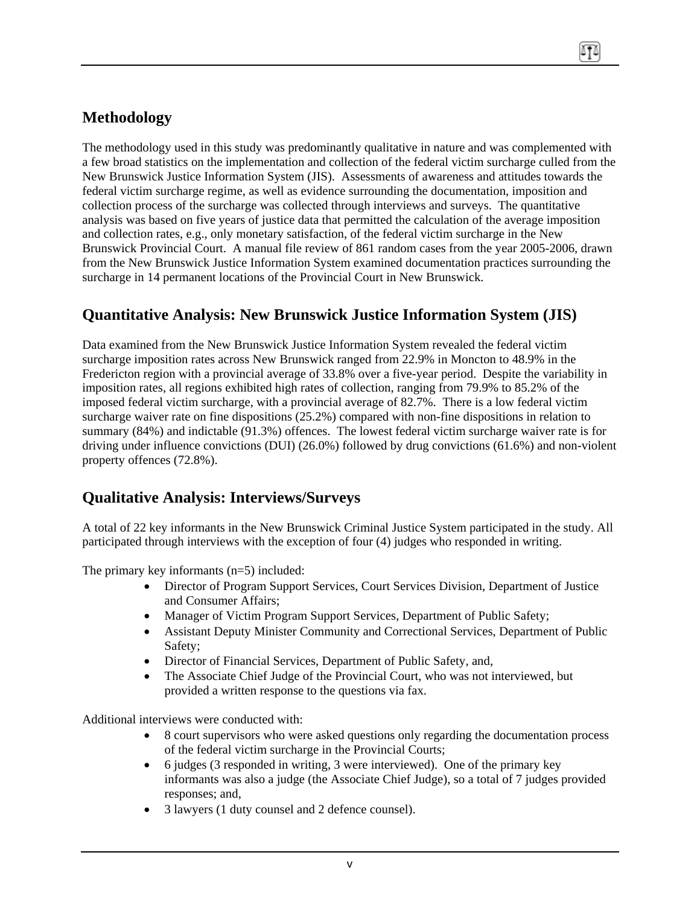# **Methodology**

The methodology used in this study was predominantly qualitative in nature and was complemented with a few broad statistics on the implementation and collection of the federal victim surcharge culled from the New Brunswick Justice Information System (JIS). Assessments of awareness and attitudes towards the federal victim surcharge regime, as well as evidence surrounding the documentation, imposition and collection process of the surcharge was collected through interviews and surveys. The quantitative analysis was based on five years of justice data that permitted the calculation of the average imposition and collection rates, e.g., only monetary satisfaction, of the federal victim surcharge in the New Brunswick Provincial Court. A manual file review of 861 random cases from the year 2005-2006, drawn from the New Brunswick Justice Information System examined documentation practices surrounding the surcharge in 14 permanent locations of the Provincial Court in New Brunswick.

# **Quantitative Analysis: New Brunswick Justice Information System (JIS)**

Data examined from the New Brunswick Justice Information System revealed the federal victim surcharge imposition rates across New Brunswick ranged from 22.9% in Moncton to 48.9% in the Fredericton region with a provincial average of 33.8% over a five-year period. Despite the variability in imposition rates, all regions exhibited high rates of collection, ranging from 79.9% to 85.2% of the imposed federal victim surcharge, with a provincial average of 82.7%. There is a low federal victim surcharge waiver rate on fine dispositions (25.2%) compared with non-fine dispositions in relation to summary (84%) and indictable (91.3%) offences. The lowest federal victim surcharge waiver rate is for driving under influence convictions (DUI) (26.0%) followed by drug convictions (61.6%) and non-violent property offences (72.8%).

## **Qualitative Analysis: Interviews/Surveys**

A total of 22 key informants in the New Brunswick Criminal Justice System participated in the study. All participated through interviews with the exception of four (4) judges who responded in writing.

The primary key informants (n=5) included:

- Director of Program Support Services, Court Services Division, Department of Justice and Consumer Affairs;
- Manager of Victim Program Support Services, Department of Public Safety;
- Assistant Deputy Minister Community and Correctional Services, Department of Public Safety;
- Director of Financial Services, Department of Public Safety, and,
- The Associate Chief Judge of the Provincial Court, who was not interviewed, but provided a written response to the questions via fax.

Additional interviews were conducted with:

- 8 court supervisors who were asked questions only regarding the documentation process of the federal victim surcharge in the Provincial Courts;
- 6 judges (3 responded in writing, 3 were interviewed). One of the primary key informants was also a judge (the Associate Chief Judge), so a total of 7 judges provided responses; and,
- 3 lawyers (1 duty counsel and 2 defence counsel).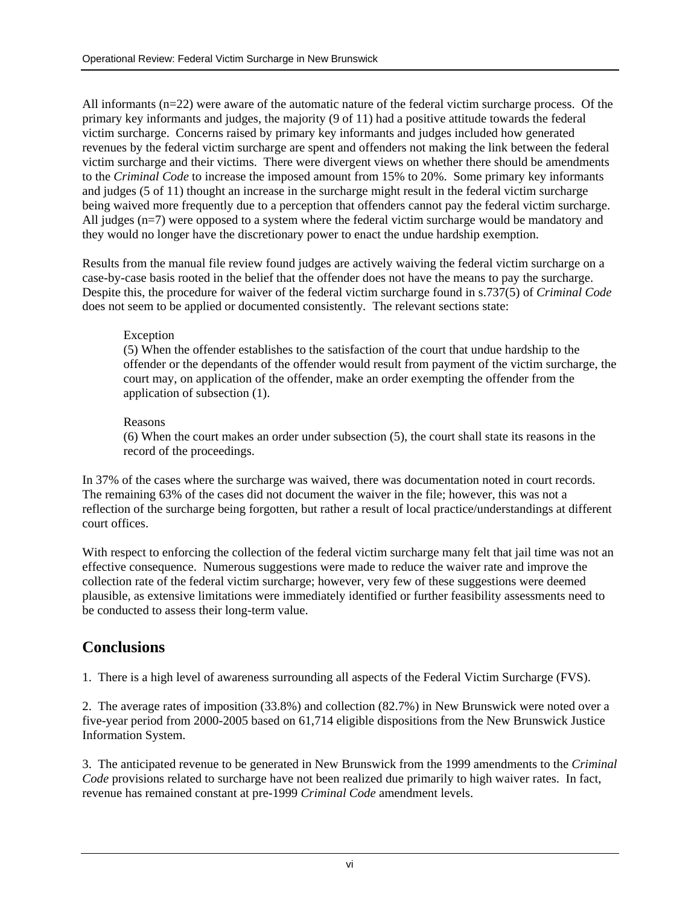All informants (n=22) were aware of the automatic nature of the federal victim surcharge process. Of the primary key informants and judges, the majority (9 of 11) had a positive attitude towards the federal victim surcharge. Concerns raised by primary key informants and judges included how generated revenues by the federal victim surcharge are spent and offenders not making the link between the federal victim surcharge and their victims. There were divergent views on whether there should be amendments to the *Criminal Code* to increase the imposed amount from 15% to 20%. Some primary key informants and judges (5 of 11) thought an increase in the surcharge might result in the federal victim surcharge being waived more frequently due to a perception that offenders cannot pay the federal victim surcharge. All judges (n=7) were opposed to a system where the federal victim surcharge would be mandatory and they would no longer have the discretionary power to enact the undue hardship exemption.

Results from the manual file review found judges are actively waiving the federal victim surcharge on a case-by-case basis rooted in the belief that the offender does not have the means to pay the surcharge. Despite this, the procedure for waiver of the federal victim surcharge found in s.737(5) of *Criminal Code* does not seem to be applied or documented consistently*.* The relevant sections state:

#### **Exception**

(5) When the offender establishes to the satisfaction of the court that undue hardship to the offender or the dependants of the offender would result from payment of the victim surcharge, the court may, on application of the offender, make an order exempting the offender from the application of subsection (1).

#### Reasons

(6) When the court makes an order under subsection (5), the court shall state its reasons in the record of the proceedings.

In 37% of the cases where the surcharge was waived, there was documentation noted in court records. The remaining 63% of the cases did not document the waiver in the file; however, this was not a reflection of the surcharge being forgotten, but rather a result of local practice/understandings at different court offices.

With respect to enforcing the collection of the federal victim surcharge many felt that jail time was not an effective consequence. Numerous suggestions were made to reduce the waiver rate and improve the collection rate of the federal victim surcharge; however, very few of these suggestions were deemed plausible, as extensive limitations were immediately identified or further feasibility assessments need to be conducted to assess their long-term value.

## **Conclusions**

1. There is a high level of awareness surrounding all aspects of the Federal Victim Surcharge (FVS).

2. The average rates of imposition (33.8%) and collection (82.7%) in New Brunswick were noted over a five-year period from 2000-2005 based on 61,714 eligible dispositions from the New Brunswick Justice Information System.

3. The anticipated revenue to be generated in New Brunswick from the 1999 amendments to the *Criminal Code* provisions related to surcharge have not been realized due primarily to high waiver rates. In fact, revenue has remained constant at pre-1999 *Criminal Code* amendment levels.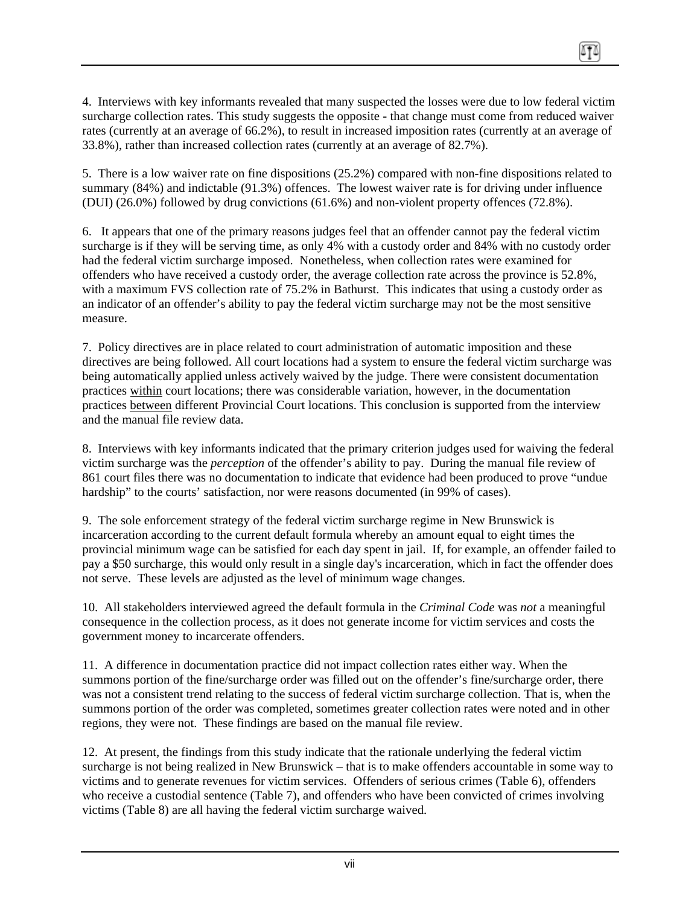4. Interviews with key informants revealed that many suspected the losses were due to low federal victim surcharge collection rates. This study suggests the opposite - that change must come from reduced waiver rates (currently at an average of 66.2%), to result in increased imposition rates (currently at an average of 33.8%), rather than increased collection rates (currently at an average of 82.7%).

5. There is a low waiver rate on fine dispositions (25.2%) compared with non-fine dispositions related to summary (84%) and indictable (91.3%) offences. The lowest waiver rate is for driving under influence (DUI) (26.0%) followed by drug convictions (61.6%) and non-violent property offences (72.8%).

6. It appears that one of the primary reasons judges feel that an offender cannot pay the federal victim surcharge is if they will be serving time, as only 4% with a custody order and 84% with no custody order had the federal victim surcharge imposed. Nonetheless, when collection rates were examined for offenders who have received a custody order, the average collection rate across the province is 52.8%, with a maximum FVS collection rate of 75.2% in Bathurst. This indicates that using a custody order as an indicator of an offender's ability to pay the federal victim surcharge may not be the most sensitive measure.

7. Policy directives are in place related to court administration of automatic imposition and these directives are being followed. All court locations had a system to ensure the federal victim surcharge was being automatically applied unless actively waived by the judge. There were consistent documentation practices within court locations; there was considerable variation, however, in the documentation practices between different Provincial Court locations. This conclusion is supported from the interview and the manual file review data.

8. Interviews with key informants indicated that the primary criterion judges used for waiving the federal victim surcharge was the *perception* of the offender's ability to pay. During the manual file review of 861 court files there was no documentation to indicate that evidence had been produced to prove "undue hardship" to the courts' satisfaction, nor were reasons documented (in 99% of cases).

9. The sole enforcement strategy of the federal victim surcharge regime in New Brunswick is incarceration according to the current default formula whereby an amount equal to eight times the provincial minimum wage can be satisfied for each day spent in jail. If, for example, an offender failed to pay a \$50 surcharge, this would only result in a single day's incarceration, which in fact the offender does not serve. These levels are adjusted as the level of minimum wage changes.

10. All stakeholders interviewed agreed the default formula in the *Criminal Code* was *not* a meaningful consequence in the collection process, as it does not generate income for victim services and costs the government money to incarcerate offenders.

11. A difference in documentation practice did not impact collection rates either way. When the summons portion of the fine/surcharge order was filled out on the offender's fine/surcharge order, there was not a consistent trend relating to the success of federal victim surcharge collection. That is, when the summons portion of the order was completed, sometimes greater collection rates were noted and in other regions, they were not. These findings are based on the manual file review.

12. At present, the findings from this study indicate that the rationale underlying the federal victim surcharge is not being realized in New Brunswick – that is to make offenders accountable in some way to victims and to generate revenues for victim services. Offenders of serious crimes (Table 6), offenders who receive a custodial sentence (Table 7), and offenders who have been convicted of crimes involving victims (Table 8) are all having the federal victim surcharge waived.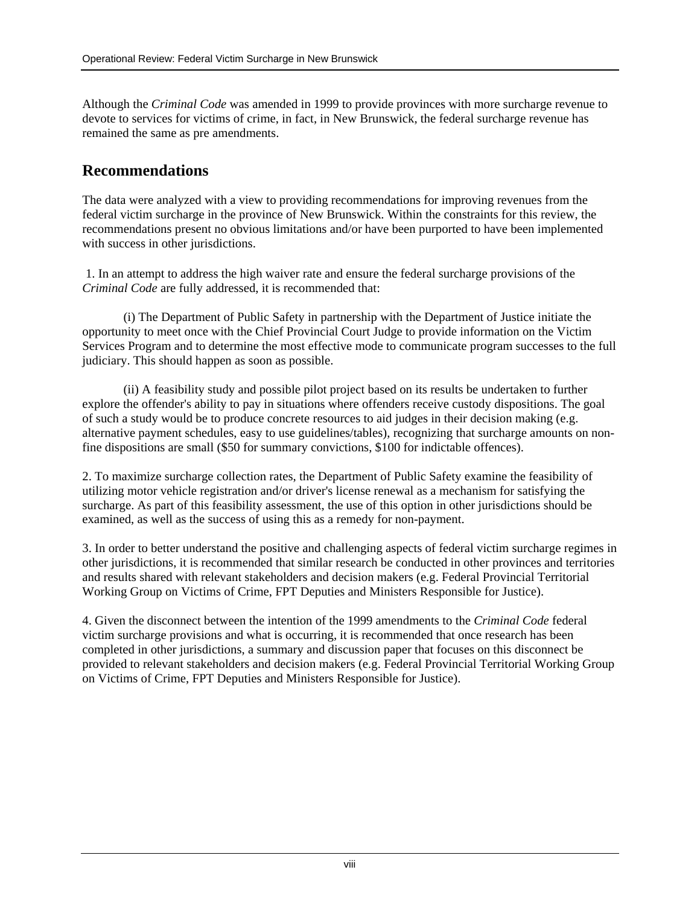Although the *Criminal Code* was amended in 1999 to provide provinces with more surcharge revenue to devote to services for victims of crime, in fact, in New Brunswick, the federal surcharge revenue has remained the same as pre amendments.

## **Recommendations**

The data were analyzed with a view to providing recommendations for improving revenues from the federal victim surcharge in the province of New Brunswick. Within the constraints for this review, the recommendations present no obvious limitations and/or have been purported to have been implemented with success in other jurisdictions.

1. In an attempt to address the high waiver rate and ensure the federal surcharge provisions of the *Criminal Code* are fully addressed, it is recommended that:

(i) The Department of Public Safety in partnership with the Department of Justice initiate the opportunity to meet once with the Chief Provincial Court Judge to provide information on the Victim Services Program and to determine the most effective mode to communicate program successes to the full judiciary. This should happen as soon as possible.

(ii) A feasibility study and possible pilot project based on its results be undertaken to further explore the offender's ability to pay in situations where offenders receive custody dispositions. The goal of such a study would be to produce concrete resources to aid judges in their decision making (e.g. alternative payment schedules, easy to use guidelines/tables), recognizing that surcharge amounts on nonfine dispositions are small (\$50 for summary convictions, \$100 for indictable offences).

2. To maximize surcharge collection rates, the Department of Public Safety examine the feasibility of utilizing motor vehicle registration and/or driver's license renewal as a mechanism for satisfying the surcharge. As part of this feasibility assessment, the use of this option in other jurisdictions should be examined, as well as the success of using this as a remedy for non-payment.

3. In order to better understand the positive and challenging aspects of federal victim surcharge regimes in other jurisdictions, it is recommended that similar research be conducted in other provinces and territories and results shared with relevant stakeholders and decision makers (e.g. Federal Provincial Territorial Working Group on Victims of Crime, FPT Deputies and Ministers Responsible for Justice).

4. Given the disconnect between the intention of the 1999 amendments to the *Criminal Code* federal victim surcharge provisions and what is occurring, it is recommended that once research has been completed in other jurisdictions, a summary and discussion paper that focuses on this disconnect be provided to relevant stakeholders and decision makers (e.g. Federal Provincial Territorial Working Group on Victims of Crime, FPT Deputies and Ministers Responsible for Justice).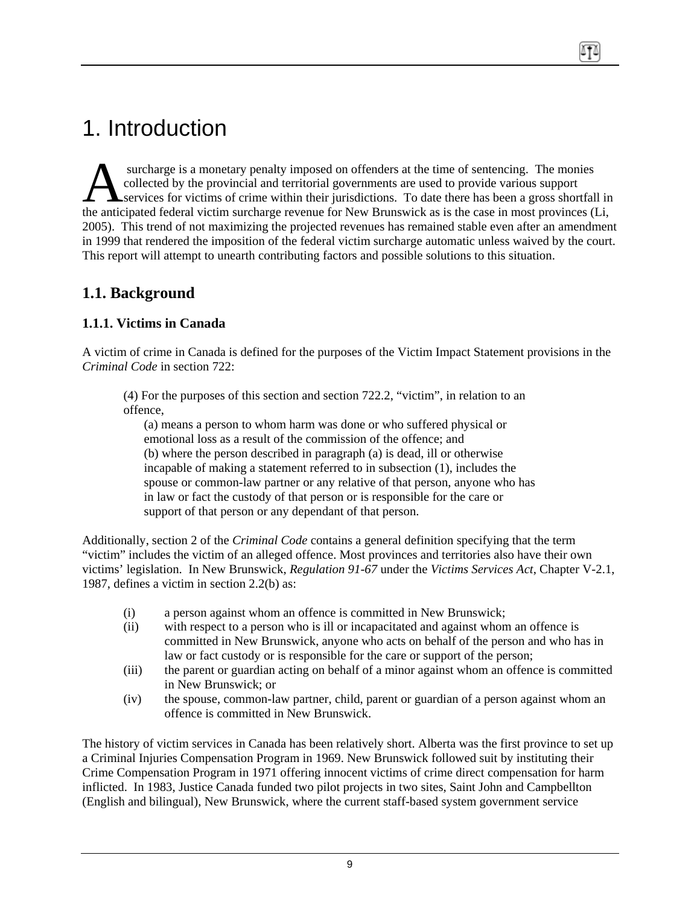# <span id="page-9-0"></span>1. Introduction

 surcharge is a monetary penalty imposed on offenders at the time of sentencing. The monies collected by the provincial and territorial governments are used to provide various support surcharge is a monetary penalty imposed on offenders at the time of sentencing. The monies<br>collected by the provincial and territorial governments are used to provide various support<br>services for victims of crime within th the anticipated federal victim surcharge revenue for New Brunswick as is the case in most provinces (Li, 2005). This trend of not maximizing the projected revenues has remained stable even after an amendment in 1999 that rendered the imposition of the federal victim surcharge automatic unless waived by the court. This report will attempt to unearth contributing factors and possible solutions to this situation.

## **1.1. Background**

## **1.1.1. Victims in Canada**

A victim of crime in Canada is defined for the purposes of the Victim Impact Statement provisions in the *Criminal Code* in section 722:

(4) For the purposes of this section and section 722.2, "victim", in relation to an offence,

(a) means a person to whom harm was done or who suffered physical or emotional loss as a result of the commission of the offence; and (b) where the person described in paragraph (a) is dead, ill or otherwise incapable of making a statement referred to in subsection (1), includes the spouse or common-law partner or any relative of that person, anyone who has in law or fact the custody of that person or is responsible for the care or support of that person or any dependant of that person.

Additionally, section 2 of the *Criminal Code* contains a general definition specifying that the term "victim" includes the victim of an alleged offence. Most provinces and territories also have their own victims' legislation. In New Brunswick, *Regulation 91-67* under the *Victims Services Act*, Chapter V-2.1, 1987, defines a victim in section 2.2(b) as:

- (i) a person against whom an offence is committed in New Brunswick;
- (ii) with respect to a person who is ill or incapacitated and against whom an offence is committed in New Brunswick, anyone who acts on behalf of the person and who has in law or fact custody or is responsible for the care or support of the person;
- (iii) the parent or guardian acting on behalf of a minor against whom an offence is committed in New Brunswick; or
- (iv) the spouse, common-law partner, child, parent or guardian of a person against whom an offence is committed in New Brunswick.

The history of victim services in Canada has been relatively short. Alberta was the first province to set up a Criminal Injuries Compensation Program in 1969. New Brunswick followed suit by instituting their Crime Compensation Program in 1971 offering innocent victims of crime direct compensation for harm inflicted. In 1983, Justice Canada funded two pilot projects in two sites, Saint John and Campbellton (English and bilingual), New Brunswick, where the current staff-based system government service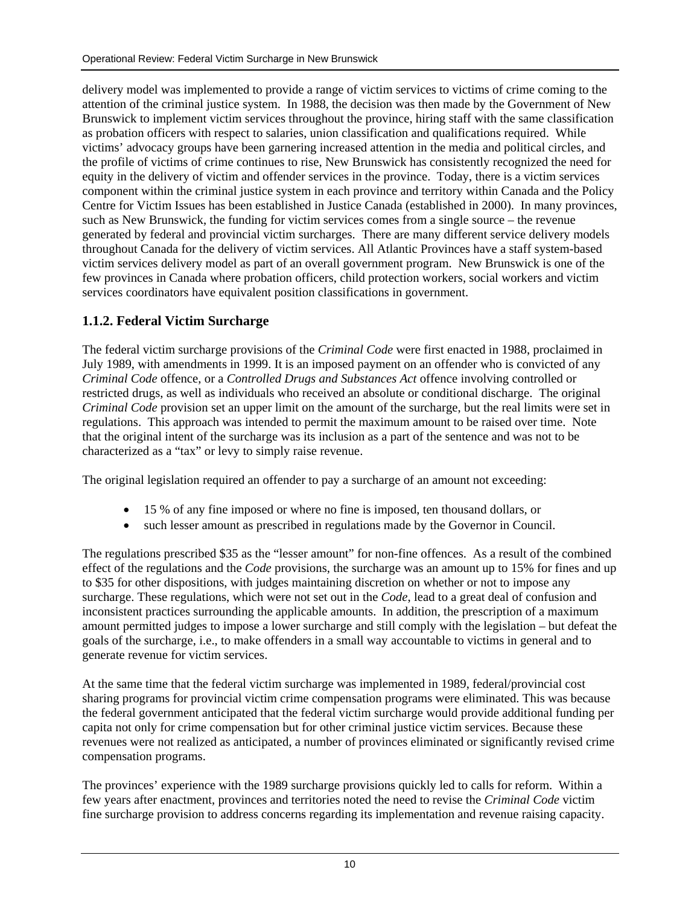<span id="page-10-0"></span>delivery model was implemented to provide a range of victim services to victims of crime coming to the attention of the criminal justice system. In 1988, the decision was then made by the Government of New Brunswick to implement victim services throughout the province, hiring staff with the same classification as probation officers with respect to salaries, union classification and qualifications required. While victims' advocacy groups have been garnering increased attention in the media and political circles, and the profile of victims of crime continues to rise, New Brunswick has consistently recognized the need for equity in the delivery of victim and offender services in the province. Today, there is a victim services component within the criminal justice system in each province and territory within Canada and the Policy Centre for Victim Issues has been established in Justice Canada (established in 2000). In many provinces, such as New Brunswick, the funding for victim services comes from a single source – the revenue generated by federal and provincial victim surcharges. There are many different service delivery models throughout Canada for the delivery of victim services. All Atlantic Provinces have a staff system-based victim services delivery model as part of an overall government program. New Brunswick is one of the few provinces in Canada where probation officers, child protection workers, social workers and victim services coordinators have equivalent position classifications in government.

## **1.1.2. Federal Victim Surcharge**

The federal victim surcharge provisions of the *Criminal Code* were first enacted in 1988, proclaimed in July 1989, with amendments in 1999. It is an imposed payment on an offender who is convicted of any *Criminal Code* offence, or a *Controlled Drugs and Substances Act* offence involving controlled or restricted drugs, as well as individuals who received an absolute or conditional discharge. The original *Criminal Code* provision set an upper limit on the amount of the surcharge, but the real limits were set in regulations. This approach was intended to permit the maximum amount to be raised over time. Note that the original intent of the surcharge was its inclusion as a part of the sentence and was not to be characterized as a "tax" or levy to simply raise revenue.

The original legislation required an offender to pay a surcharge of an amount not exceeding:

- 15 % of any fine imposed or where no fine is imposed, ten thousand dollars, or
- such lesser amount as prescribed in regulations made by the Governor in Council.

The regulations prescribed \$35 as the "lesser amount" for non-fine offences. As a result of the combined effect of the regulations and the *Code* provisions, the surcharge was an amount up to 15% for fines and up to \$35 for other dispositions, with judges maintaining discretion on whether or not to impose any surcharge. These regulations, which were not set out in the *Code*, lead to a great deal of confusion and inconsistent practices surrounding the applicable amounts. In addition, the prescription of a maximum amount permitted judges to impose a lower surcharge and still comply with the legislation – but defeat the goals of the surcharge, i.e., to make offenders in a small way accountable to victims in general and to generate revenue for victim services.

At the same time that the federal victim surcharge was implemented in 1989, federal/provincial cost sharing programs for provincial victim crime compensation programs were eliminated. This was because the federal government anticipated that the federal victim surcharge would provide additional funding per capita not only for crime compensation but for other criminal justice victim services. Because these revenues were not realized as anticipated, a number of provinces eliminated or significantly revised crime compensation programs.

The provinces' experience with the 1989 surcharge provisions quickly led to calls for reform. Within a few years after enactment, provinces and territories noted the need to revise the *Criminal Code* victim fine surcharge provision to address concerns regarding its implementation and revenue raising capacity.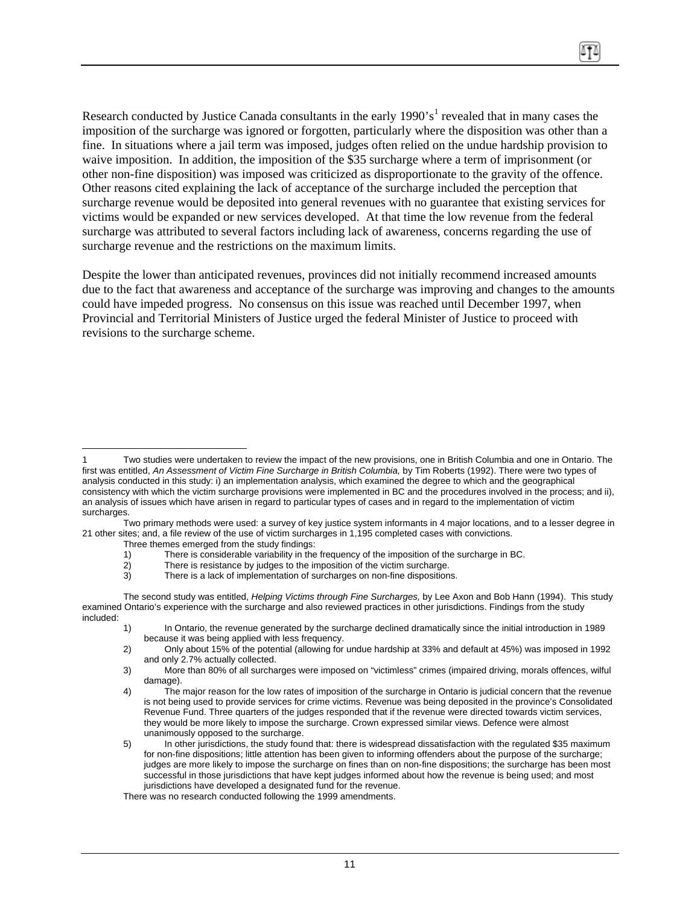Research conducted by Justice Canada consultants in the early  $1990$  $1990$ 's<sup>1</sup> revealed that in many cases the imposition of the surcharge was ignored or forgotten, particularly where the disposition was other than a fine. In situations where a jail term was imposed, judges often relied on the undue hardship provision to waive imposition. In addition, the imposition of the \$35 surcharge where a term of imprisonment (or other non-fine disposition) was imposed was criticized as disproportionate to the gravity of the offence. Other reasons cited explaining the lack of acceptance of the surcharge included the perception that surcharge revenue would be deposited into general revenues with no guarantee that existing services for victims would be expanded or new services developed. At that time the low revenue from the federal surcharge was attributed to several factors including lack of awareness, concerns regarding the use of surcharge revenue and the restrictions on the maximum limits.

Despite the lower than anticipated revenues, provinces did not initially recommend increased amounts due to the fact that awareness and acceptance of the surcharge was improving and changes to the amounts could have impeded progress. No consensus on this issue was reached until December 1997, when Provincial and Territorial Ministers of Justice urged the federal Minister of Justice to proceed with revisions to the surcharge scheme.

<span id="page-11-0"></span> $\overline{a}$ Two studies were undertaken to review the impact of the new provisions, one in British Columbia and one in Ontario. The first was entitled, *An Assessment of Victim Fine Surcharge in British Columbia,* by Tim Roberts (1992). There were two types of analysis conducted in this study: i) an implementation analysis, which examined the degree to which and the geographical consistency with which the victim surcharge provisions were implemented in BC and the procedures involved in the process; and ii), an analysis of issues which have arisen in regard to particular types of cases and in regard to the implementation of victim surcharges.

Two primary methods were used: a survey of key justice system informants in 4 major locations, and to a lesser degree in 21 other sites; and, a file review of the use of victim surcharges in 1,195 completed cases with convictions.

Three themes emerged from the study findings:

<sup>1)</sup> There is considerable variability in the frequency of the imposition of the surcharge in BC.<br>2) There is resistance by judges to the imposition of the victim surcharge.

There is resistance by judges to the imposition of the victim surcharge.

<sup>3)</sup> There is a lack of implementation of surcharges on non-fine dispositions.

The second study was entitled, *Helping Victims through Fine Surcharges,* by Lee Axon and Bob Hann (1994).This study examined Ontario's experience with the surcharge and also reviewed practices in other jurisdictions. Findings from the study included:

<sup>1)</sup> In Ontario, the revenue generated by the surcharge declined dramatically since the initial introduction in 1989 because it was being applied with less frequency.

<sup>2)</sup> Only about 15% of the potential (allowing for undue hardship at 33% and default at 45%) was imposed in 1992 and only 2.7% actually collected.

<sup>3)</sup> More than 80% of all surcharges were imposed on "victimless" crimes (impaired driving, morals offences, wilful damage).

<sup>4)</sup> The major reason for the low rates of imposition of the surcharge in Ontario is judicial concern that the revenue is not being used to provide services for crime victims. Revenue was being deposited in the province's Consolidated Revenue Fund. Three quarters of the judges responded that if the revenue were directed towards victim services, they would be more likely to impose the surcharge. Crown expressed similar views. Defence were almost unanimously opposed to the surcharge.

<sup>5)</sup> In other jurisdictions, the study found that: there is widespread dissatisfaction with the regulated \$35 maximum for non-fine dispositions; little attention has been given to informing offenders about the purpose of the surcharge; judges are more likely to impose the surcharge on fines than on non-fine dispositions; the surcharge has been most successful in those jurisdictions that have kept judges informed about how the revenue is being used; and most jurisdictions have developed a designated fund for the revenue.

There was no research conducted following the 1999 amendments.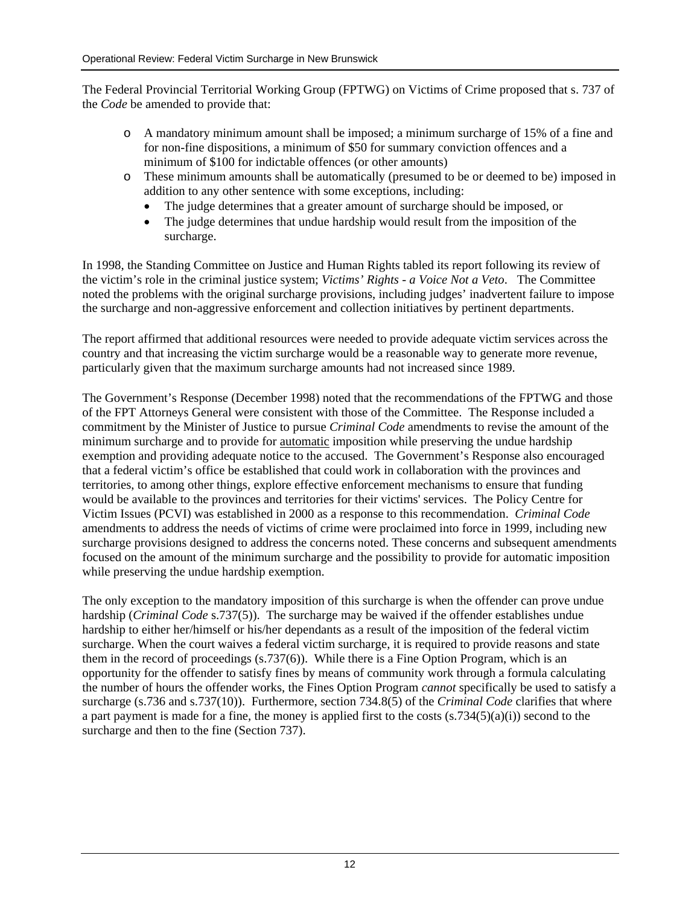The Federal Provincial Territorial Working Group (FPTWG) on Victims of Crime proposed that s. 737 of the *Code* be amended to provide that:

- o A mandatory minimum amount shall be imposed; a minimum surcharge of 15% of a fine and for non-fine dispositions, a minimum of \$50 for summary conviction offences and a minimum of \$100 for indictable offences (or other amounts)
- o These minimum amounts shall be automatically (presumed to be or deemed to be) imposed in addition to any other sentence with some exceptions, including:
	- The judge determines that a greater amount of surcharge should be imposed, or
	- The judge determines that undue hardship would result from the imposition of the surcharge.

In 1998, the Standing Committee on Justice and Human Rights tabled its report following its review of the victim's role in the criminal justice system; *Victims' Rights - a Voice Not a Veto*. The Committee noted the problems with the original surcharge provisions, including judges' inadvertent failure to impose the surcharge and non-aggressive enforcement and collection initiatives by pertinent departments.

The report affirmed that additional resources were needed to provide adequate victim services across the country and that increasing the victim surcharge would be a reasonable way to generate more revenue, particularly given that the maximum surcharge amounts had not increased since 1989.

The Government's Response (December 1998) noted that the recommendations of the FPTWG and those of the FPT Attorneys General were consistent with those of the Committee. The Response included a commitment by the Minister of Justice to pursue *Criminal Code* amendments to revise the amount of the minimum surcharge and to provide for automatic imposition while preserving the undue hardship exemption and providing adequate notice to the accused. The Government's Response also encouraged that a federal victim's office be established that could work in collaboration with the provinces and territories, to among other things, explore effective enforcement mechanisms to ensure that funding would be available to the provinces and territories for their victims' services. The Policy Centre for Victim Issues (PCVI) was established in 2000 as a response to this recommendation. *Criminal Code* amendments to address the needs of victims of crime were proclaimed into force in 1999, including new surcharge provisions designed to address the concerns noted. These concerns and subsequent amendments focused on the amount of the minimum surcharge and the possibility to provide for automatic imposition while preserving the undue hardship exemption.

The only exception to the mandatory imposition of this surcharge is when the offender can prove undue hardship (*Criminal Code* s.737(5)). The surcharge may be waived if the offender establishes undue hardship to either her/himself or his/her dependants as a result of the imposition of the federal victim surcharge. When the court waives a federal victim surcharge, it is required to provide reasons and state them in the record of proceedings  $(s.737(6))$ . While there is a Fine Option Program, which is an opportunity for the offender to satisfy fines by means of community work through a formula calculating the number of hours the offender works, the Fines Option Program *cannot* specifically be used to satisfy a surcharge (s.736 and s.737(10)). Furthermore, section 734.8(5) of the *Criminal Code* clarifies that where a part payment is made for a fine, the money is applied first to the costs (s.734(5)(a)(i)) second to the surcharge and then to the fine (Section 737).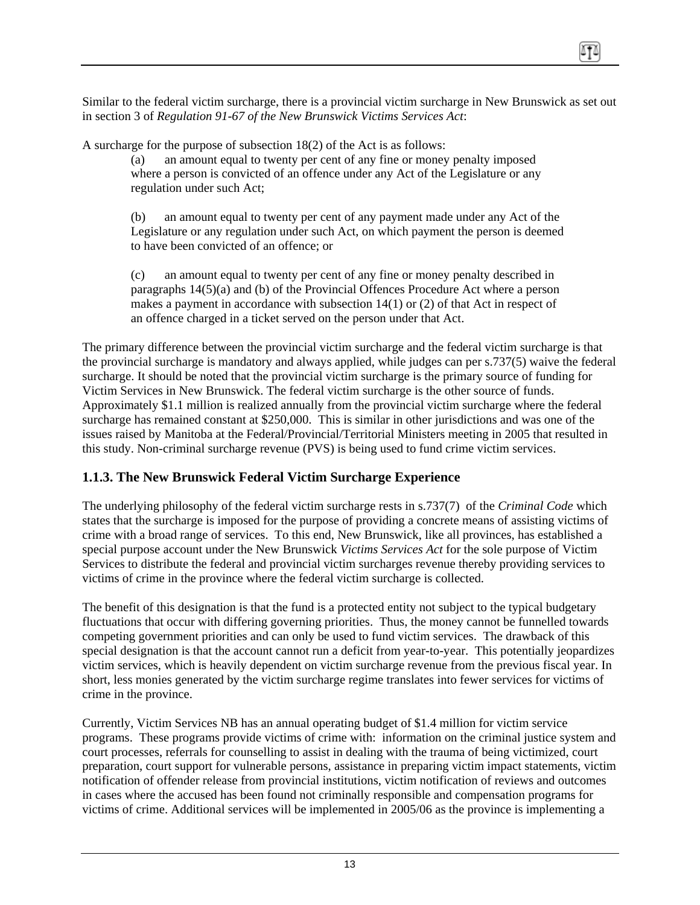<span id="page-13-0"></span>Similar to the federal victim surcharge, there is a provincial victim surcharge in New Brunswick as set out in section 3 of *Regulation 91-67 of the New Brunswick Victims Services Act*:

A surcharge for the purpose of subsection 18(2) of the Act is as follows:

(a) an amount equal to twenty per cent of any fine or money penalty imposed where a person is convicted of an offence under any Act of the Legislature or any regulation under such Act;

(b) an amount equal to twenty per cent of any payment made under any Act of the Legislature or any regulation under such Act, on which payment the person is deemed to have been convicted of an offence; or

(c) an amount equal to twenty per cent of any fine or money penalty described in paragraphs 14(5)(a) and (b) of the Provincial Offences Procedure Act where a person makes a payment in accordance with subsection 14(1) or (2) of that Act in respect of an offence charged in a ticket served on the person under that Act.

The primary difference between the provincial victim surcharge and the federal victim surcharge is that the provincial surcharge is mandatory and always applied, while judges can per s.737(5) waive the federal surcharge. It should be noted that the provincial victim surcharge is the primary source of funding for Victim Services in New Brunswick. The federal victim surcharge is the other source of funds. Approximately \$1.1 million is realized annually from the provincial victim surcharge where the federal surcharge has remained constant at \$250,000. This is similar in other jurisdictions and was one of the issues raised by Manitoba at the Federal/Provincial/Territorial Ministers meeting in 2005 that resulted in this study. Non-criminal surcharge revenue (PVS) is being used to fund crime victim services.

## **1.1.3. The New Brunswick Federal Victim Surcharge Experience**

The underlying philosophy of the federal victim surcharge rests in s.737(7) of the *Criminal Code* which states that the surcharge is imposed for the purpose of providing a concrete means of assisting victims of crime with a broad range of services. To this end, New Brunswick, like all provinces, has established a special purpose account under the New Brunswick *Victims Services Act* for the sole purpose of Victim Services to distribute the federal and provincial victim surcharges revenue thereby providing services to victims of crime in the province where the federal victim surcharge is collected.

The benefit of this designation is that the fund is a protected entity not subject to the typical budgetary fluctuations that occur with differing governing priorities. Thus, the money cannot be funnelled towards competing government priorities and can only be used to fund victim services. The drawback of this special designation is that the account cannot run a deficit from year-to-year. This potentially jeopardizes victim services, which is heavily dependent on victim surcharge revenue from the previous fiscal year. In short, less monies generated by the victim surcharge regime translates into fewer services for victims of crime in the province.

Currently, Victim Services NB has an annual operating budget of \$1.4 million for victim service programs. These programs provide victims of crime with: information on the criminal justice system and court processes, referrals for counselling to assist in dealing with the trauma of being victimized, court preparation, court support for vulnerable persons, assistance in preparing victim impact statements, victim notification of offender release from provincial institutions, victim notification of reviews and outcomes in cases where the accused has been found not criminally responsible and compensation programs for victims of crime. Additional services will be implemented in 2005/06 as the province is implementing a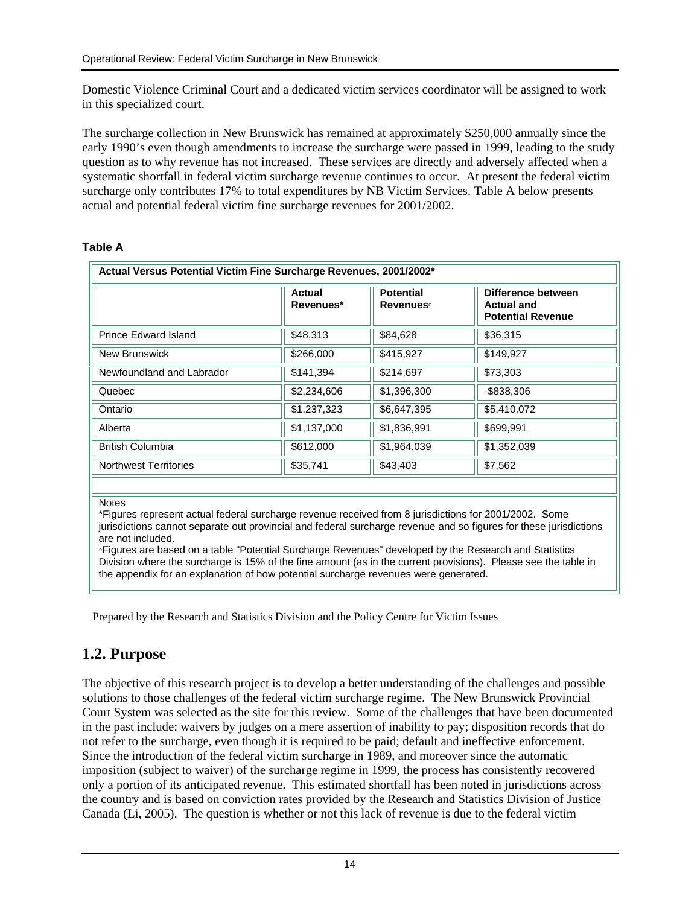<span id="page-14-0"></span>Domestic Violence Criminal Court and a dedicated victim services coordinator will be assigned to work in this specialized court.

The surcharge collection in New Brunswick has remained at approximately \$250,000 annually since the early 1990's even though amendments to increase the surcharge were passed in 1999, leading to the study question as to why revenue has not increased. These services are directly and adversely affected when a systematic shortfall in federal victim surcharge revenue continues to occur. At present the federal victim surcharge only contributes 17% to total expenditures by NB Victim Services. Table A below presents actual and potential federal victim fine surcharge revenues for 2001/2002.

#### **Table A**

|                              | Actual<br>Revenues* | <b>Potential</b><br><b>Revenues</b> | Difference between<br><b>Actual and</b><br><b>Potential Revenue</b> |
|------------------------------|---------------------|-------------------------------------|---------------------------------------------------------------------|
| <b>Prince Edward Island</b>  | \$48,313            | \$84,628                            | \$36,315                                                            |
| <b>New Brunswick</b>         | \$266,000           | \$415,927                           | \$149,927                                                           |
| Newfoundland and Labrador    | \$141,394           | \$214,697                           | \$73,303                                                            |
| Quebec                       | \$2,234,606         | \$1,396,300                         | $-$ \$838,306                                                       |
| Ontario                      | \$1,237,323         | \$6,647,395                         | \$5,410,072                                                         |
| Alberta                      | \$1,137,000         | \$1,836,991                         | \$699,991                                                           |
| <b>British Columbia</b>      | \$612,000           | \$1,964,039                         | \$1,352,039                                                         |
| <b>Northwest Territories</b> | \$35,741            | \$43,403                            | \$7,562                                                             |

jurisdictions cannot separate out provincial and federal surcharge revenue and so figures for these jurisdictions are not included.

◦Figures are based on a table "Potential Surcharge Revenues" developed by the Research and Statistics Division where the surcharge is 15% of the fine amount (as in the current provisions). Please see the table in the appendix for an explanation of how potential surcharge revenues were generated.

Prepared by the Research and Statistics Division and the Policy Centre for Victim Issues

## **1.2. Purpose**

The objective of this research project is to develop a better understanding of the challenges and possible solutions to those challenges of the federal victim surcharge regime. The New Brunswick Provincial Court System was selected as the site for this review. Some of the challenges that have been documented in the past include: waivers by judges on a mere assertion of inability to pay; disposition records that do not refer to the surcharge, even though it is required to be paid; default and ineffective enforcement. Since the introduction of the federal victim surcharge in 1989, and moreover since the automatic imposition (subject to waiver) of the surcharge regime in 1999, the process has consistently recovered only a portion of its anticipated revenue. This estimated shortfall has been noted in jurisdictions across the country and is based on conviction rates provided by the Research and Statistics Division of Justice Canada (Li, 2005). The question is whether or not this lack of revenue is due to the federal victim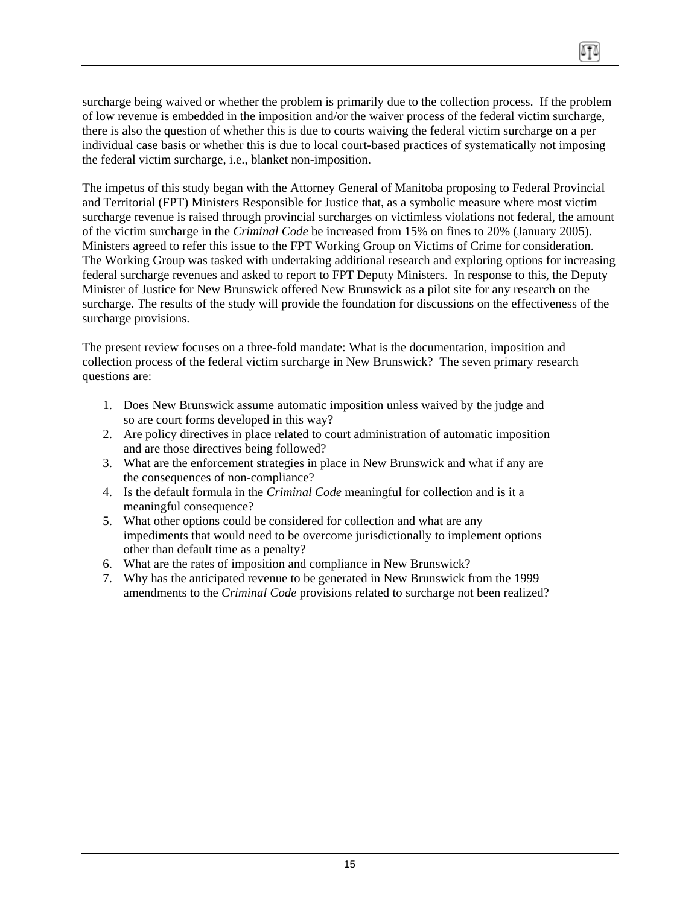surcharge being waived or whether the problem is primarily due to the collection process. If the problem of low revenue is embedded in the imposition and/or the waiver process of the federal victim surcharge, there is also the question of whether this is due to courts waiving the federal victim surcharge on a per individual case basis or whether this is due to local court-based practices of systematically not imposing the federal victim surcharge, i.e., blanket non-imposition.

The impetus of this study began with the Attorney General of Manitoba proposing to Federal Provincial and Territorial (FPT) Ministers Responsible for Justice that, as a symbolic measure where most victim surcharge revenue is raised through provincial surcharges on victimless violations not federal, the amount of the victim surcharge in the *Criminal Code* be increased from 15% on fines to 20% (January 2005). Ministers agreed to refer this issue to the FPT Working Group on Victims of Crime for consideration. The Working Group was tasked with undertaking additional research and exploring options for increasing federal surcharge revenues and asked to report to FPT Deputy Ministers. In response to this, the Deputy Minister of Justice for New Brunswick offered New Brunswick as a pilot site for any research on the surcharge. The results of the study will provide the foundation for discussions on the effectiveness of the surcharge provisions.

The present review focuses on a three-fold mandate: What is the documentation, imposition and collection process of the federal victim surcharge in New Brunswick? The seven primary research questions are:

- 1. Does New Brunswick assume automatic imposition unless waived by the judge and so are court forms developed in this way?
- 2. Are policy directives in place related to court administration of automatic imposition and are those directives being followed?
- 3. What are the enforcement strategies in place in New Brunswick and what if any are the consequences of non-compliance?
- 4. Is the default formula in the *Criminal Code* meaningful for collection and is it a meaningful consequence?
- 5. What other options could be considered for collection and what are any impediments that would need to be overcome jurisdictionally to implement options other than default time as a penalty?
- 6. What are the rates of imposition and compliance in New Brunswick?
- 7. Why has the anticipated revenue to be generated in New Brunswick from the 1999 amendments to the *Criminal Code* provisions related to surcharge not been realized?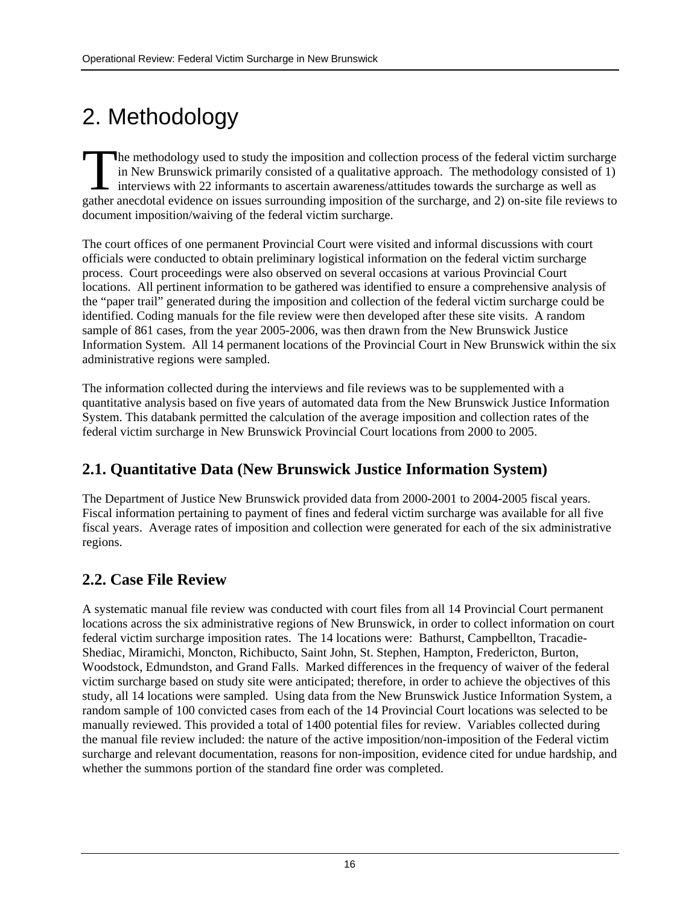# <span id="page-16-0"></span>2. Methodology

he methodology used to study the imposition and collection process of the federal victim surcharge in New Brunswick primarily consisted of a qualitative approach. The methodology consisted of 1) interviews with 22 informants to ascertain awareness/attitudes towards the surcharge as well as The methodology used to study the imposition and collection process of the federal victim surcharge in New Brunswick primarily consisted of a qualitative approach. The methodology consisted of 1) interviews with 22 informa document imposition/waiving of the federal victim surcharge.

The court offices of one permanent Provincial Court were visited and informal discussions with court officials were conducted to obtain preliminary logistical information on the federal victim surcharge process. Court proceedings were also observed on several occasions at various Provincial Court locations. All pertinent information to be gathered was identified to ensure a comprehensive analysis of the "paper trail" generated during the imposition and collection of the federal victim surcharge could be identified. Coding manuals for the file review were then developed after these site visits. A random sample of 861 cases, from the year 2005-2006, was then drawn from the New Brunswick Justice Information System. All 14 permanent locations of the Provincial Court in New Brunswick within the six administrative regions were sampled.

The information collected during the interviews and file reviews was to be supplemented with a quantitative analysis based on five years of automated data from the New Brunswick Justice Information System. This databank permitted the calculation of the average imposition and collection rates of the federal victim surcharge in New Brunswick Provincial Court locations from 2000 to 2005.

# **2.1. Quantitative Data (New Brunswick Justice Information System)**

The Department of Justice New Brunswick provided data from 2000-2001 to 2004-2005 fiscal years. Fiscal information pertaining to payment of fines and federal victim surcharge was available for all five fiscal years. Average rates of imposition and collection were generated for each of the six administrative regions.

## **2.2. Case File Review**

A systematic manual file review was conducted with court files from all 14 Provincial Court permanent locations across the six administrative regions of New Brunswick, in order to collect information on court federal victim surcharge imposition rates. The 14 locations were: Bathurst, Campbellton, Tracadie-Shediac, Miramichi, Moncton, Richibucto, Saint John, St. Stephen, Hampton, Fredericton, Burton, Woodstock, Edmundston, and Grand Falls. Marked differences in the frequency of waiver of the federal victim surcharge based on study site were anticipated; therefore, in order to achieve the objectives of this study, all 14 locations were sampled. Using data from the New Brunswick Justice Information System, a random sample of 100 convicted cases from each of the 14 Provincial Court locations was selected to be manually reviewed. This provided a total of 1400 potential files for review. Variables collected during the manual file review included: the nature of the active imposition/non-imposition of the Federal victim surcharge and relevant documentation, reasons for non-imposition, evidence cited for undue hardship, and whether the summons portion of the standard fine order was completed.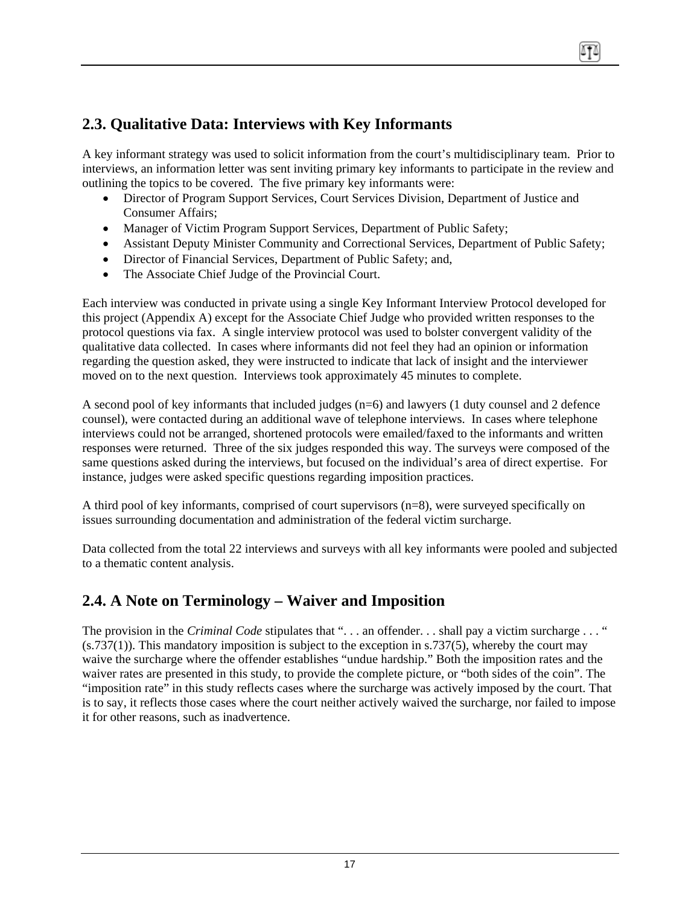# <span id="page-17-0"></span>**2.3. Qualitative Data: Interviews with Key Informants**

A key informant strategy was used to solicit information from the court's multidisciplinary team. Prior to interviews, an information letter was sent inviting primary key informants to participate in the review and outlining the topics to be covered. The five primary key informants were:

- Director of Program Support Services, Court Services Division, Department of Justice and Consumer Affairs;
- Manager of Victim Program Support Services, Department of Public Safety;
- Assistant Deputy Minister Community and Correctional Services, Department of Public Safety;
- Director of Financial Services, Department of Public Safety; and,
- The Associate Chief Judge of the Provincial Court.

Each interview was conducted in private using a single Key Informant Interview Protocol developed for this project (Appendix A) except for the Associate Chief Judge who provided written responses to the protocol questions via fax. A single interview protocol was used to bolster convergent validity of the qualitative data collected. In cases where informants did not feel they had an opinion or information regarding the question asked, they were instructed to indicate that lack of insight and the interviewer moved on to the next question. Interviews took approximately 45 minutes to complete.

A second pool of key informants that included judges (n=6) and lawyers (1 duty counsel and 2 defence counsel), were contacted during an additional wave of telephone interviews. In cases where telephone interviews could not be arranged, shortened protocols were emailed/faxed to the informants and written responses were returned. Three of the six judges responded this way. The surveys were composed of the same questions asked during the interviews, but focused on the individual's area of direct expertise. For instance, judges were asked specific questions regarding imposition practices.

A third pool of key informants, comprised of court supervisors (n=8), were surveyed specifically on issues surrounding documentation and administration of the federal victim surcharge.

Data collected from the total 22 interviews and surveys with all key informants were pooled and subjected to a thematic content analysis.

## **2.4. A Note on Terminology – Waiver and Imposition**

The provision in the *Criminal Code* stipulates that ". . . an offender. . . shall pay a victim surcharge . . . "  $(s.737(1))$ . This mandatory imposition is subject to the exception in  $s.737(5)$ , whereby the court may waive the surcharge where the offender establishes "undue hardship." Both the imposition rates and the waiver rates are presented in this study, to provide the complete picture, or "both sides of the coin". The "imposition rate" in this study reflects cases where the surcharge was actively imposed by the court. That is to say, it reflects those cases where the court neither actively waived the surcharge, nor failed to impose it for other reasons, such as inadvertence.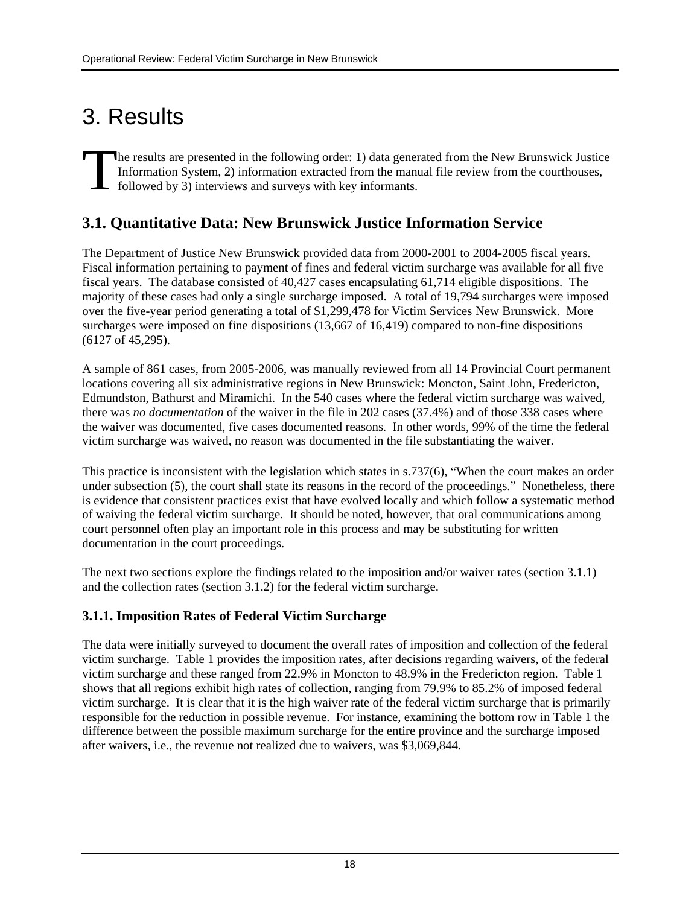# <span id="page-18-0"></span>3. Results

he results are presented in the following order: 1) data generated from the New Brunswick Justice Information System, 2) information extracted from the manual file review from the courthouses, followed by 3) interviews and surveys with key informants. The Inf

## **3.1. Quantitative Data: New Brunswick Justice Information Service**

The Department of Justice New Brunswick provided data from 2000-2001 to 2004-2005 fiscal years. Fiscal information pertaining to payment of fines and federal victim surcharge was available for all five fiscal years. The database consisted of 40,427 cases encapsulating 61,714 eligible dispositions. The majority of these cases had only a single surcharge imposed. A total of 19,794 surcharges were imposed over the five-year period generating a total of \$1,299,478 for Victim Services New Brunswick. More surcharges were imposed on fine dispositions (13,667 of 16,419) compared to non-fine dispositions (6127 of 45,295).

A sample of 861 cases, from 2005-2006, was manually reviewed from all 14 Provincial Court permanent locations covering all six administrative regions in New Brunswick: Moncton, Saint John, Fredericton, Edmundston, Bathurst and Miramichi. In the 540 cases where the federal victim surcharge was waived, there was *no documentation* of the waiver in the file in 202 cases (37.4%) and of those 338 cases where the waiver was documented, five cases documented reasons. In other words, 99% of the time the federal victim surcharge was waived, no reason was documented in the file substantiating the waiver.

This practice is inconsistent with the legislation which states in s.737(6), "When the court makes an order under subsection (5), the court shall state its reasons in the record of the proceedings." Nonetheless, there is evidence that consistent practices exist that have evolved locally and which follow a systematic method of waiving the federal victim surcharge. It should be noted, however, that oral communications among court personnel often play an important role in this process and may be substituting for written documentation in the court proceedings.

The next two sections explore the findings related to the imposition and/or waiver rates (section 3.1.1) and the collection rates (section 3.1.2) for the federal victim surcharge.

## **3.1.1. Imposition Rates of Federal Victim Surcharge**

The data were initially surveyed to document the overall rates of imposition and collection of the federal victim surcharge. Table 1 provides the imposition rates, after decisions regarding waivers, of the federal victim surcharge and these ranged from 22.9% in Moncton to 48.9% in the Fredericton region. Table 1 shows that all regions exhibit high rates of collection, ranging from 79.9% to 85.2% of imposed federal victim surcharge. It is clear that it is the high waiver rate of the federal victim surcharge that is primarily responsible for the reduction in possible revenue. For instance, examining the bottom row in Table 1 the difference between the possible maximum surcharge for the entire province and the surcharge imposed after waivers, i.e., the revenue not realized due to waivers, was \$3,069,844.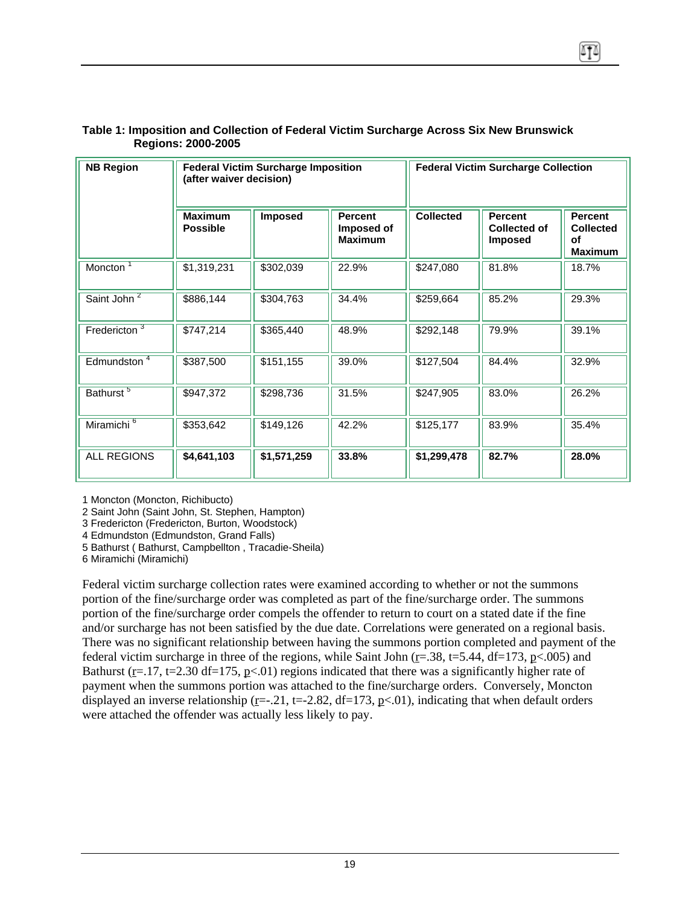| <b>NB Region</b>         | <b>Federal Victim Surcharge Imposition</b><br>(after waiver decision) |             |                                                | <b>Federal Victim Surcharge Collection</b> |                                                  |                                                            |  |
|--------------------------|-----------------------------------------------------------------------|-------------|------------------------------------------------|--------------------------------------------|--------------------------------------------------|------------------------------------------------------------|--|
|                          | <b>Maximum</b><br><b>Possible</b>                                     | Imposed     | <b>Percent</b><br>Imposed of<br><b>Maximum</b> | <b>Collected</b>                           | <b>Percent</b><br>Collected of<br><b>Imposed</b> | <b>Percent</b><br><b>Collected</b><br>οf<br><b>Maximum</b> |  |
| Moncton <sup>T</sup>     | \$1,319,231                                                           | \$302,039   | 22.9%                                          | \$247,080                                  | 81.8%                                            | 18.7%                                                      |  |
| Saint John <sup>2</sup>  | \$886,144                                                             | \$304,763   | 34.4%                                          | \$259,664                                  | 85.2%                                            | 29.3%                                                      |  |
| Fredericton <sup>3</sup> | \$747,214                                                             | \$365,440   | 48.9%                                          | \$292,148                                  | 79.9%                                            | 39.1%                                                      |  |
| Edmundston <sup>4</sup>  | \$387,500                                                             | \$151,155   | 39.0%                                          | \$127,504                                  | 84.4%                                            | 32.9%                                                      |  |
| Bathurst <sup>5</sup>    | \$947,372                                                             | \$298,736   | 31.5%                                          | \$247,905                                  | 83.0%                                            | 26.2%                                                      |  |
| Miramichi <sup>6</sup>   | \$353,642                                                             | \$149,126   | 42.2%                                          | \$125,177                                  | 83.9%                                            | 35.4%                                                      |  |
| <b>ALL REGIONS</b>       | \$4,641,103                                                           | \$1,571,259 | 33.8%                                          | \$1,299,478                                | 82.7%                                            | 28.0%                                                      |  |

#### **Table 1: Imposition and Collection of Federal Victim Surcharge Across Six New Brunswick Regions: 2000-2005**

1 Moncton (Moncton, Richibucto)

2 Saint John (Saint John, St. Stephen, Hampton)

3 Fredericton (Fredericton, Burton, Woodstock)

4 Edmundston (Edmundston, Grand Falls)

5 Bathurst ( Bathurst, Campbellton , Tracadie-Sheila)

6 Miramichi (Miramichi)

Federal victim surcharge collection rates were examined according to whether or not the summons portion of the fine/surcharge order was completed as part of the fine/surcharge order. The summons portion of the fine/surcharge order compels the offender to return to court on a stated date if the fine and/or surcharge has not been satisfied by the due date. Correlations were generated on a regional basis. There was no significant relationship between having the summons portion completed and payment of the federal victim surcharge in three of the regions, while Saint John ( $r = .38$ ,  $t = 5.44$ ,  $df = 173$ ,  $p < .005$ ) and Bathurst ( $r=17$ ,  $t=2.30$  df=175,  $p<.01$ ) regions indicated that there was a significantly higher rate of payment when the summons portion was attached to the fine/surcharge orders. Conversely, Moncton displayed an inverse relationship (r= $-0.21$ , t= $-2.82$ , df=173, p<01), indicating that when default orders were attached the offender was actually less likely to pay.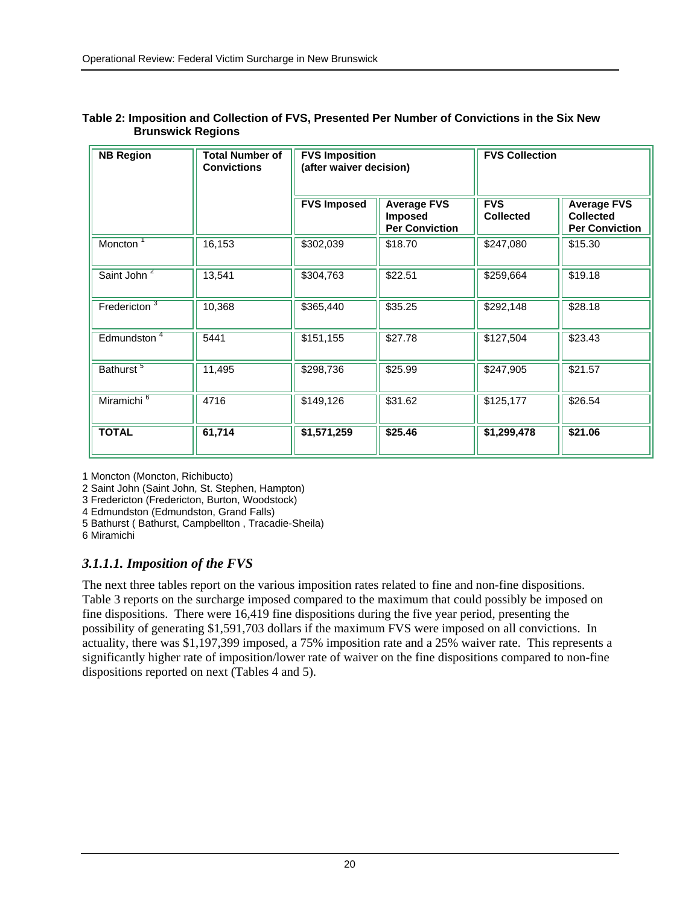| <b>NB Region</b>        | Total Number of<br><b>Convictions</b> | <b>FVS Imposition</b><br>(after waiver decision) |                                                        | <b>FVS Collection</b>          |                                                                 |
|-------------------------|---------------------------------------|--------------------------------------------------|--------------------------------------------------------|--------------------------------|-----------------------------------------------------------------|
|                         |                                       | <b>FVS Imposed</b>                               | <b>Average FVS</b><br>Imposed<br><b>Per Conviction</b> | <b>FVS</b><br><b>Collected</b> | <b>Average FVS</b><br><b>Collected</b><br><b>Per Conviction</b> |
| Moncton <sup>1</sup>    | 16,153                                | \$302,039                                        | \$18.70                                                | \$247,080                      | \$15.30                                                         |
| Saint John <sup>2</sup> | 13,541                                | \$304,763                                        | \$22.51                                                | \$259,664                      | \$19.18                                                         |
| Fredericton $3$         | 10,368                                | \$365,440                                        | \$35.25                                                | \$292,148                      | \$28.18                                                         |
| Edmundston <sup>4</sup> | 5441                                  | \$151,155                                        | \$27.78                                                | \$127,504                      | \$23.43                                                         |
| Bathurst <sup>5</sup>   | 11,495                                | \$298,736                                        | \$25.99                                                | \$247,905                      | \$21.57                                                         |
| Miramichi <sup>6</sup>  | 4716                                  | \$149,126                                        | \$31.62                                                | \$125,177                      | \$26.54                                                         |
| <b>TOTAL</b>            | 61,714                                | \$1,571,259                                      | \$25.46                                                | \$1,299,478                    | \$21.06                                                         |

#### **Table 2: Imposition and Collection of FVS, Presented Per Number of Convictions in the Six New Brunswick Regions**

1 Moncton (Moncton, Richibucto)

2 Saint John (Saint John, St. Stephen, Hampton)

3 Fredericton (Fredericton, Burton, Woodstock)

4 Edmundston (Edmundston, Grand Falls)

5 Bathurst ( Bathurst, Campbellton , Tracadie-Sheila)

6 Miramichi

### *3.1.1.1. Imposition of the FVS*

The next three tables report on the various imposition rates related to fine and non-fine dispositions. Table 3 reports on the surcharge imposed compared to the maximum that could possibly be imposed on fine dispositions. There were 16,419 fine dispositions during the five year period, presenting the possibility of generating \$1,591,703 dollars if the maximum FVS were imposed on all convictions. In actuality, there was \$1,197,399 imposed, a 75% imposition rate and a 25% waiver rate. This represents a significantly higher rate of imposition/lower rate of waiver on the fine dispositions compared to non-fine dispositions reported on next (Tables 4 and 5).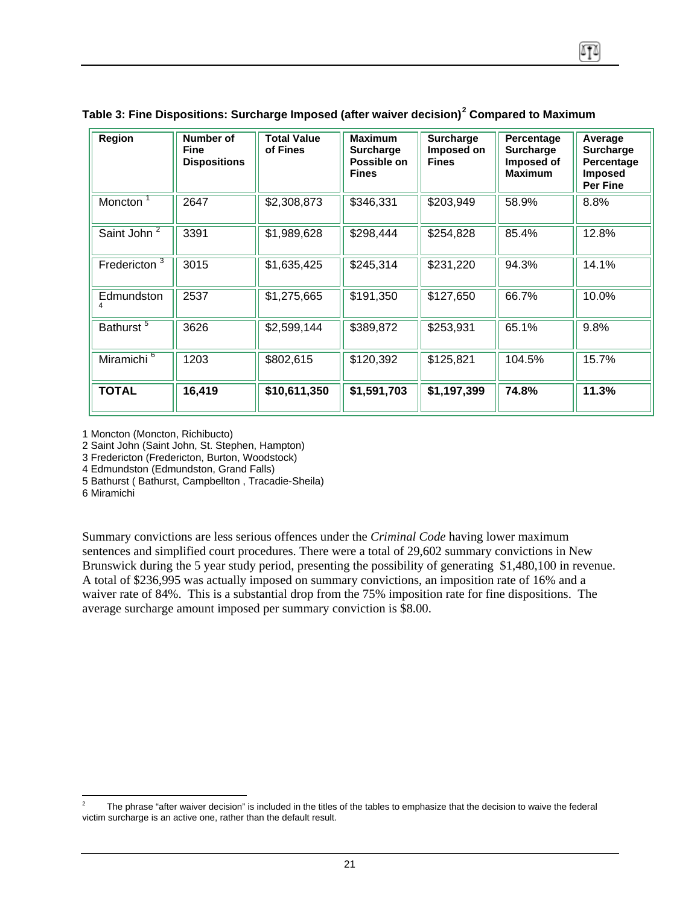| Region                  | Number of<br>Fine<br><b>Dispositions</b> | <b>Total Value</b><br>of Fines | <b>Maximum</b><br><b>Surcharge</b><br>Possible on<br><b>Fines</b> | <b>Surcharge</b><br>Imposed on<br><b>Fines</b> | Percentage<br><b>Surcharge</b><br>Imposed of<br><b>Maximum</b> | Average<br><b>Surcharge</b><br>Percentage<br><b>Imposed</b><br>Per Fine |
|-------------------------|------------------------------------------|--------------------------------|-------------------------------------------------------------------|------------------------------------------------|----------------------------------------------------------------|-------------------------------------------------------------------------|
| Moncton <sup>1</sup>    | 2647                                     | \$2,308,873                    | \$346,331                                                         | \$203,949                                      | 58.9%                                                          | 8.8%                                                                    |
| Saint John <sup>2</sup> | 3391                                     | \$1,989,628                    | \$298,444                                                         | \$254,828                                      | 85.4%                                                          | 12.8%                                                                   |
| Fredericton $3$         | 3015                                     | \$1,635,425                    | \$245,314                                                         | \$231,220                                      | 94.3%                                                          | 14.1%                                                                   |
| Edmundston              | 2537                                     | \$1,275,665                    | \$191,350                                                         | \$127,650                                      | 66.7%                                                          | 10.0%                                                                   |
| Bathurst <sup>5</sup>   | 3626                                     | \$2,599,144                    | \$389,872                                                         | \$253,931                                      | 65.1%                                                          | 9.8%                                                                    |
| Miramichi <sup>6</sup>  | 1203                                     | \$802,615                      | \$120,392                                                         | \$125,821                                      | 104.5%                                                         | 15.7%                                                                   |
| <b>TOTAL</b>            | 16,419                                   | \$10,611,350                   | \$1,591,703                                                       | \$1,197,399                                    | 74.8%                                                          | 11.3%                                                                   |

|  |  | Table 3: Fine Dispositions: Surcharge Imposed (after waiver decision) $^2$ Compared to Maximum |
|--|--|------------------------------------------------------------------------------------------------|
|  |  |                                                                                                |

1 Moncton (Moncton, Richibucto)

2 Saint John (Saint John, St. Stephen, Hampton)

3 Fredericton (Fredericton, Burton, Woodstock)

4 Edmundston (Edmundston, Grand Falls)

5 Bathurst ( Bathurst, Campbellton , Tracadie-Sheila)

6 Miramichi

Summary convictions are less serious offences under the *Criminal Code* having lower maximum sentences and simplified court procedures. There were a total of 29,602 summary convictions in New Brunswick during the 5 year study period, presenting the possibility of generating \$1,480,100 in revenue. A total of \$236,995 was actually imposed on summary convictions, an imposition rate of 16% and a waiver rate of 84%. This is a substantial drop from the 75% imposition rate for fine dispositions. The average surcharge amount imposed per summary conviction is \$8.00.

<span id="page-21-0"></span> $\overline{a}$ 2 The phrase "after waiver decision" is included in the titles of the tables to emphasize that the decision to waive the federal victim surcharge is an active one, rather than the default result.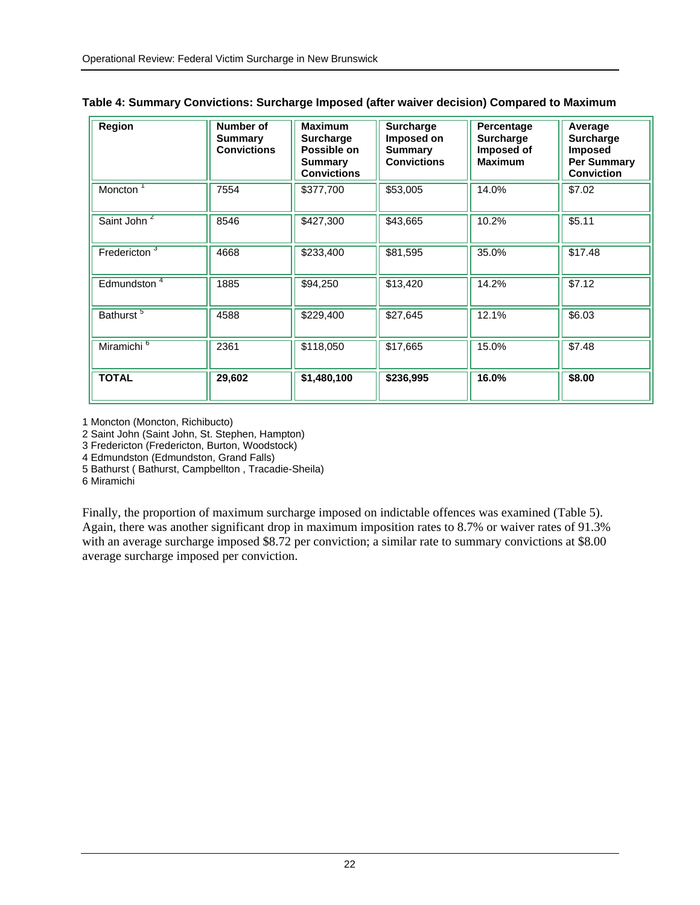| Region                   | Number of<br><b>Summary</b><br><b>Convictions</b> | <b>Maximum</b><br><b>Surcharge</b><br>Possible on<br><b>Summary</b><br><b>Convictions</b> | Surcharge<br>Imposed on<br><b>Summary</b><br><b>Convictions</b> | Percentage<br><b>Surcharge</b><br>Imposed of<br><b>Maximum</b> | Average<br><b>Surcharge</b><br><b>Imposed</b><br><b>Per Summary</b><br><b>Conviction</b> |
|--------------------------|---------------------------------------------------|-------------------------------------------------------------------------------------------|-----------------------------------------------------------------|----------------------------------------------------------------|------------------------------------------------------------------------------------------|
| Moncton <sup>1</sup>     | 7554                                              | \$377,700                                                                                 | \$53,005                                                        | 14.0%                                                          | \$7.02                                                                                   |
| Saint John <sup>2</sup>  | 8546                                              | \$427,300                                                                                 | \$43,665                                                        | 10.2%                                                          | \$5.11                                                                                   |
| Fredericton <sup>3</sup> | 4668                                              | \$233,400                                                                                 | \$81,595                                                        | 35.0%                                                          | \$17.48                                                                                  |
| Edmundston <sup>4</sup>  | 1885                                              | \$94,250                                                                                  | \$13,420                                                        | 14.2%                                                          | \$7.12                                                                                   |
| Bathurst <sup>5</sup>    | 4588                                              | \$229,400                                                                                 | \$27,645                                                        | 12.1%                                                          | \$6.03                                                                                   |
| Miramichi <sup>6</sup>   | 2361                                              | \$118,050                                                                                 | \$17,665                                                        | 15.0%                                                          | \$7.48                                                                                   |
| <b>TOTAL</b>             | 29,602                                            | \$1,480,100                                                                               | \$236,995                                                       | 16.0%                                                          | \$8.00                                                                                   |

|  |  |  |  |  | Table 4: Summary Convictions: Surcharge Imposed (after waiver decision) Compared to Maximum |
|--|--|--|--|--|---------------------------------------------------------------------------------------------|
|--|--|--|--|--|---------------------------------------------------------------------------------------------|

1 Moncton (Moncton, Richibucto)

2 Saint John (Saint John, St. Stephen, Hampton)

3 Fredericton (Fredericton, Burton, Woodstock)

4 Edmundston (Edmundston, Grand Falls)

5 Bathurst ( Bathurst, Campbellton , Tracadie-Sheila)

6 Miramichi

Finally, the proportion of maximum surcharge imposed on indictable offences was examined (Table 5). Again, there was another significant drop in maximum imposition rates to 8.7% or waiver rates of 91.3% with an average surcharge imposed \$8.72 per conviction; a similar rate to summary convictions at \$8.00 average surcharge imposed per conviction.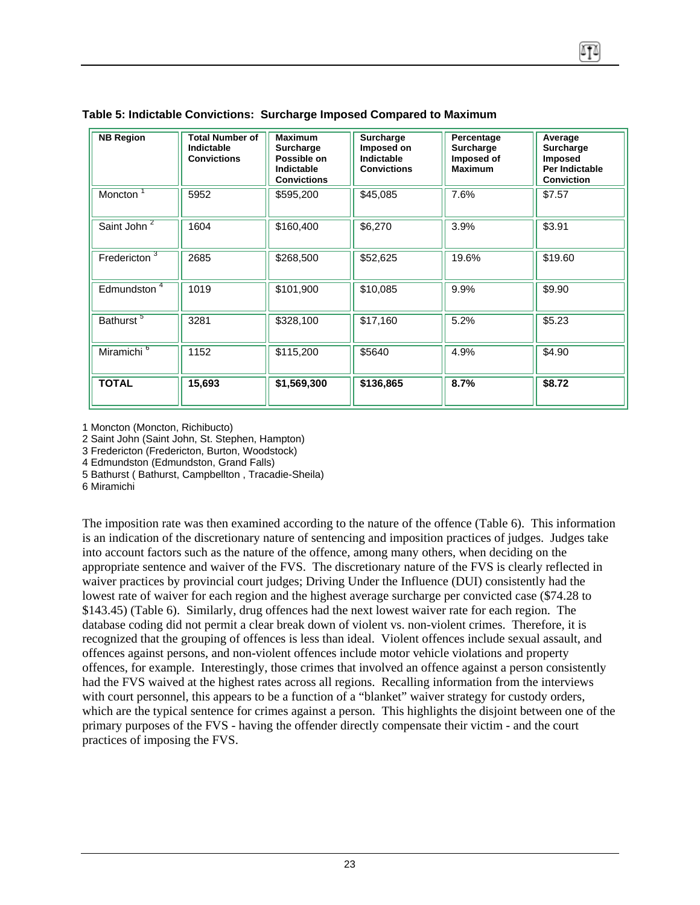| <b>NB Region</b>         | <b>Total Number of</b><br>Indictable<br><b>Convictions</b> | <b>Maximum</b><br>Surcharge<br>Possible on<br>Indictable<br><b>Convictions</b> | Surcharge<br>Imposed on<br>Indictable<br><b>Convictions</b> | Percentage<br>Surcharge<br>Imposed of<br><b>Maximum</b> | Average<br>Surcharge<br><b>Imposed</b><br><b>Per Indictable</b><br><b>Conviction</b> |
|--------------------------|------------------------------------------------------------|--------------------------------------------------------------------------------|-------------------------------------------------------------|---------------------------------------------------------|--------------------------------------------------------------------------------------|
| Moncton                  | 5952                                                       | \$595,200                                                                      | \$45,085                                                    | 7.6%                                                    | \$7.57                                                                               |
| Saint John <sup>2</sup>  | 1604                                                       | \$160,400                                                                      | \$6,270                                                     | 3.9%                                                    | \$3.91                                                                               |
| Fredericton <sup>3</sup> | 2685                                                       | \$268,500                                                                      | \$52,625                                                    | 19.6%                                                   | \$19.60                                                                              |
| Edmundston <sup>4</sup>  | 1019                                                       | \$101,900                                                                      | \$10,085                                                    | 9.9%                                                    | \$9.90                                                                               |
| Bathurst <sup>5</sup>    | 3281                                                       | \$328,100                                                                      | \$17,160                                                    | 5.2%                                                    | \$5.23                                                                               |
| Miramichi <sup>6</sup>   | 1152                                                       | \$115,200                                                                      | \$5640                                                      | 4.9%                                                    | \$4.90                                                                               |
| <b>TOTAL</b>             | 15,693                                                     | \$1,569,300                                                                    | \$136,865                                                   | 8.7%                                                    | \$8.72                                                                               |

#### **Table 5: Indictable Convictions: Surcharge Imposed Compared to Maximum**

1 Moncton (Moncton, Richibucto)

2 Saint John (Saint John, St. Stephen, Hampton)

3 Fredericton (Fredericton, Burton, Woodstock)

4 Edmundston (Edmundston, Grand Falls)

5 Bathurst ( Bathurst, Campbellton , Tracadie-Sheila)

6 Miramichi

The imposition rate was then examined according to the nature of the offence (Table 6). This information is an indication of the discretionary nature of sentencing and imposition practices of judges. Judges take into account factors such as the nature of the offence, among many others, when deciding on the appropriate sentence and waiver of the FVS. The discretionary nature of the FVS is clearly reflected in waiver practices by provincial court judges; Driving Under the Influence (DUI) consistently had the lowest rate of waiver for each region and the highest average surcharge per convicted case (\$74.28 to \$143.45) (Table 6). Similarly, drug offences had the next lowest waiver rate for each region. The database coding did not permit a clear break down of violent vs. non-violent crimes. Therefore, it is recognized that the grouping of offences is less than ideal. Violent offences include sexual assault, and offences against persons, and non-violent offences include motor vehicle violations and property offences, for example. Interestingly, those crimes that involved an offence against a person consistently had the FVS waived at the highest rates across all regions. Recalling information from the interviews with court personnel, this appears to be a function of a "blanket" waiver strategy for custody orders, which are the typical sentence for crimes against a person. This highlights the disjoint between one of the primary purposes of the FVS - having the offender directly compensate their victim - and the court practices of imposing the FVS.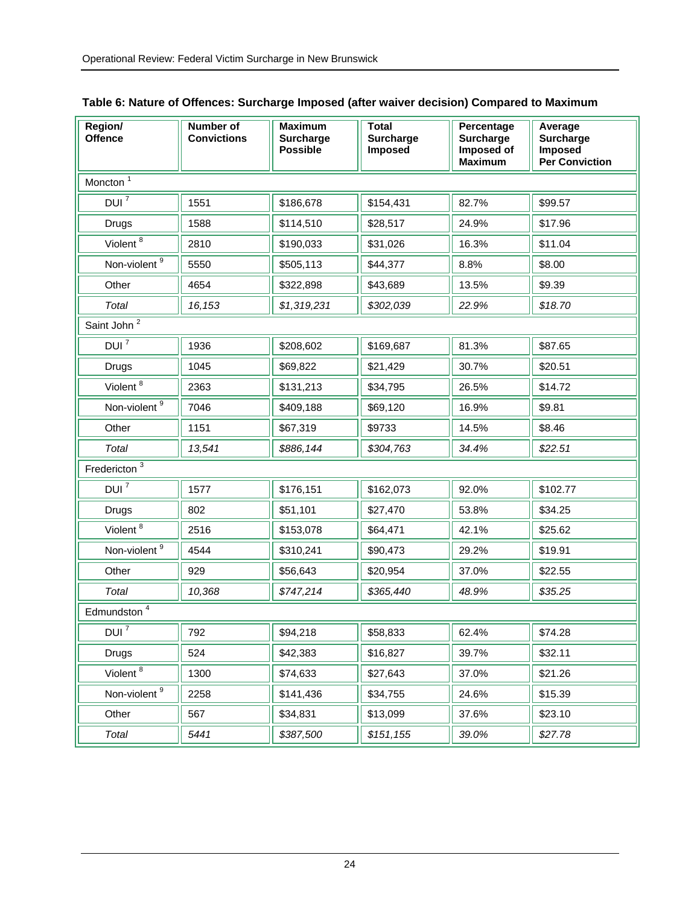| Region/<br><b>Offence</b> | Number of<br><b>Convictions</b> | <b>Maximum</b><br><b>Surcharge</b><br><b>Possible</b> | Total<br><b>Surcharge</b><br>Imposed | Percentage<br>Surcharge<br>Imposed of<br><b>Maximum</b> | Average<br><b>Surcharge</b><br>Imposed<br><b>Per Conviction</b> |  |  |  |
|---------------------------|---------------------------------|-------------------------------------------------------|--------------------------------------|---------------------------------------------------------|-----------------------------------------------------------------|--|--|--|
| Moncton $\frac{1}{1}$     |                                 |                                                       |                                      |                                                         |                                                                 |  |  |  |
| DUI $\bar{7}$             | 1551                            | \$186,678                                             | \$154,431                            | 82.7%                                                   | \$99.57                                                         |  |  |  |
| Drugs                     | 1588                            | \$114,510                                             | \$28,517                             | 24.9%                                                   | \$17.96                                                         |  |  |  |
| Violent $8$               | 2810                            | \$190,033                                             | \$31,026                             | 16.3%                                                   | \$11.04                                                         |  |  |  |
| Non-violent <sup>9</sup>  | 5550                            | \$505,113                                             | \$44,377                             | 8.8%                                                    | \$8.00                                                          |  |  |  |
| Other                     | 4654                            | \$322,898                                             | \$43,689                             | 13.5%                                                   | \$9.39                                                          |  |  |  |
| Total                     | 16,153                          | \$1,319,231                                           | \$302,039                            | 22.9%                                                   | \$18.70                                                         |  |  |  |
| Saint John <sup>2</sup>   |                                 |                                                       |                                      |                                                         |                                                                 |  |  |  |
| $DUI^7$                   | 1936                            | \$208,602                                             | \$169,687                            | 81.3%                                                   | \$87.65                                                         |  |  |  |
| <b>Drugs</b>              | 1045                            | \$69,822                                              | \$21,429                             | 30.7%                                                   | \$20.51                                                         |  |  |  |
| Violent <sup>8</sup>      | 2363                            | \$131,213                                             | \$34,795                             | 26.5%                                                   | \$14.72                                                         |  |  |  |
| Non-violent <sup>9</sup>  | 7046                            | \$409,188                                             | \$69,120                             | 16.9%                                                   | \$9.81                                                          |  |  |  |
| Other                     | 1151                            | \$67,319                                              | \$9733                               | 14.5%                                                   | \$8.46                                                          |  |  |  |
| Total                     | 13,541                          | \$886,144                                             | \$304,763                            | 34.4%                                                   | \$22.51                                                         |  |  |  |
| Fredericton <sup>3</sup>  |                                 |                                                       |                                      |                                                         |                                                                 |  |  |  |
| $DUI^7$                   | 1577                            | \$176,151                                             | \$162,073                            | 92.0%                                                   | \$102.77                                                        |  |  |  |
| Drugs                     | 802                             | \$51,101                                              | \$27,470                             | 53.8%                                                   | \$34.25                                                         |  |  |  |
| Violent <sup>8</sup>      | 2516                            | \$153,078                                             | \$64,471                             | 42.1%                                                   | \$25.62                                                         |  |  |  |
| Non-violent <sup>9</sup>  | 4544                            | \$310,241                                             | \$90,473                             | 29.2%                                                   | \$19.91                                                         |  |  |  |
| Other                     | 929                             | \$56,643                                              | \$20,954                             | 37.0%                                                   | \$22.55                                                         |  |  |  |
| Total                     | 10,368                          | \$747,214                                             | \$365,440                            | 48.9%                                                   | \$35.25                                                         |  |  |  |
| Edmundston <sup>4</sup>   |                                 |                                                       |                                      |                                                         |                                                                 |  |  |  |
| DUI <sup>'</sup>          | 792                             | \$94,218                                              | \$58,833                             | 62.4%                                                   | \$74.28                                                         |  |  |  |
| Drugs                     | 524                             | \$42,383                                              | \$16,827                             | 39.7%                                                   | \$32.11                                                         |  |  |  |
| Violent $8$               | 1300                            | \$74,633                                              | \$27,643                             | 37.0%                                                   | \$21.26                                                         |  |  |  |
| Non-violent <sup>9</sup>  | 2258                            | \$141,436                                             | \$34,755                             | 24.6%                                                   | \$15.39                                                         |  |  |  |
| Other                     | 567                             | \$34,831                                              | \$13,099                             | 37.6%                                                   | \$23.10                                                         |  |  |  |
| Total                     | 5441                            | \$387,500                                             | \$151, 155                           | 39.0%                                                   | \$27.78                                                         |  |  |  |

| Table 6: Nature of Offences: Surcharge Imposed (after waiver decision) Compared to Maximum |  |  |
|--------------------------------------------------------------------------------------------|--|--|
|                                                                                            |  |  |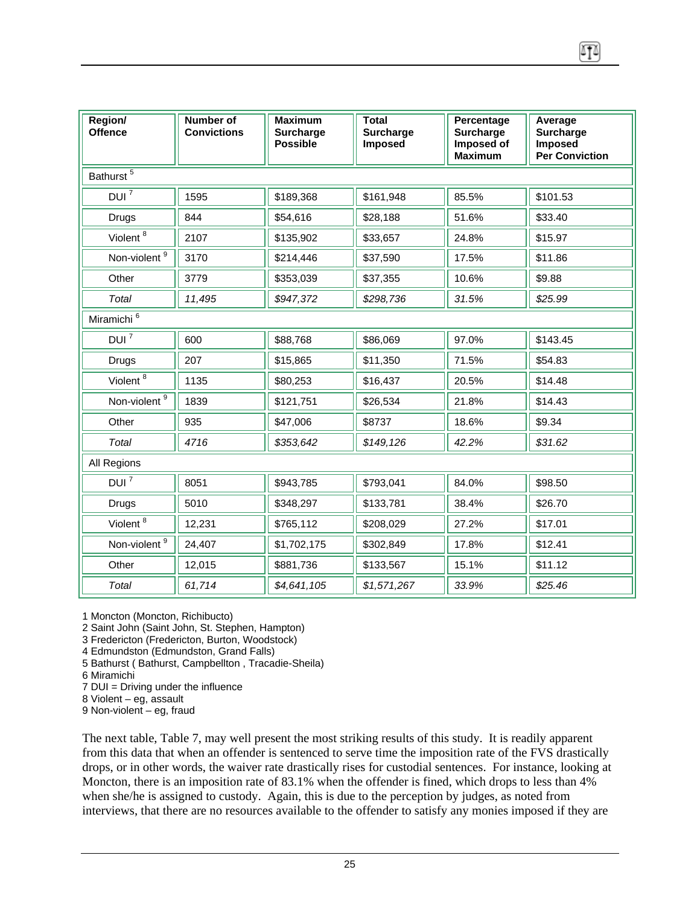| Region/<br><b>Offence</b> | Number of<br><b>Convictions</b> | <b>Maximum</b><br><b>Surcharge</b><br><b>Possible</b> | <b>Total</b><br><b>Surcharge</b><br><b>Imposed</b> | Percentage<br><b>Surcharge</b><br>Imposed of<br><b>Maximum</b> | Average<br><b>Surcharge</b><br><b>Imposed</b><br><b>Per Conviction</b> |
|---------------------------|---------------------------------|-------------------------------------------------------|----------------------------------------------------|----------------------------------------------------------------|------------------------------------------------------------------------|
| Bathurst <sup>5</sup>     |                                 |                                                       |                                                    |                                                                |                                                                        |
| $DUI^7$                   | 1595                            | \$189,368                                             | \$161,948                                          | 85.5%                                                          | \$101.53                                                               |
| Drugs                     | 844                             | \$54,616                                              | \$28,188                                           | 51.6%                                                          | \$33.40                                                                |
| Violent <sup>8</sup>      | 2107                            | \$135,902                                             | \$33,657                                           | 24.8%                                                          | \$15.97                                                                |
| Non-violent <sup>9</sup>  | 3170                            | \$214.446                                             | \$37,590                                           | 17.5%                                                          | \$11.86                                                                |
| Other                     | 3779                            | \$353,039                                             | \$37,355                                           | 10.6%                                                          | \$9.88                                                                 |

| Other                           | 3779   | \$353,039   | \$37,355    | 10.6% | \$9.88   |  |  |  |  |
|---------------------------------|--------|-------------|-------------|-------|----------|--|--|--|--|
| Total                           | 11,495 | \$947,372   | \$298,736   | 31.5% | \$25.99  |  |  |  |  |
| Miramichi <sup>6</sup>          |        |             |             |       |          |  |  |  |  |
| $DUI^7$                         | 600    | \$88,768    | \$86,069    | 97.0% | \$143.45 |  |  |  |  |
| Drugs                           | 207    | \$15,865    | \$11,350    | 71.5% | \$54.83  |  |  |  |  |
| Violent $\overline{\frac{8}{}}$ | 1135   | \$80,253    | \$16,437    | 20.5% | \$14.48  |  |  |  |  |
| Non-violent <sup>9</sup>        | 1839   | \$121,751   | \$26,534    | 21.8% | \$14.43  |  |  |  |  |
| Other                           | 935    | \$47,006    | \$8737      | 18.6% | \$9.34   |  |  |  |  |
| Total                           | 4716   | \$353,642   | \$149,126   | 42.2% | \$31.62  |  |  |  |  |
| All Regions                     |        |             |             |       |          |  |  |  |  |
| $DUI^7$                         | 8051   | \$943,785   | \$793,041   | 84.0% | \$98.50  |  |  |  |  |
| <b>Drugs</b>                    | 5010   | \$348,297   | \$133,781   | 38.4% | \$26.70  |  |  |  |  |
| Violent <sup>8</sup>            | 12,231 | \$765,112   | \$208,029   | 27.2% | \$17.01  |  |  |  |  |
| Non-violent <sup>9</sup>        | 24,407 | \$1,702,175 | \$302,849   | 17.8% | \$12.41  |  |  |  |  |
| Other                           | 12,015 | \$881,736   | \$133,567   | 15.1% | \$11.12  |  |  |  |  |
| Total                           | 61,714 | \$4,641,105 | \$1,571,267 | 33.9% | \$25.46  |  |  |  |  |

1 Moncton (Moncton, Richibucto)

2 Saint John (Saint John, St. Stephen, Hampton)

3 Fredericton (Fredericton, Burton, Woodstock)

4 Edmundston (Edmundston, Grand Falls)

5 Bathurst ( Bathurst, Campbellton , Tracadie-Sheila)

6 Miramichi

7 DUI = Driving under the influence

8 Violent – eg, assault

9 Non-violent – eg, fraud

The next table, Table 7, may well present the most striking results of this study. It is readily apparent from this data that when an offender is sentenced to serve time the imposition rate of the FVS drastically drops, or in other words, the waiver rate drastically rises for custodial sentences. For instance, looking at Moncton, there is an imposition rate of 83.1% when the offender is fined, which drops to less than 4% when she/he is assigned to custody. Again, this is due to the perception by judges, as noted from interviews, that there are no resources available to the offender to satisfy any monies imposed if they are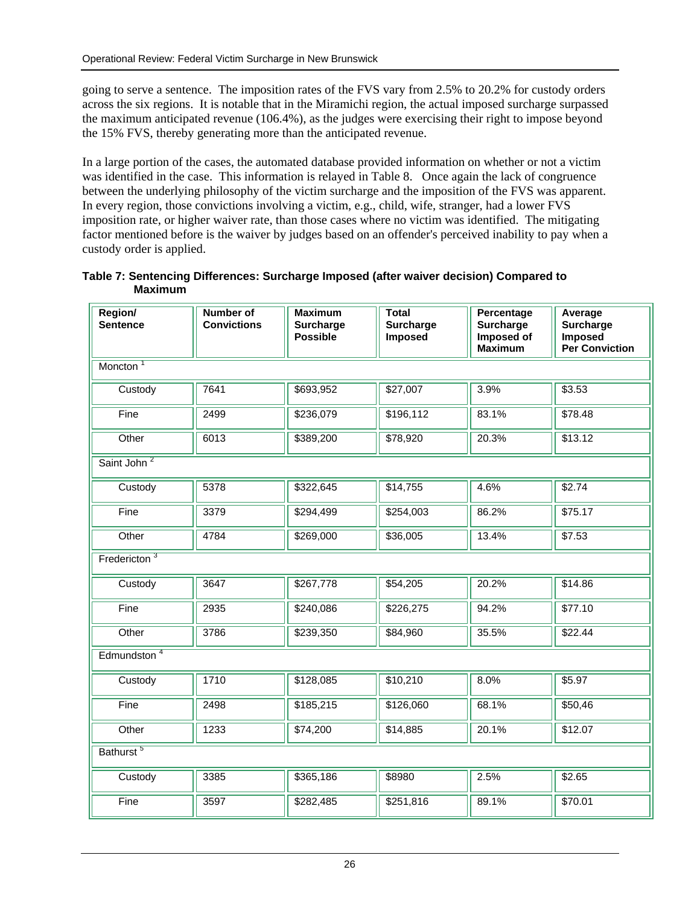going to serve a sentence. The imposition rates of the FVS vary from 2.5% to 20.2% for custody orders across the six regions. It is notable that in the Miramichi region, the actual imposed surcharge surpassed the maximum anticipated revenue (106.4%), as the judges were exercising their right to impose beyond the 15% FVS, thereby generating more than the anticipated revenue.

In a large portion of the cases, the automated database provided information on whether or not a victim was identified in the case. This information is relayed in Table 8. Once again the lack of congruence between the underlying philosophy of the victim surcharge and the imposition of the FVS was apparent. In every region, those convictions involving a victim, e.g., child, wife, stranger, had a lower FVS imposition rate, or higher waiver rate, than those cases where no victim was identified. The mitigating factor mentioned before is the waiver by judges based on an offender's perceived inability to pay when a custody order is applied.

**Table 7: Sentencing Differences: Surcharge Imposed (after waiver decision) Compared to Maximum** 

| Region/<br><b>Sentence</b> | Number of<br><b>Convictions</b> | <b>Maximum</b><br><b>Surcharge</b><br><b>Possible</b> | <b>Total</b><br><b>Surcharge</b><br>Imposed | Percentage<br>Surcharge<br>Imposed of<br><b>Maximum</b> | Average<br>Surcharge<br>Imposed<br><b>Per Conviction</b> |  |  |  |  |  |
|----------------------------|---------------------------------|-------------------------------------------------------|---------------------------------------------|---------------------------------------------------------|----------------------------------------------------------|--|--|--|--|--|
| Moncton <sup>1</sup>       |                                 |                                                       |                                             |                                                         |                                                          |  |  |  |  |  |
| Custody                    | 7641                            | \$693,952                                             | \$27,007                                    | 3.9%                                                    | \$3.53                                                   |  |  |  |  |  |
| Fine                       | 2499                            | \$236,079                                             | \$196,112                                   | 83.1%                                                   | \$78.48                                                  |  |  |  |  |  |
| Other                      | 6013                            | \$389,200                                             | \$78,920                                    | 20.3%                                                   | \$13.12                                                  |  |  |  |  |  |
| Saint John <sup>2</sup>    |                                 |                                                       |                                             |                                                         |                                                          |  |  |  |  |  |
| Custody                    | 5378                            | \$322,645                                             | \$14,755                                    | 4.6%                                                    | $\overline{$}2.74$                                       |  |  |  |  |  |
| Fine                       | 3379                            | \$294,499                                             | \$254,003                                   | 86.2%                                                   | \$75.17                                                  |  |  |  |  |  |
| Other                      | 4784                            | \$269,000                                             | \$36,005                                    | 13.4%                                                   | \$7.53                                                   |  |  |  |  |  |
| Fredericton $3$            |                                 |                                                       |                                             |                                                         |                                                          |  |  |  |  |  |
| Custody                    | 3647                            | \$267,778                                             | \$54,205                                    | 20.2%                                                   | \$14.86                                                  |  |  |  |  |  |
| Fine                       | 2935                            | \$240,086                                             | \$226,275                                   | 94.2%                                                   | \$77.10                                                  |  |  |  |  |  |
| Other                      | 3786                            | \$239,350                                             | \$84,960                                    | 35.5%                                                   | \$22.44                                                  |  |  |  |  |  |
| Edmundston <sup>4</sup>    |                                 |                                                       |                                             |                                                         |                                                          |  |  |  |  |  |
| Custody                    | 1710                            | \$128,085                                             | \$10,210                                    | 8.0%                                                    | \$5.97                                                   |  |  |  |  |  |
| Fine                       | 2498                            | \$185,215                                             | \$126,060                                   | 68.1%                                                   | \$50,46                                                  |  |  |  |  |  |
| Other                      | 1233                            | \$74,200                                              | \$14,885                                    | 20.1%                                                   | \$12.07                                                  |  |  |  |  |  |
| Bathurst <sup>5</sup>      |                                 |                                                       |                                             |                                                         |                                                          |  |  |  |  |  |
| Custody                    | 3385                            | \$365,186                                             | \$8980                                      | 2.5%                                                    | \$2.65                                                   |  |  |  |  |  |
| Fine                       | 3597                            | \$282,485                                             | \$251,816                                   | 89.1%                                                   | \$70.01                                                  |  |  |  |  |  |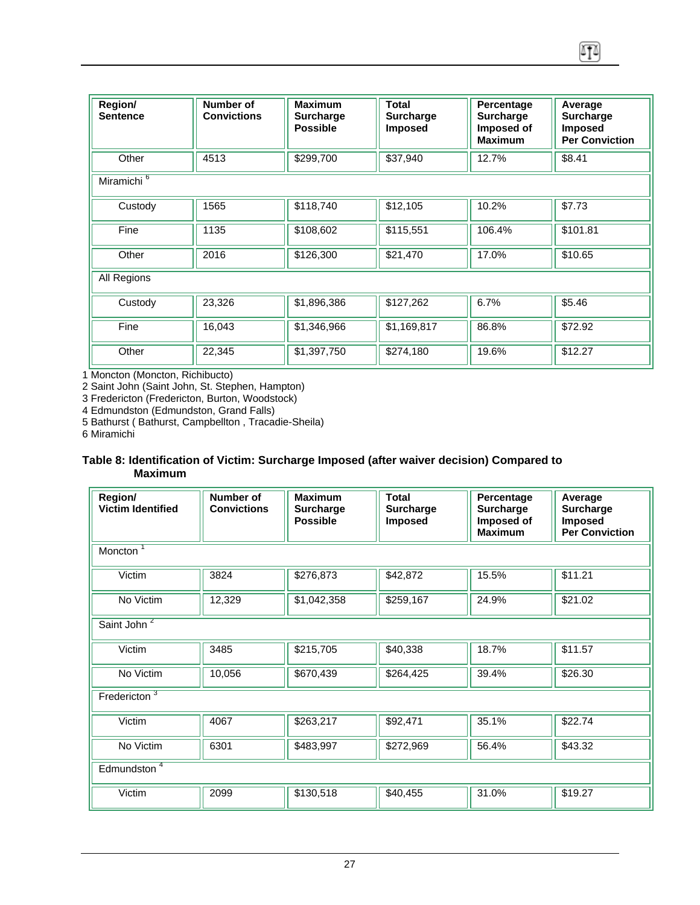| Region/<br><b>Sentence</b> | <b>Number of</b><br><b>Convictions</b> | <b>Maximum</b><br><b>Surcharge</b><br><b>Possible</b> | Total<br><b>Surcharge</b><br><b>Imposed</b> | Percentage<br><b>Surcharge</b><br>Imposed of<br><b>Maximum</b> | Average<br><b>Surcharge</b><br><b>Imposed</b><br><b>Per Conviction</b> |
|----------------------------|----------------------------------------|-------------------------------------------------------|---------------------------------------------|----------------------------------------------------------------|------------------------------------------------------------------------|
| Other                      | 4513                                   | \$299,700                                             | \$37,940                                    | 12.7%                                                          | \$8.41                                                                 |
| Miramichi <sup>6</sup>     |                                        |                                                       |                                             |                                                                |                                                                        |
| Custody                    | 1565                                   | \$118,740                                             | \$12,105                                    | 10.2%                                                          | \$7.73                                                                 |
| Fine                       | 1135                                   | \$108,602                                             | \$115,551                                   | 106.4%                                                         | \$101.81                                                               |
| Other                      | 2016                                   | \$126,300                                             | \$21,470                                    | 17.0%                                                          | \$10.65                                                                |
| All Regions                |                                        |                                                       |                                             |                                                                |                                                                        |
| Custody                    | 23,326                                 | \$1,896,386                                           | $\overline{$}127,262$                       | 6.7%                                                           | \$5.46                                                                 |
| Fine                       | 16,043                                 | \$1,346,966                                           | \$1,169,817                                 | 86.8%                                                          | \$72.92                                                                |
| Other                      | 22,345                                 | \$1,397,750                                           | \$274,180                                   | 19.6%                                                          | \$12.27                                                                |

1 Moncton (Moncton, Richibucto)

2 Saint John (Saint John, St. Stephen, Hampton)

3 Fredericton (Fredericton, Burton, Woodstock)

4 Edmundston (Edmundston, Grand Falls)

5 Bathurst ( Bathurst, Campbellton , Tracadie-Sheila)

6 Miramichi

#### **Table 8: Identification of Victim: Surcharge Imposed (after waiver decision) Compared to Maximum**

| Region/<br><b>Victim Identified</b> | Number of<br><b>Convictions</b> | <b>Maximum</b><br><b>Surcharge</b><br><b>Possible</b> | <b>Total</b><br><b>Surcharge</b><br><b>Imposed</b> | Percentage<br><b>Surcharge</b><br>Imposed of<br><b>Maximum</b> | Average<br><b>Surcharge</b><br>Imposed<br><b>Per Conviction</b> |  |  |  |
|-------------------------------------|---------------------------------|-------------------------------------------------------|----------------------------------------------------|----------------------------------------------------------------|-----------------------------------------------------------------|--|--|--|
| Moncton <sup>1</sup>                |                                 |                                                       |                                                    |                                                                |                                                                 |  |  |  |
| Victim                              | 3824                            | \$276,873                                             | \$42,872                                           | 15.5%                                                          | \$11.21                                                         |  |  |  |
| No Victim                           | 12,329                          | \$1,042,358                                           | \$259,167                                          | 24.9%                                                          | \$21.02                                                         |  |  |  |
| Saint John <sup>2</sup>             |                                 |                                                       |                                                    |                                                                |                                                                 |  |  |  |
| Victim                              | 3485                            | \$215,705                                             | \$40,338                                           | 18.7%                                                          | \$11.57                                                         |  |  |  |
| No Victim                           | 10,056                          | \$670,439                                             | \$264,425                                          | 39.4%                                                          | \$26.30                                                         |  |  |  |
| Fredericton <sup>3</sup>            |                                 |                                                       |                                                    |                                                                |                                                                 |  |  |  |
| Victim                              | 4067                            | \$263,217                                             | \$92,471                                           | 35.1%                                                          | \$22.74                                                         |  |  |  |
| No Victim                           | 6301                            | \$483,997                                             | \$272,969                                          | 56.4%                                                          | \$43.32                                                         |  |  |  |
| Edmundston <sup>4</sup>             |                                 |                                                       |                                                    |                                                                |                                                                 |  |  |  |
| Victim                              | 2099                            | \$130,518                                             | \$40,455                                           | 31.0%                                                          | \$19.27                                                         |  |  |  |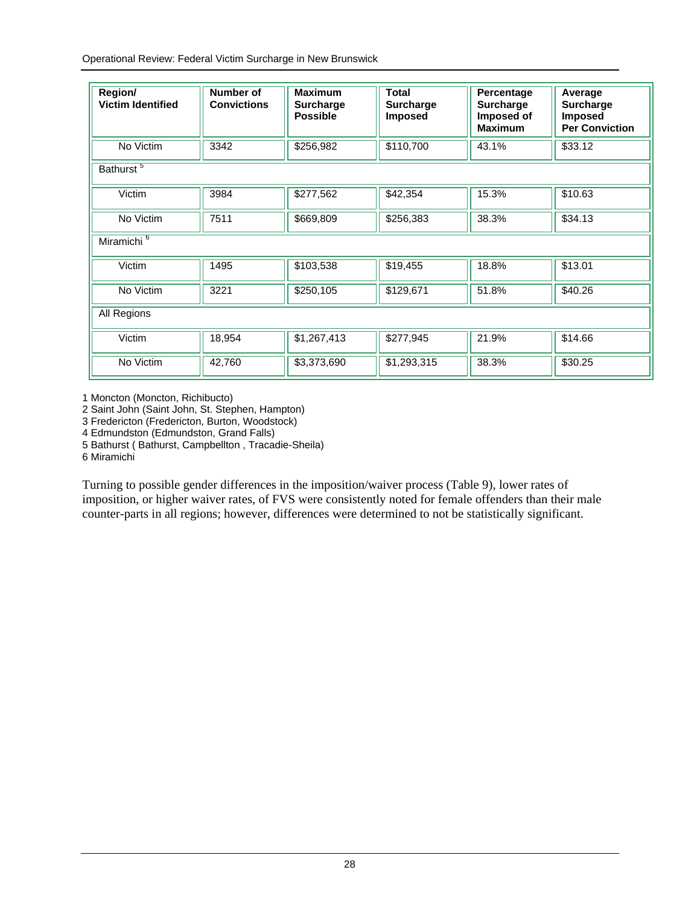Operational Review: Federal Victim Surcharge in New Brunswick

| Region/<br><b>Victim Identified</b> | Number of<br><b>Convictions</b> | <b>Maximum</b><br><b>Surcharge</b><br><b>Possible</b> | <b>Total</b><br><b>Surcharge</b><br><b>Imposed</b> | Percentage<br><b>Surcharge</b><br>Imposed of<br><b>Maximum</b> | Average<br><b>Surcharge</b><br><b>Imposed</b><br><b>Per Conviction</b> |  |  |  |  |
|-------------------------------------|---------------------------------|-------------------------------------------------------|----------------------------------------------------|----------------------------------------------------------------|------------------------------------------------------------------------|--|--|--|--|
| No Victim                           | 3342                            | \$256,982                                             | \$110,700                                          | 43.1%                                                          | \$33.12                                                                |  |  |  |  |
| Bathurst <sup>5</sup>               |                                 |                                                       |                                                    |                                                                |                                                                        |  |  |  |  |
| Victim                              | 3984                            | \$277,562                                             | \$42,354                                           | 15.3%                                                          | \$10.63                                                                |  |  |  |  |
| No Victim                           | 7511                            | \$669,809                                             | \$256,383                                          | 38.3%                                                          | \$34.13                                                                |  |  |  |  |
| Miramichi <sup>6</sup>              |                                 |                                                       |                                                    |                                                                |                                                                        |  |  |  |  |
| Victim                              | 1495                            | \$103,538                                             | \$19,455                                           | 18.8%                                                          | \$13.01                                                                |  |  |  |  |
| No Victim                           | 3221                            | \$250,105                                             | \$129,671                                          | 51.8%                                                          | \$40.26                                                                |  |  |  |  |
| All Regions                         |                                 |                                                       |                                                    |                                                                |                                                                        |  |  |  |  |
| Victim                              | 18,954                          | \$1,267,413                                           | \$277,945                                          | 21.9%                                                          | \$14.66                                                                |  |  |  |  |
| No Victim                           | 42,760                          | \$3,373,690                                           | \$1,293,315                                        | 38.3%                                                          | \$30.25                                                                |  |  |  |  |

1 Moncton (Moncton, Richibucto)

2 Saint John (Saint John, St. Stephen, Hampton)

3 Fredericton (Fredericton, Burton, Woodstock)

4 Edmundston (Edmundston, Grand Falls)

5 Bathurst ( Bathurst, Campbellton , Tracadie-Sheila)

6 Miramichi

Turning to possible gender differences in the imposition/waiver process (Table 9), lower rates of imposition, or higher waiver rates, of FVS were consistently noted for female offenders than their male counter-parts in all regions; however, differences were determined to not be statistically significant.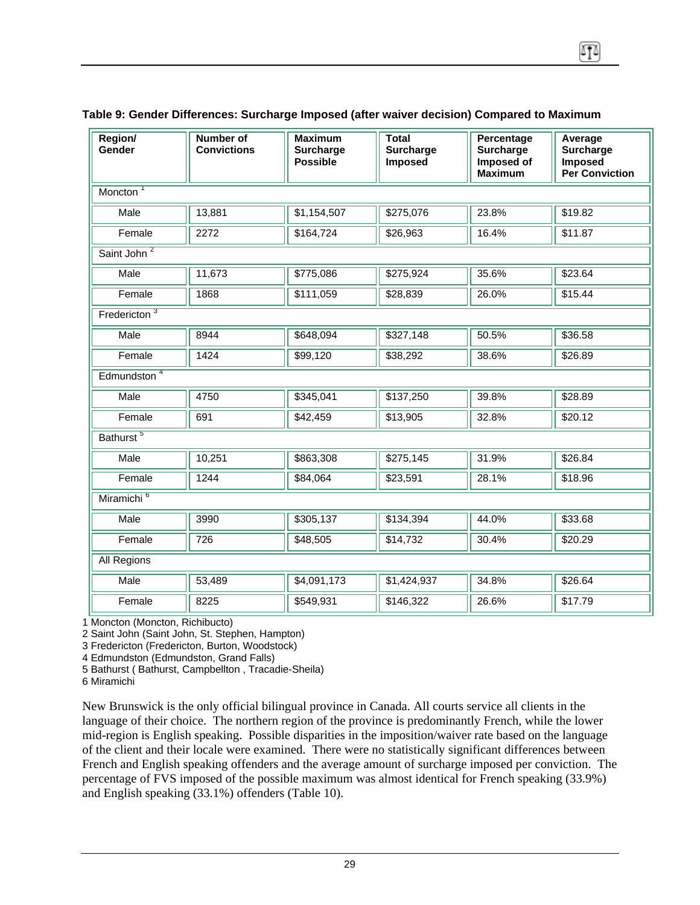| Region/<br>Gender                      | Number of<br><b>Convictions</b> | <b>Maximum</b><br><b>Surcharge</b><br><b>Possible</b> | <b>Total</b><br><b>Surcharge</b><br>Imposed | Percentage<br><b>Surcharge</b><br>Imposed of<br><b>Maximum</b> | Average<br><b>Surcharge</b><br><b>Imposed</b><br><b>Per Conviction</b> |  |  |  |  |
|----------------------------------------|---------------------------------|-------------------------------------------------------|---------------------------------------------|----------------------------------------------------------------|------------------------------------------------------------------------|--|--|--|--|
| Moncton <sup>1</sup>                   |                                 |                                                       |                                             |                                                                |                                                                        |  |  |  |  |
| Male                                   | 13,881                          | \$1,154,507                                           | \$275,076                                   | 23.8%                                                          | \$19.82                                                                |  |  |  |  |
| Female                                 | 2272                            | \$164,724                                             | \$26,963                                    | 16.4%                                                          | \$11.87                                                                |  |  |  |  |
| Saint John <sup>2</sup>                |                                 |                                                       |                                             |                                                                |                                                                        |  |  |  |  |
| Male                                   | 11,673                          | \$775,086                                             | \$275,924                                   | 35.6%                                                          | \$23.64                                                                |  |  |  |  |
| Female                                 | 1868                            | \$111,059                                             | \$28,839                                    | 26.0%                                                          | \$15.44                                                                |  |  |  |  |
| Fredericton $3$                        |                                 |                                                       |                                             |                                                                |                                                                        |  |  |  |  |
| Male                                   | 8944                            | \$648,094                                             | \$327,148                                   | 50.5%                                                          | \$36.58                                                                |  |  |  |  |
| Female                                 | 1424                            | \$99,120                                              | \$38,292                                    | 38.6%                                                          | \$26.89                                                                |  |  |  |  |
| $E$ <sub>d</sub> mundston <sup>4</sup> |                                 |                                                       |                                             |                                                                |                                                                        |  |  |  |  |
| Male                                   | 4750                            | \$345,041                                             | \$137,250                                   | 39.8%                                                          | \$28.89                                                                |  |  |  |  |
| Female                                 | 691                             | \$42,459                                              | \$13,905                                    | 32.8%                                                          | \$20.12                                                                |  |  |  |  |
| Bathurst <sup>5</sup>                  |                                 |                                                       |                                             |                                                                |                                                                        |  |  |  |  |
| Male                                   | 10,251                          | \$863,308                                             | \$275,145                                   | 31.9%                                                          | \$26.84                                                                |  |  |  |  |
| Female                                 | 1244                            | \$84,064                                              | \$23,591                                    | 28.1%                                                          | \$18.96                                                                |  |  |  |  |
| Miramichi <sup>6</sup>                 |                                 |                                                       |                                             |                                                                |                                                                        |  |  |  |  |
| Male                                   | 3990                            | \$305,137                                             | \$134,394                                   | 44.0%                                                          | \$33.68                                                                |  |  |  |  |
| Female                                 | 726                             | \$48,505                                              | \$14,732                                    | 30.4%                                                          | \$20.29                                                                |  |  |  |  |
| All Regions                            |                                 |                                                       |                                             |                                                                |                                                                        |  |  |  |  |
| Male                                   | 53,489                          | \$4,091,173                                           | \$1,424,937                                 | 34.8%                                                          | \$26.64                                                                |  |  |  |  |
| Female                                 | 8225                            | \$549,931                                             | \$146,322                                   | 26.6%                                                          | \$17.79                                                                |  |  |  |  |

#### **Table 9: Gender Differences: Surcharge Imposed (after waiver decision) Compared to Maximum**

1 Moncton (Moncton, Richibucto)

2 Saint John (Saint John, St. Stephen, Hampton)

3 Fredericton (Fredericton, Burton, Woodstock)

4 Edmundston (Edmundston, Grand Falls)

5 Bathurst ( Bathurst, Campbellton , Tracadie-Sheila)

6 Miramichi

New Brunswick is the only official bilingual province in Canada. All courts service all clients in the language of their choice. The northern region of the province is predominantly French, while the lower mid-region is English speaking. Possible disparities in the imposition/waiver rate based on the language of the client and their locale were examined. There were no statistically significant differences between French and English speaking offenders and the average amount of surcharge imposed per conviction. The percentage of FVS imposed of the possible maximum was almost identical for French speaking (33.9%) and English speaking (33.1%) offenders (Table 10).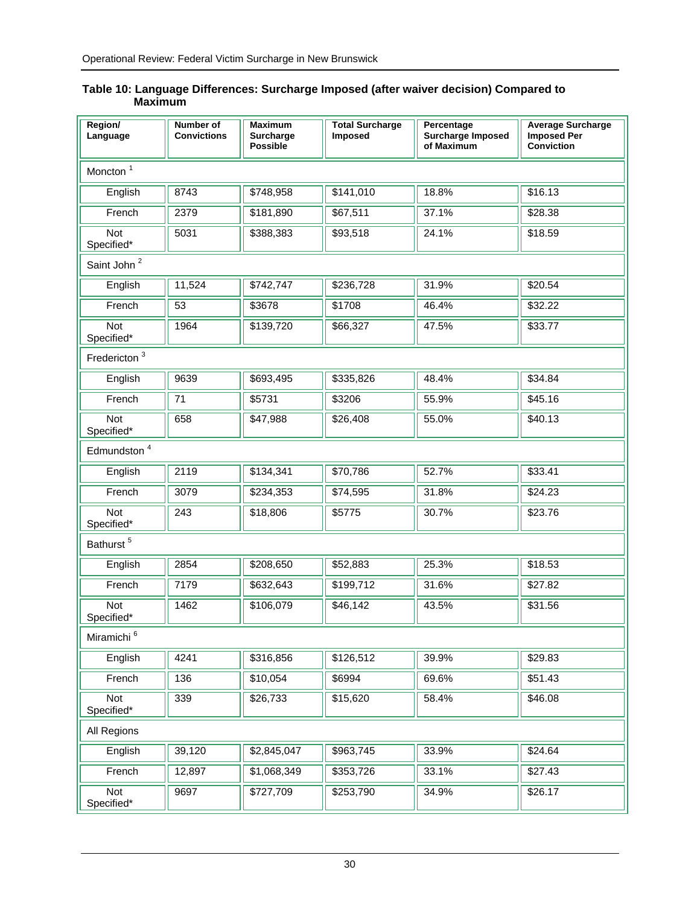| Region/<br>Language      | Number of<br><b>Convictions</b> | <b>Maximum</b><br><b>Surcharge</b><br><b>Possible</b> | <b>Total Surcharge</b><br><b>Imposed</b> | Percentage<br>Surcharge Imposed<br>of Maximum | <b>Average Surcharge</b><br><b>Imposed Per</b><br><b>Conviction</b> |  |  |  |  |
|--------------------------|---------------------------------|-------------------------------------------------------|------------------------------------------|-----------------------------------------------|---------------------------------------------------------------------|--|--|--|--|
| Moncton <sup>1</sup>     |                                 |                                                       |                                          |                                               |                                                                     |  |  |  |  |
| English                  | 8743                            | \$748,958                                             | \$141,010                                | 18.8%                                         | \$16.13                                                             |  |  |  |  |
| French                   | 2379                            | \$181,890                                             | \$67,511                                 | 37.1%                                         | \$28.38                                                             |  |  |  |  |
| Not<br>Specified*        | 5031                            | \$388,383                                             | \$93,518                                 | 24.1%                                         | \$18.59                                                             |  |  |  |  |
| Saint John <sup>2</sup>  |                                 |                                                       |                                          |                                               |                                                                     |  |  |  |  |
| English                  | 11,524                          | $\overline{$}742,747$                                 | $\overline{$}236,728$                    | 31.9%                                         | \$20.54                                                             |  |  |  |  |
| French                   | 53                              | \$3678                                                | \$1708                                   | 46.4%                                         | \$32.22                                                             |  |  |  |  |
| Not<br>Specified*        | 1964                            | \$139,720                                             | \$66,327                                 | 47.5%                                         | \$33.77                                                             |  |  |  |  |
| Fredericton <sup>3</sup> |                                 |                                                       |                                          |                                               |                                                                     |  |  |  |  |
| English                  | 9639                            | \$693,495                                             | \$335,826                                | 48.4%                                         | \$34.84                                                             |  |  |  |  |
| French                   | 71                              | \$5731                                                | \$3206                                   | 55.9%                                         | \$45.16                                                             |  |  |  |  |
| Not<br>Specified*        | 658                             | \$47,988                                              | \$26,408                                 | 55.0%                                         | \$40.13                                                             |  |  |  |  |
| Edmundston <sup>4</sup>  |                                 |                                                       |                                          |                                               |                                                                     |  |  |  |  |
| English                  | 2119                            | \$134,341                                             | \$70,786                                 | 52.7%                                         | \$33.41                                                             |  |  |  |  |
| French                   | 3079                            | \$234,353                                             | \$74,595                                 | 31.8%                                         | \$24.23                                                             |  |  |  |  |
| Not<br>Specified*        | 243                             | \$18,806                                              | \$5775                                   | 30.7%                                         | \$23.76                                                             |  |  |  |  |
| Bathurst <sup>5</sup>    |                                 |                                                       |                                          |                                               |                                                                     |  |  |  |  |
| English                  | 2854                            | \$208,650                                             | \$52,883                                 | 25.3%                                         | \$18.53                                                             |  |  |  |  |
| French                   | 7179                            | \$632,643                                             | \$199,712                                | 31.6%                                         | \$27.82                                                             |  |  |  |  |
| Not<br>Specified*        | 1462                            | \$106,079                                             | \$46,142                                 | 43.5%                                         | \$31.56                                                             |  |  |  |  |
| Miramichi <sup>6</sup>   |                                 |                                                       |                                          |                                               |                                                                     |  |  |  |  |
| English                  | 4241                            | \$316,856                                             | \$126,512                                | 39.9%                                         | \$29.83                                                             |  |  |  |  |
| French                   | 136                             | \$10,054                                              | \$6994                                   | 69.6%                                         | \$51.43                                                             |  |  |  |  |
| Not<br>Specified*        | 339                             | \$26,733                                              | \$15,620                                 | 58.4%                                         | \$46.08                                                             |  |  |  |  |
| All Regions              |                                 |                                                       |                                          |                                               |                                                                     |  |  |  |  |
| English                  | 39,120                          | \$2,845,047                                           | \$963,745                                | 33.9%                                         | \$24.64                                                             |  |  |  |  |
| French                   | 12,897                          | \$1,068,349                                           | \$353,726                                | 33.1%                                         | \$27.43                                                             |  |  |  |  |
| Not<br>Specified*        | 9697                            | \$727,709                                             | \$253,790                                | 34.9%                                         | \$26.17                                                             |  |  |  |  |

#### **Table 10: Language Differences: Surcharge Imposed (after waiver decision) Compared to Maximum**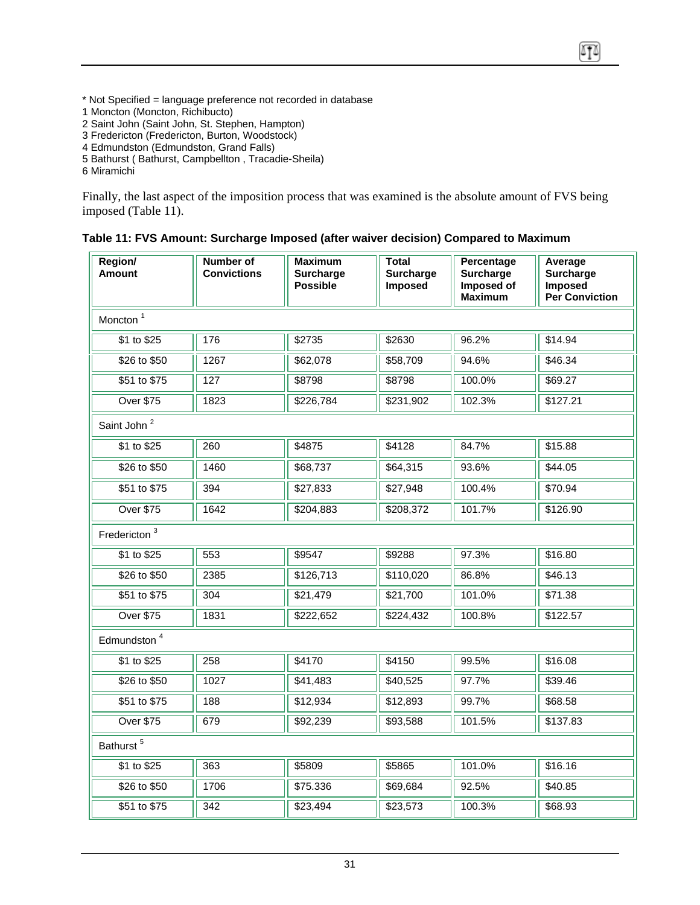\* Not Specified = language preference not recorded in database

1 Moncton (Moncton, Richibucto)

2 Saint John (Saint John, St. Stephen, Hampton)

3 Fredericton (Fredericton, Burton, Woodstock)

4 Edmundston (Edmundston, Grand Falls)

5 Bathurst ( Bathurst, Campbellton , Tracadie-Sheila)

6 Miramichi

Finally, the last aspect of the imposition process that was examined is the absolute amount of FVS being imposed (Table 11).

囨

|  |  |  | Table 11: FVS Amount: Surcharge Imposed (after waiver decision) Compared to Maximum |
|--|--|--|-------------------------------------------------------------------------------------|
|  |  |  |                                                                                     |

| Region/<br><b>Amount</b> | Number of<br><b>Convictions</b> | Maximum<br><b>Surcharge</b><br><b>Possible</b> | Total<br><b>Surcharge</b><br>Imposed | Percentage<br><b>Surcharge</b><br>Imposed of<br><b>Maximum</b> | Average<br><b>Surcharge</b><br>Imposed<br><b>Per Conviction</b> |  |  |  |  |
|--------------------------|---------------------------------|------------------------------------------------|--------------------------------------|----------------------------------------------------------------|-----------------------------------------------------------------|--|--|--|--|
| Moncton <sup>1</sup>     |                                 |                                                |                                      |                                                                |                                                                 |  |  |  |  |
| \$1 to \$25              | 176                             | \$2735                                         | \$2630                               | 96.2%                                                          | \$14.94                                                         |  |  |  |  |
| \$26 to \$50             | 1267                            | \$62,078                                       | \$58,709                             | 94.6%                                                          | \$46.34                                                         |  |  |  |  |
| \$51 to \$75             | 127                             | \$8798                                         | \$8798                               | 100.0%                                                         | \$69.27                                                         |  |  |  |  |
| <b>Over \$75</b>         | 1823                            | \$226,784                                      | \$231,902                            | 102.3%                                                         | \$127.21                                                        |  |  |  |  |
| Saint John <sup>2</sup>  |                                 |                                                |                                      |                                                                |                                                                 |  |  |  |  |
| \$1 to \$25              | 260                             | \$4875                                         | \$4128                               | 84.7%                                                          | \$15.88                                                         |  |  |  |  |
| \$26 to \$50             | 1460                            | \$68,737                                       | \$64,315                             | 93.6%                                                          | \$44.05                                                         |  |  |  |  |
| \$51 to \$75             | 394                             | \$27,833                                       | \$27,948                             | 100.4%                                                         | \$70.94                                                         |  |  |  |  |
| <b>Over \$75</b>         | 1642                            | \$204,883                                      | \$208,372                            | 101.7%                                                         | \$126.90                                                        |  |  |  |  |
| Fredericton <sup>3</sup> |                                 |                                                |                                      |                                                                |                                                                 |  |  |  |  |
| \$1 to \$25              | 553                             | \$9547                                         | \$9288                               | 97.3%                                                          | \$16.80                                                         |  |  |  |  |
| \$26 to \$50             | 2385                            | \$126,713                                      | \$110,020                            | 86.8%                                                          | \$46.13                                                         |  |  |  |  |
| \$51 to \$75             | 304                             | \$21,479                                       | \$21,700                             | 101.0%                                                         | \$71.38                                                         |  |  |  |  |
| <b>Over \$75</b>         | 1831                            | \$222,652                                      | \$224,432                            | 100.8%                                                         | \$122.57                                                        |  |  |  |  |
| Edmundston <sup>4</sup>  |                                 |                                                |                                      |                                                                |                                                                 |  |  |  |  |
| \$1 to \$25              | 258                             | \$4170                                         | \$4150                               | 99.5%                                                          | \$16.08                                                         |  |  |  |  |
| \$26 to \$50             | 1027                            | \$41,483                                       | \$40,525                             | 97.7%                                                          | \$39.46                                                         |  |  |  |  |
| \$51 to \$75             | 188                             | \$12,934                                       | \$12,893                             | 99.7%                                                          | \$68.58                                                         |  |  |  |  |
| <b>Over \$75</b>         | 679                             | \$92,239                                       | \$93,588                             | 101.5%                                                         | \$137.83                                                        |  |  |  |  |
| Bathurst <sup>5</sup>    |                                 |                                                |                                      |                                                                |                                                                 |  |  |  |  |
| \$1 to \$25              | 363                             | \$5809                                         | \$5865                               | 101.0%                                                         | \$16.16                                                         |  |  |  |  |
| \$26 to \$50             | 1706                            | \$75.336                                       | \$69,684                             | 92.5%                                                          | \$40.85                                                         |  |  |  |  |
| \$51 to \$75             | 342                             | \$23,494                                       | \$23,573                             | 100.3%                                                         | \$68.93                                                         |  |  |  |  |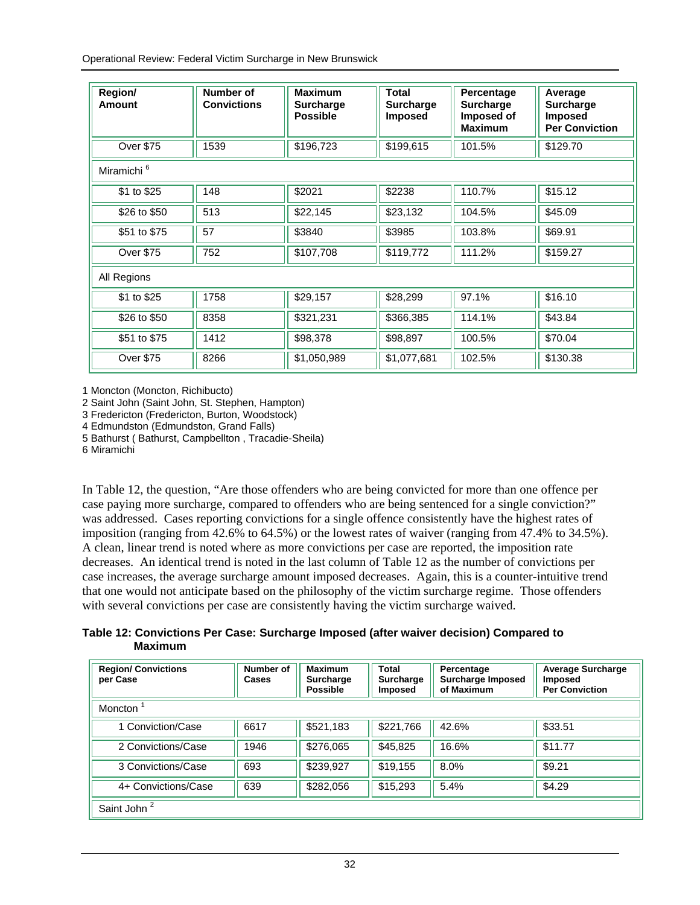Operational Review: Federal Victim Surcharge in New Brunswick

| Region/<br>Amount      | Number of<br><b>Convictions</b> | <b>Maximum</b><br><b>Surcharge</b><br><b>Possible</b> | <b>Total</b><br><b>Surcharge</b><br><b>Imposed</b> | Percentage<br><b>Surcharge</b><br>Imposed of<br><b>Maximum</b> | Average<br><b>Surcharge</b><br><b>Imposed</b><br><b>Per Conviction</b> |
|------------------------|---------------------------------|-------------------------------------------------------|----------------------------------------------------|----------------------------------------------------------------|------------------------------------------------------------------------|
| <b>Over \$75</b>       | 1539                            | \$196,723                                             | \$199,615                                          | 101.5%                                                         | \$129.70                                                               |
| Miramichi <sup>6</sup> |                                 |                                                       |                                                    |                                                                |                                                                        |
| \$1 to \$25            | 148                             | \$2021                                                | \$2238                                             | 110.7%                                                         | \$15.12                                                                |
| \$26 to \$50           | 513                             | \$22,145                                              | \$23,132                                           | 104.5%                                                         | \$45.09                                                                |
| \$51 to \$75           | 57                              | \$3840                                                | \$3985                                             | 103.8%                                                         | \$69.91                                                                |
| <b>Over \$75</b>       | 752                             | \$107,708                                             | \$119,772                                          | 111.2%                                                         | \$159.27                                                               |
| All Regions            |                                 |                                                       |                                                    |                                                                |                                                                        |
| \$1 to \$25            | 1758                            | \$29,157                                              | \$28,299                                           | 97.1%                                                          | \$16.10                                                                |
| \$26 to \$50           | 8358                            | \$321,231                                             | \$366,385                                          | 114.1%                                                         | \$43.84                                                                |
| \$51 to \$75           | 1412                            | \$98,378                                              | \$98,897                                           | 100.5%                                                         | \$70.04                                                                |
| <b>Over \$75</b>       | 8266                            | \$1,050,989                                           | \$1,077,681                                        | 102.5%                                                         | \$130.38                                                               |

1 Moncton (Moncton, Richibucto)

2 Saint John (Saint John, St. Stephen, Hampton)

3 Fredericton (Fredericton, Burton, Woodstock)

4 Edmundston (Edmundston, Grand Falls)

5 Bathurst ( Bathurst, Campbellton , Tracadie-Sheila)

6 Miramichi

In Table 12, the question, "Are those offenders who are being convicted for more than one offence per case paying more surcharge, compared to offenders who are being sentenced for a single conviction?" was addressed. Cases reporting convictions for a single offence consistently have the highest rates of imposition (ranging from 42.6% to 64.5%) or the lowest rates of waiver (ranging from 47.4% to 34.5%). A clean, linear trend is noted where as more convictions per case are reported, the imposition rate decreases. An identical trend is noted in the last column of Table 12 as the number of convictions per case increases, the average surcharge amount imposed decreases. Again, this is a counter-intuitive trend that one would not anticipate based on the philosophy of the victim surcharge regime. Those offenders with several convictions per case are consistently having the victim surcharge waived.

**Table 12: Convictions Per Case: Surcharge Imposed (after waiver decision) Compared to Maximum** 

| <b>Region/ Convictions</b><br>per Case | Number of<br>Cases | <b>Maximum</b><br><b>Surcharge</b><br><b>Possible</b> | Total<br><b>Surcharge</b><br><b>Imposed</b> | Percentage<br><b>Surcharge Imposed</b><br>of Maximum | <b>Average Surcharge</b><br><b>Imposed</b><br><b>Per Conviction</b> |  |  |
|----------------------------------------|--------------------|-------------------------------------------------------|---------------------------------------------|------------------------------------------------------|---------------------------------------------------------------------|--|--|
| Moncton <sup>1</sup>                   |                    |                                                       |                                             |                                                      |                                                                     |  |  |
| 1 Conviction/Case                      | 6617               | \$521,183                                             | \$221,766                                   | 42.6%                                                | \$33.51                                                             |  |  |
| 2 Convictions/Case                     | 1946               | \$276,065                                             | \$45,825                                    | 16.6%                                                | \$11.77                                                             |  |  |
| 3 Convictions/Case                     | 693                | \$239,927                                             | \$19,155                                    | 8.0%                                                 | \$9.21                                                              |  |  |
| 4+ Convictions/Case                    | 639                | \$282,056                                             | \$15,293                                    | 5.4%                                                 | \$4.29                                                              |  |  |
| Saint John <sup>2</sup>                |                    |                                                       |                                             |                                                      |                                                                     |  |  |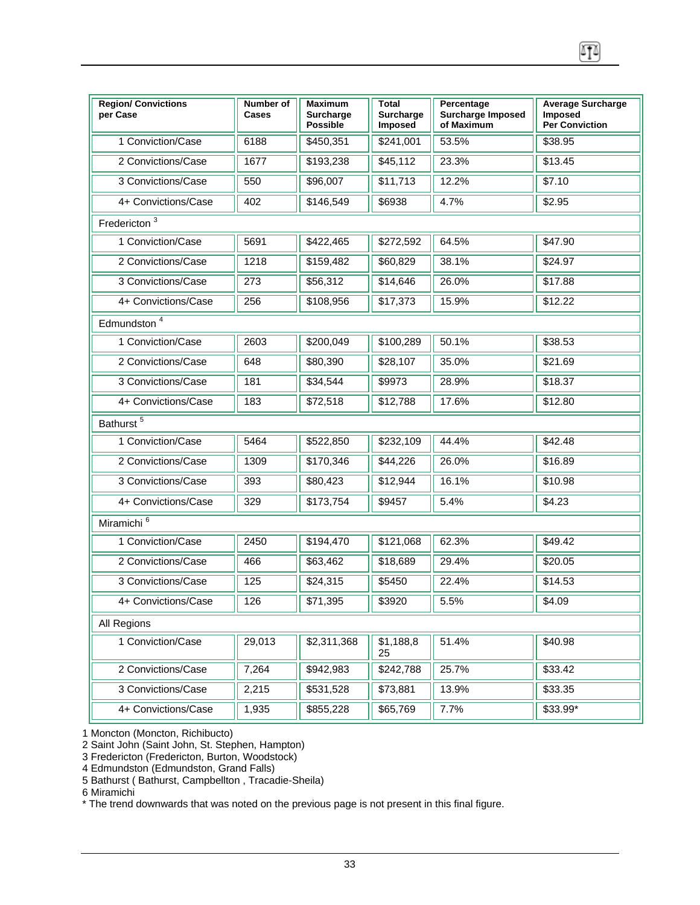| <b>Region/ Convictions</b><br>per Case | Number of<br>Cases | <b>Maximum</b><br>Surcharge<br><b>Possible</b> | Total<br>Surcharge<br><b>Imposed</b> | Percentage<br><b>Surcharge Imposed</b><br>of Maximum | <b>Average Surcharge</b><br><b>Imposed</b><br><b>Per Conviction</b> |
|----------------------------------------|--------------------|------------------------------------------------|--------------------------------------|------------------------------------------------------|---------------------------------------------------------------------|
| 1 Conviction/Case                      | 6188               | \$450,351                                      | \$241,001                            | 53.5%                                                | \$38.95                                                             |
| 2 Convictions/Case                     | 1677               | \$193,238                                      | \$45,112                             | 23.3%                                                | \$13.45                                                             |
| 3 Convictions/Case                     | 550                | \$96,007                                       | \$11,713                             | 12.2%                                                | \$7.10                                                              |
| 4+ Convictions/Case                    | 402                | \$146,549                                      | \$6938                               | 4.7%                                                 | \$2.95                                                              |
| Fredericton <sup>3</sup>               |                    |                                                |                                      |                                                      |                                                                     |
| 1 Conviction/Case                      | 5691               | \$422,465                                      | \$272,592                            | 64.5%                                                | \$47.90                                                             |
| 2 Convictions/Case                     | 1218               | \$159,482                                      | \$60,829                             | 38.1%                                                | \$24.97                                                             |
| 3 Convictions/Case                     | 273                | \$56,312                                       | \$14,646                             | 26.0%                                                | \$17.88                                                             |
| 4+ Convictions/Case                    | 256                | \$108,956                                      | \$17,373                             | 15.9%                                                | \$12.22                                                             |
| Edmundston <sup>4</sup>                |                    |                                                |                                      |                                                      |                                                                     |
| 1 Conviction/Case                      | 2603               | \$200,049                                      | \$100,289                            | 50.1%                                                | \$38.53                                                             |
| 2 Convictions/Case                     | 648                | \$80,390                                       | \$28,107                             | 35.0%                                                | \$21.69                                                             |
| 3 Convictions/Case                     | 181                | \$34,544                                       | \$9973                               | 28.9%                                                | \$18.37                                                             |
| 4+ Convictions/Case                    | 183                | \$72,518                                       | \$12,788                             | 17.6%                                                | \$12.80                                                             |
| Bathurst <sup>5</sup>                  |                    |                                                |                                      |                                                      |                                                                     |
| 1 Conviction/Case                      | 5464               | \$522,850                                      | \$232,109                            | 44.4%                                                | \$42.48                                                             |
| 2 Convictions/Case                     | 1309               | \$170,346                                      | \$44,226                             | 26.0%                                                | \$16.89                                                             |
| 3 Convictions/Case                     | 393                | \$80,423                                       | \$12,944                             | 16.1%                                                | \$10.98                                                             |
| 4+ Convictions/Case                    | 329                | \$173,754                                      | \$9457                               | 5.4%                                                 | \$4.23                                                              |
| Miramichi <sup>6</sup>                 |                    |                                                |                                      |                                                      |                                                                     |
| 1 Conviction/Case                      | 2450               | \$194,470                                      | \$121,068                            | 62.3%                                                | \$49.42                                                             |
| 2 Convictions/Case                     | 466                | \$63,462                                       | \$18,689                             | 29.4%                                                | \$20.05                                                             |
| 3 Convictions/Case                     | 125                | \$24,315                                       | \$5450                               | 22.4%                                                | \$14.53                                                             |
| 4+ Convictions/Case                    | 126                | \$71,395                                       | \$3920                               | 5.5%                                                 | \$4.09                                                              |
| All Regions                            |                    |                                                |                                      |                                                      |                                                                     |
| 1 Conviction/Case                      | 29,013             | \$2,311,368                                    | \$1,188,8<br>25                      | 51.4%                                                | \$40.98                                                             |
| 2 Convictions/Case                     | 7,264              | \$942,983                                      | \$242,788                            | 25.7%                                                | \$33.42                                                             |
| 3 Convictions/Case                     | 2,215              | \$531,528                                      | \$73,881                             | 13.9%                                                | \$33.35                                                             |
| 4+ Convictions/Case                    | 1,935              | \$855,228                                      | \$65,769                             | 7.7%                                                 | \$33.99*                                                            |

囨

1 Moncton (Moncton, Richibucto)

2 Saint John (Saint John, St. Stephen, Hampton)

3 Fredericton (Fredericton, Burton, Woodstock)

4 Edmundston (Edmundston, Grand Falls)

5 Bathurst ( Bathurst, Campbellton , Tracadie-Sheila)

6 Miramichi

\* The trend downwards that was noted on the previous page is not present in this final figure.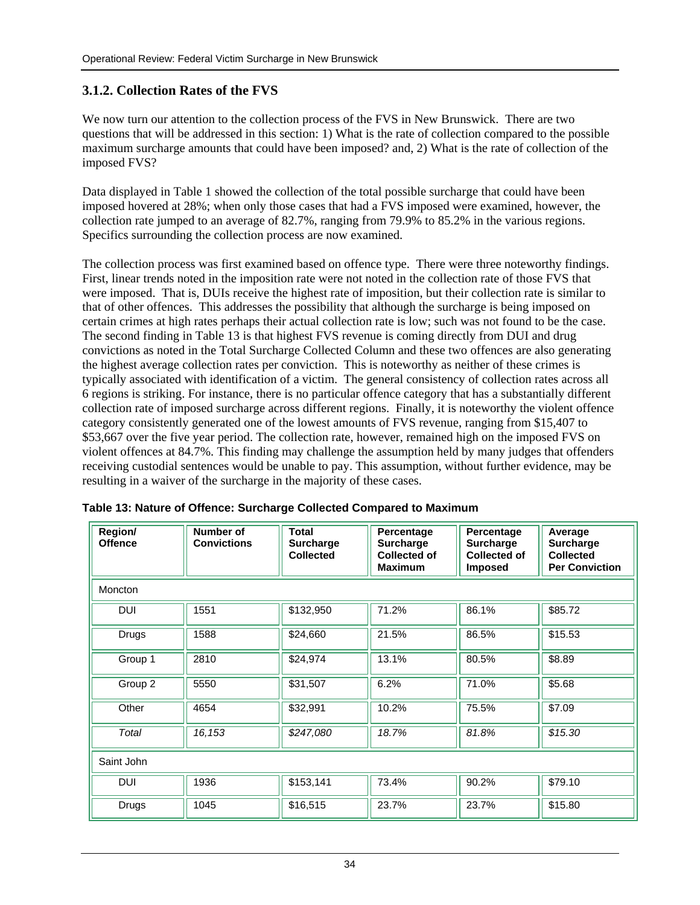## <span id="page-34-0"></span>**3.1.2. Collection Rates of the FVS**

We now turn our attention to the collection process of the FVS in New Brunswick. There are two questions that will be addressed in this section: 1) What is the rate of collection compared to the possible maximum surcharge amounts that could have been imposed? and, 2) What is the rate of collection of the imposed FVS?

Data displayed in Table 1 showed the collection of the total possible surcharge that could have been imposed hovered at 28%; when only those cases that had a FVS imposed were examined, however, the collection rate jumped to an average of 82.7%, ranging from 79.9% to 85.2% in the various regions. Specifics surrounding the collection process are now examined.

The collection process was first examined based on offence type. There were three noteworthy findings. First, linear trends noted in the imposition rate were not noted in the collection rate of those FVS that were imposed. That is, DUIs receive the highest rate of imposition, but their collection rate is similar to that of other offences. This addresses the possibility that although the surcharge is being imposed on certain crimes at high rates perhaps their actual collection rate is low; such was not found to be the case. The second finding in Table 13 is that highest FVS revenue is coming directly from DUI and drug convictions as noted in the Total Surcharge Collected Column and these two offences are also generating the highest average collection rates per conviction. This is noteworthy as neither of these crimes is typically associated with identification of a victim. The general consistency of collection rates across all 6 regions is striking. For instance, there is no particular offence category that has a substantially different collection rate of imposed surcharge across different regions. Finally, it is noteworthy the violent offence category consistently generated one of the lowest amounts of FVS revenue, ranging from \$15,407 to \$53,667 over the five year period. The collection rate, however, remained high on the imposed FVS on violent offences at 84.7%. This finding may challenge the assumption held by many judges that offenders receiving custodial sentences would be unable to pay. This assumption, without further evidence, may be resulting in a waiver of the surcharge in the majority of these cases.

| Region/<br><b>Offence</b> | Number of<br><b>Convictions</b> | <b>Total</b><br><b>Surcharge</b><br><b>Collected</b> | Percentage<br><b>Surcharge</b><br><b>Collected of</b><br><b>Maximum</b> | Percentage<br><b>Surcharge</b><br><b>Collected of</b><br><b>Imposed</b> | Average<br><b>Surcharge</b><br><b>Collected</b><br><b>Per Conviction</b> |  |  |  |
|---------------------------|---------------------------------|------------------------------------------------------|-------------------------------------------------------------------------|-------------------------------------------------------------------------|--------------------------------------------------------------------------|--|--|--|
| Moncton                   |                                 |                                                      |                                                                         |                                                                         |                                                                          |  |  |  |
| <b>DUI</b>                | 1551                            | \$132,950                                            | 71.2%                                                                   | 86.1%                                                                   | \$85.72                                                                  |  |  |  |
| <b>Drugs</b>              | 1588                            | \$24,660                                             | 21.5%                                                                   | 86.5%                                                                   | \$15.53                                                                  |  |  |  |
| Group 1                   | 2810                            | \$24,974                                             | 13.1%                                                                   | 80.5%                                                                   | \$8.89                                                                   |  |  |  |
| Group 2                   | 5550                            | \$31,507                                             | 6.2%                                                                    | 71.0%                                                                   | \$5.68                                                                   |  |  |  |
| Other                     | 4654                            | \$32,991                                             | 10.2%                                                                   | 75.5%                                                                   | \$7.09                                                                   |  |  |  |
| Total                     | 16,153                          | \$247,080                                            | 18.7%                                                                   | 81.8%                                                                   | \$15.30                                                                  |  |  |  |
| Saint John                |                                 |                                                      |                                                                         |                                                                         |                                                                          |  |  |  |
| <b>DUI</b>                | 1936                            | \$153,141                                            | 73.4%                                                                   | 90.2%                                                                   | \$79.10                                                                  |  |  |  |
| <b>Drugs</b>              | 1045                            | \$16,515                                             | 23.7%                                                                   | 23.7%                                                                   | \$15.80                                                                  |  |  |  |

|  | Table 13: Nature of Offence: Surcharge Collected Compared to Maximum |  |  |  |
|--|----------------------------------------------------------------------|--|--|--|
|  |                                                                      |  |  |  |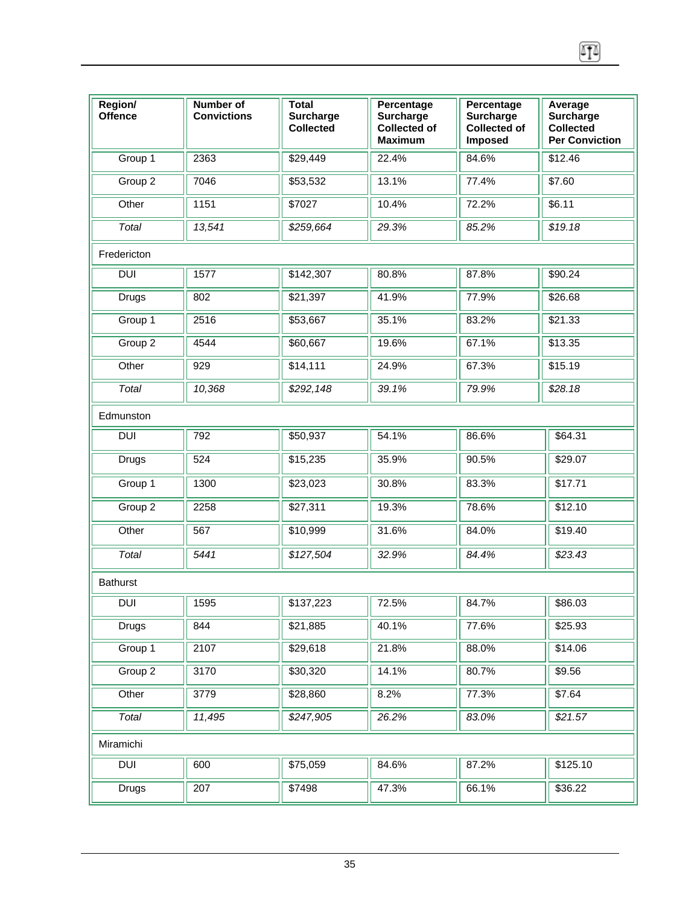| Region/<br><b>Offence</b> | Number of<br><b>Convictions</b> | <b>Total</b><br><b>Surcharge</b><br><b>Collected</b> | Percentage<br><b>Surcharge</b><br><b>Collected of</b><br><b>Maximum</b> | Percentage<br>Surcharge<br><b>Collected of</b><br>Imposed | Average<br><b>Surcharge</b><br><b>Collected</b><br><b>Per Conviction</b> |
|---------------------------|---------------------------------|------------------------------------------------------|-------------------------------------------------------------------------|-----------------------------------------------------------|--------------------------------------------------------------------------|
| Group 1                   | 2363                            | \$29,449                                             | 22.4%                                                                   | 84.6%                                                     | \$12.46                                                                  |
| Group 2                   | 7046                            | \$53,532                                             | 13.1%                                                                   | 77.4%                                                     | \$7.60                                                                   |
| Other                     | 1151                            | \$7027                                               | 10.4%                                                                   | 72.2%                                                     | \$6.11                                                                   |
| Total                     | 13,541                          | \$259,664                                            | 29.3%                                                                   | 85.2%                                                     | \$19.18                                                                  |
| Fredericton               |                                 |                                                      |                                                                         |                                                           |                                                                          |
| <b>DUI</b>                | 1577                            | \$142,307                                            | 80.8%                                                                   | 87.8%                                                     | \$90.24                                                                  |
| <b>Drugs</b>              | 802                             | \$21,397                                             | 41.9%                                                                   | 77.9%                                                     | \$26.68                                                                  |
| Group 1                   | 2516                            | \$53,667                                             | 35.1%                                                                   | 83.2%                                                     | \$21.33                                                                  |
| Group 2                   | 4544                            | \$60,667                                             | 19.6%                                                                   | 67.1%                                                     | \$13.35                                                                  |
| Other                     | 929                             | \$14,111                                             | 24.9%                                                                   | 67.3%                                                     | \$15.19                                                                  |
| Total                     | 10,368                          | \$292,148                                            | 39.1%                                                                   | 79.9%                                                     | \$28.18                                                                  |
| Edmunston                 |                                 |                                                      |                                                                         |                                                           |                                                                          |
| <b>DUI</b>                | 792                             | \$50,937                                             | 54.1%                                                                   | 86.6%                                                     | \$64.31                                                                  |
| <b>Drugs</b>              | 524                             | \$15,235                                             | 35.9%                                                                   | 90.5%                                                     | \$29.07                                                                  |
| Group 1                   | 1300                            | \$23,023                                             | 30.8%                                                                   | 83.3%                                                     | \$17.71                                                                  |
| Group 2                   | 2258                            | \$27,311                                             | 19.3%                                                                   | 78.6%                                                     | \$12.10                                                                  |
| Other                     | 567                             | \$10,999                                             | 31.6%                                                                   | 84.0%                                                     | \$19.40                                                                  |
| Total                     | 5441                            | \$127,504                                            | 32.9%                                                                   | 84.4%                                                     | \$23.43                                                                  |
| <b>Bathurst</b>           |                                 |                                                      |                                                                         |                                                           |                                                                          |
| DUI                       | $\sqrt{1595}$                   | $\sqrt{\$137,223}$                                   | $\sqrt{72.5\%}$                                                         | $\sqrt{84.7\%}$                                           | $\sqrt{\$86.03}$                                                         |
| <b>Drugs</b>              | 844                             | \$21,885                                             | 40.1%                                                                   | 77.6%                                                     | \$25.93                                                                  |
| Group 1                   | 2107                            | \$29,618                                             | 21.8%                                                                   | 88.0%                                                     | \$14.06                                                                  |
| Group 2                   | 3170                            | \$30,320                                             | 14.1%                                                                   | 80.7%                                                     | \$9.56                                                                   |
| Other                     | 3779                            | \$28,860                                             | 8.2%                                                                    | 77.3%                                                     | \$7.64                                                                   |
| Total                     | 11,495                          | \$247,905                                            | 26.2%                                                                   | 83.0%                                                     | \$21.57                                                                  |
| Miramichi                 |                                 |                                                      |                                                                         |                                                           |                                                                          |
| DUI                       | 600                             | \$75,059                                             | 84.6%                                                                   | 87.2%                                                     | \$125.10                                                                 |
| <b>Drugs</b>              | 207                             | \$7498                                               | 47.3%                                                                   | 66.1%                                                     | \$36.22                                                                  |

 $\boxed{1}$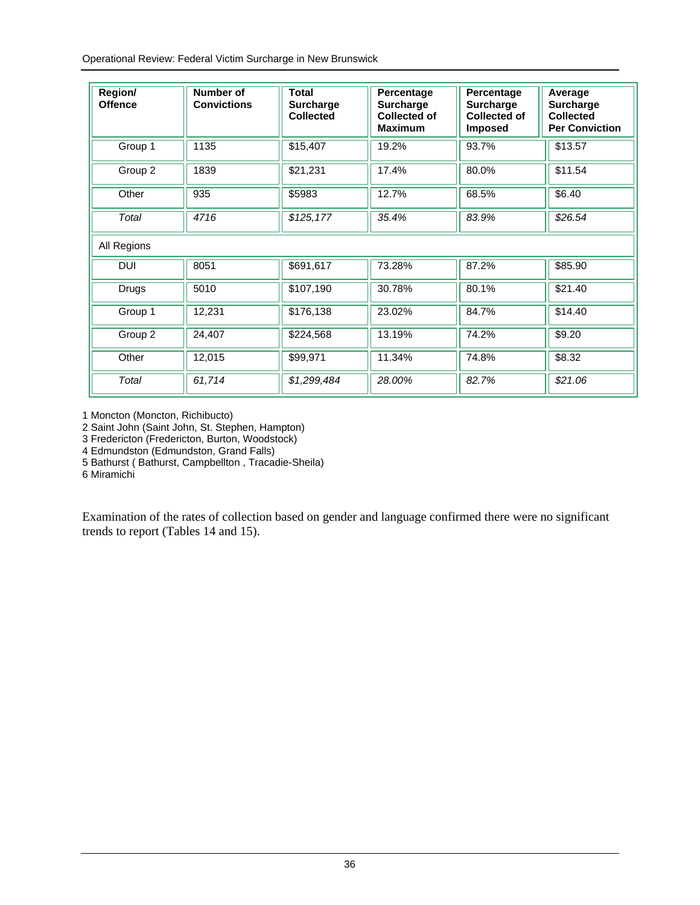Operational Review: Federal Victim Surcharge in New Brunswick

| Region/<br><b>Offence</b> | Number of<br><b>Convictions</b> | <b>Total</b><br><b>Surcharge</b><br><b>Collected</b> | Percentage<br><b>Surcharge</b><br><b>Collected of</b><br><b>Maximum</b> | Percentage<br><b>Surcharge</b><br><b>Collected of</b><br><b>Imposed</b> | Average<br><b>Surcharge</b><br><b>Collected</b><br><b>Per Conviction</b> |
|---------------------------|---------------------------------|------------------------------------------------------|-------------------------------------------------------------------------|-------------------------------------------------------------------------|--------------------------------------------------------------------------|
| Group 1                   | 1135                            | \$15,407                                             | 19.2%                                                                   | 93.7%                                                                   | \$13.57                                                                  |
| Group 2                   | 1839                            | \$21,231                                             | 17.4%                                                                   | 80.0%                                                                   | \$11.54                                                                  |
| Other                     | 935                             | \$5983                                               | 12.7%                                                                   | 68.5%                                                                   | \$6.40                                                                   |
| Total                     | 4716                            | \$125,177                                            | 35.4%                                                                   | 83.9%                                                                   | \$26.54                                                                  |
| All Regions               |                                 |                                                      |                                                                         |                                                                         |                                                                          |
| <b>DUI</b>                | 8051                            | \$691,617                                            | 73.28%                                                                  | 87.2%                                                                   | \$85.90                                                                  |
| Drugs                     | 5010                            | \$107,190                                            | 30.78%                                                                  | 80.1%                                                                   | \$21.40                                                                  |
| Group 1                   | 12,231                          | \$176,138                                            | 23.02%                                                                  | 84.7%                                                                   | \$14.40                                                                  |
| Group 2                   | 24,407                          | \$224,568                                            | 13.19%                                                                  | 74.2%                                                                   | \$9.20                                                                   |
| Other                     | 12,015                          | \$99,971                                             | 11.34%                                                                  | 74.8%                                                                   | \$8.32                                                                   |
| Total                     | 61,714                          | \$1,299,484                                          | 28.00%                                                                  | 82.7%                                                                   | \$21.06                                                                  |

1 Moncton (Moncton, Richibucto)

2 Saint John (Saint John, St. Stephen, Hampton)

3 Fredericton (Fredericton, Burton, Woodstock)

4 Edmundston (Edmundston, Grand Falls)

5 Bathurst ( Bathurst, Campbellton , Tracadie-Sheila)

6 Miramichi

Examination of the rates of collection based on gender and language confirmed there were no significant trends to report (Tables 14 and 15).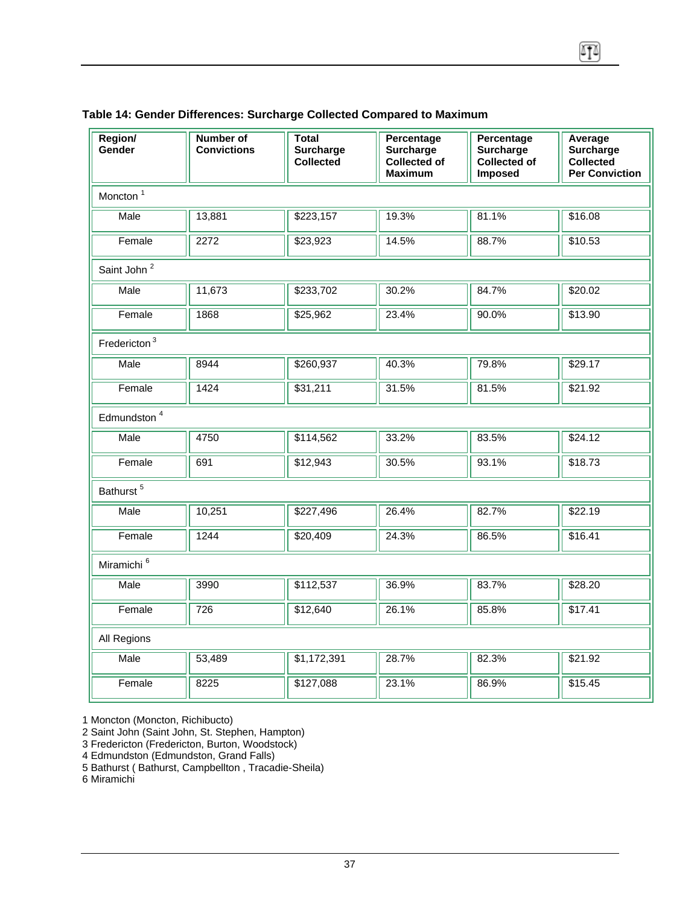| Region/<br>Gender        | <b>Number of</b><br><b>Convictions</b> | <b>Total</b><br><b>Surcharge</b><br><b>Collected</b> | Percentage<br>Surcharge<br>Collected of<br><b>Maximum</b> | Percentage<br>Surcharge<br>Collected of<br>Imposed | Average<br><b>Surcharge</b><br>Collected<br><b>Per Conviction</b> |  |  |  |  |  |
|--------------------------|----------------------------------------|------------------------------------------------------|-----------------------------------------------------------|----------------------------------------------------|-------------------------------------------------------------------|--|--|--|--|--|
| Moncton <sup>1</sup>     |                                        |                                                      |                                                           |                                                    |                                                                   |  |  |  |  |  |
| Male                     | 13,881                                 | \$223,157                                            | 19.3%                                                     | 81.1%                                              | \$16.08                                                           |  |  |  |  |  |
| Female                   | 2272                                   | \$23,923                                             | 14.5%                                                     | 88.7%                                              | \$10.53                                                           |  |  |  |  |  |
| Saint John <sup>2</sup>  |                                        |                                                      |                                                           |                                                    |                                                                   |  |  |  |  |  |
| Male                     | 11,673                                 | \$233,702                                            | 30.2%                                                     | 84.7%                                              | \$20.02                                                           |  |  |  |  |  |
| Female                   | 1868                                   | \$25,962                                             | 23.4%                                                     | 90.0%                                              | \$13.90                                                           |  |  |  |  |  |
| Fredericton <sup>3</sup> |                                        |                                                      |                                                           |                                                    |                                                                   |  |  |  |  |  |
| Male                     | 8944                                   | \$260,937                                            | 40.3%                                                     | 79.8%                                              | \$29.17                                                           |  |  |  |  |  |
| Female                   | 1424                                   | \$31,211                                             | 31.5%                                                     | 81.5%                                              | \$21.92                                                           |  |  |  |  |  |
| Edmundston <sup>4</sup>  |                                        |                                                      |                                                           |                                                    |                                                                   |  |  |  |  |  |
| Male                     | 4750                                   | \$114,562                                            | 33.2%                                                     | 83.5%                                              | \$24.12                                                           |  |  |  |  |  |
| Female                   | 691                                    | \$12,943                                             | 30.5%                                                     | 93.1%                                              | \$18.73                                                           |  |  |  |  |  |
| Bathurst <sup>5</sup>    |                                        |                                                      |                                                           |                                                    |                                                                   |  |  |  |  |  |
| Male                     | 10,251                                 | \$227,496                                            | 26.4%                                                     | 82.7%                                              | \$22.19                                                           |  |  |  |  |  |
| Female                   | 1244                                   | \$20,409                                             | 24.3%                                                     | 86.5%                                              | \$16.41                                                           |  |  |  |  |  |
| Miramichi <sup>6</sup>   |                                        |                                                      |                                                           |                                                    |                                                                   |  |  |  |  |  |
| <b>Male</b>              | 3990                                   | \$112,537                                            | 36.9%                                                     | 83.7%                                              | \$28.20                                                           |  |  |  |  |  |
| Female                   | $\overline{726}$                       | \$12,640                                             | 26.1%                                                     | 85.8%                                              | \$17.41                                                           |  |  |  |  |  |
| All Regions              |                                        |                                                      |                                                           |                                                    |                                                                   |  |  |  |  |  |
| Male                     | 53,489                                 | \$1,172,391                                          | 28.7%                                                     | 82.3%                                              | \$21.92                                                           |  |  |  |  |  |
| Female                   | 8225                                   | \$127,088                                            | 23.1%                                                     | 86.9%                                              | \$15.45                                                           |  |  |  |  |  |

### **Table 14: Gender Differences: Surcharge Collected Compared to Maximum**

1 Moncton (Moncton, Richibucto)

2 Saint John (Saint John, St. Stephen, Hampton)

3 Fredericton (Fredericton, Burton, Woodstock)

4 Edmundston (Edmundston, Grand Falls)

5 Bathurst ( Bathurst, Campbellton , Tracadie-Sheila)

6 Miramichi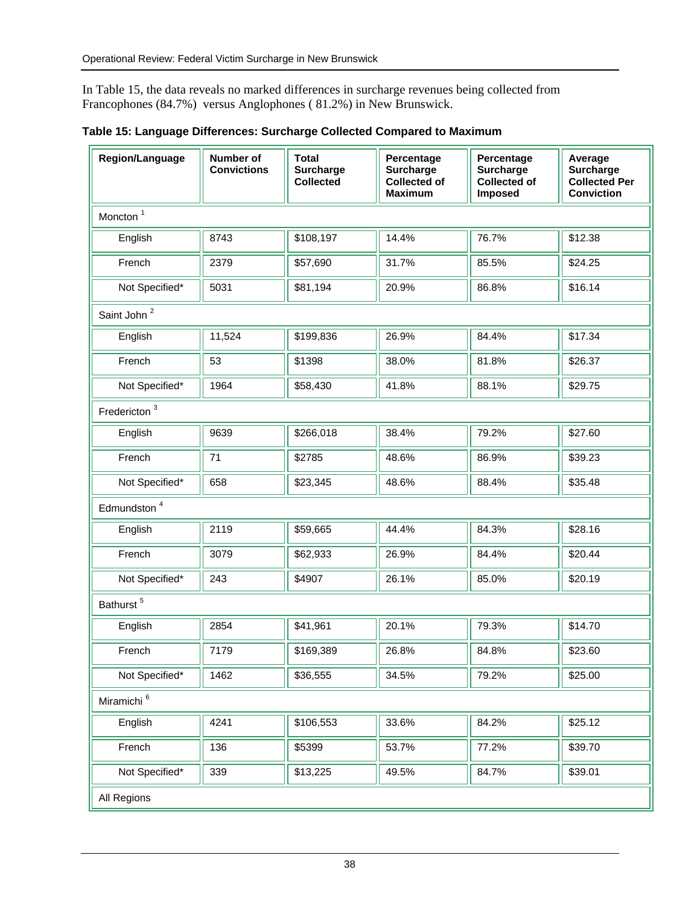In Table 15, the data reveals no marked differences in surcharge revenues being collected from Francophones (84.7%) versus Anglophones ( 81.2%) in New Brunswick.

| Region/Language          | Number of<br><b>Convictions</b> | <b>Total</b><br><b>Surcharge</b><br><b>Collected</b> | Percentage<br><b>Surcharge</b><br><b>Collected of</b><br><b>Maximum</b> | Percentage<br><b>Surcharge</b><br><b>Collected of</b><br><b>Imposed</b> | Average<br>Surcharge<br><b>Collected Per</b><br><b>Conviction</b> |  |  |
|--------------------------|---------------------------------|------------------------------------------------------|-------------------------------------------------------------------------|-------------------------------------------------------------------------|-------------------------------------------------------------------|--|--|
| Moncton <sup>1</sup>     |                                 |                                                      |                                                                         |                                                                         |                                                                   |  |  |
| English                  | 8743                            | \$108,197                                            | 14.4%                                                                   | 76.7%                                                                   | \$12.38                                                           |  |  |
| French                   | 2379                            | \$57,690                                             | 31.7%                                                                   | 85.5%                                                                   | \$24.25                                                           |  |  |
| Not Specified*           | 5031                            | \$81,194                                             | 20.9%                                                                   | 86.8%                                                                   | \$16.14                                                           |  |  |
| Saint John <sup>2</sup>  |                                 |                                                      |                                                                         |                                                                         |                                                                   |  |  |
| English                  | 11,524                          | \$199,836                                            | 26.9%                                                                   | 84.4%                                                                   | \$17.34                                                           |  |  |
| French                   | 53                              | \$1398                                               | 38.0%                                                                   | 81.8%                                                                   | \$26.37                                                           |  |  |
| Not Specified*           | 1964                            | \$58,430                                             | 41.8%                                                                   | 88.1%                                                                   | \$29.75                                                           |  |  |
| Fredericton <sup>3</sup> |                                 |                                                      |                                                                         |                                                                         |                                                                   |  |  |
| English                  | 9639                            | \$266,018                                            | 38.4%                                                                   | 79.2%                                                                   | \$27.60                                                           |  |  |
| French                   | 71                              | \$2785                                               | 48.6%                                                                   | 86.9%                                                                   | \$39.23                                                           |  |  |
| Not Specified*           | 658                             | \$23,345                                             | 48.6%                                                                   | 88.4%                                                                   | \$35.48                                                           |  |  |
| Edmundston <sup>4</sup>  |                                 |                                                      |                                                                         |                                                                         |                                                                   |  |  |
| English                  | 2119                            | \$59,665                                             | 44.4%                                                                   | 84.3%                                                                   | \$28.16                                                           |  |  |
| French                   | 3079                            | \$62,933                                             | 26.9%                                                                   | 84.4%                                                                   | \$20.44                                                           |  |  |
| Not Specified*           | 243                             | \$4907                                               | 26.1%                                                                   | 85.0%                                                                   | \$20.19                                                           |  |  |
| Bathurst <sup>5</sup>    |                                 |                                                      |                                                                         |                                                                         |                                                                   |  |  |
| English                  | 2854                            | \$41,961                                             | 20.1%                                                                   | 79.3%                                                                   | \$14.70                                                           |  |  |
| French                   | 7179                            | \$169,389                                            | 26.8%                                                                   | 84.8%                                                                   | \$23.60                                                           |  |  |
| Not Specified*           | 1462                            | \$36,555                                             | 34.5%                                                                   | 79.2%                                                                   | \$25.00                                                           |  |  |
| Miramichi <sup>6</sup>   |                                 |                                                      |                                                                         |                                                                         |                                                                   |  |  |
| English                  | 4241                            | \$106,553                                            | 33.6%                                                                   | 84.2%                                                                   | \$25.12                                                           |  |  |
| French                   | 136                             | \$5399                                               | 53.7%                                                                   | 77.2%                                                                   | \$39.70                                                           |  |  |
| Not Specified*           | 339                             | \$13,225                                             | 49.5%                                                                   | 84.7%                                                                   | \$39.01                                                           |  |  |
| All Regions              |                                 |                                                      |                                                                         |                                                                         |                                                                   |  |  |

**Table 15: Language Differences: Surcharge Collected Compared to Maximum**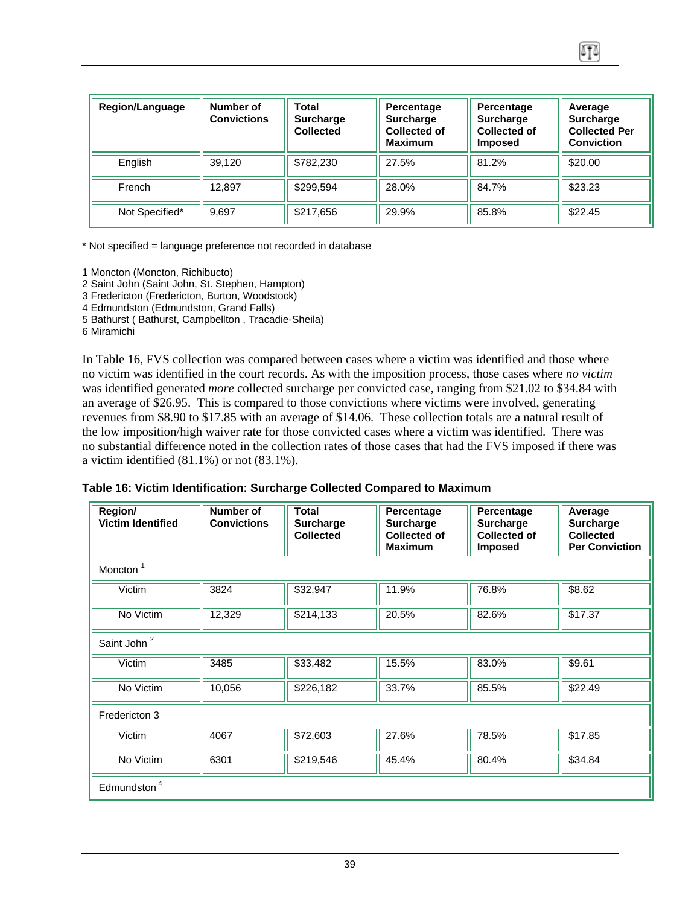| <b>Region/Language</b> | Number of<br><b>Convictions</b> | Total<br><b>Surcharge</b><br><b>Collected</b> | Percentage<br><b>Surcharge</b><br><b>Collected of</b><br><b>Maximum</b> | Percentage<br><b>Surcharge</b><br>Collected of<br><b>Imposed</b> | Average<br><b>Surcharge</b><br><b>Collected Per</b><br><b>Conviction</b> |
|------------------------|---------------------------------|-----------------------------------------------|-------------------------------------------------------------------------|------------------------------------------------------------------|--------------------------------------------------------------------------|
| English                | 39.120                          | \$782,230                                     | 27.5%                                                                   | 81.2%                                                            | \$20.00                                                                  |
| French                 | 12.897                          | \$299,594                                     | 28.0%                                                                   | 84.7%                                                            | \$23.23                                                                  |
| Not Specified*         | 9.697                           | \$217,656                                     | 29.9%                                                                   | 85.8%                                                            | \$22.45                                                                  |

\* Not specified = language preference not recorded in database

- 1 Moncton (Moncton, Richibucto)
- 2 Saint John (Saint John, St. Stephen, Hampton)
- 3 Fredericton (Fredericton, Burton, Woodstock)
- 4 Edmundston (Edmundston, Grand Falls)
- 5 Bathurst ( Bathurst, Campbellton , Tracadie-Sheila)
- 6 Miramichi

In Table 16, FVS collection was compared between cases where a victim was identified and those where no victim was identified in the court records. As with the imposition process, those cases where *no victim* was identified generated *more* collected surcharge per convicted case, ranging from \$21.02 to \$34.84 with an average of \$26.95. This is compared to those convictions where victims were involved, generating revenues from \$8.90 to \$17.85 with an average of \$14.06. These collection totals are a natural result of the low imposition/high waiver rate for those convicted cases where a victim was identified. There was no substantial difference noted in the collection rates of those cases that had the FVS imposed if there was a victim identified (81.1%) or not (83.1%).

#### **Table 16: Victim Identification: Surcharge Collected Compared to Maximum**

| Region/<br><b>Victim Identified</b> | Number of<br><b>Convictions</b> | <b>Total</b><br><b>Surcharge</b><br><b>Collected</b> | Percentage<br><b>Surcharge</b><br><b>Collected of</b><br><b>Maximum</b> | Percentage<br><b>Surcharge</b><br><b>Collected of</b><br><b>Imposed</b> | Average<br><b>Surcharge</b><br><b>Collected</b><br><b>Per Conviction</b> |  |  |
|-------------------------------------|---------------------------------|------------------------------------------------------|-------------------------------------------------------------------------|-------------------------------------------------------------------------|--------------------------------------------------------------------------|--|--|
| Moncton <sup>1</sup>                |                                 |                                                      |                                                                         |                                                                         |                                                                          |  |  |
| Victim                              | 3824                            | \$32,947                                             | 11.9%                                                                   | 76.8%                                                                   | \$8.62                                                                   |  |  |
| No Victim                           | 12,329                          | \$214,133                                            | 20.5%                                                                   | 82.6%                                                                   | \$17.37                                                                  |  |  |
| Saint John <sup>2</sup>             |                                 |                                                      |                                                                         |                                                                         |                                                                          |  |  |
| Victim                              | 3485                            | \$33,482                                             | 15.5%                                                                   | 83.0%                                                                   | \$9.61                                                                   |  |  |
| No Victim                           | 10,056                          | \$226,182                                            | 33.7%                                                                   | 85.5%                                                                   | \$22.49                                                                  |  |  |
| Fredericton 3                       |                                 |                                                      |                                                                         |                                                                         |                                                                          |  |  |
| Victim                              | 4067                            | \$72,603                                             | 27.6%                                                                   | 78.5%                                                                   | \$17.85                                                                  |  |  |
| No Victim                           | 6301                            | \$219,546                                            | 45.4%                                                                   | 80.4%                                                                   | \$34.84                                                                  |  |  |
| Edmundston <sup>4</sup>             |                                 |                                                      |                                                                         |                                                                         |                                                                          |  |  |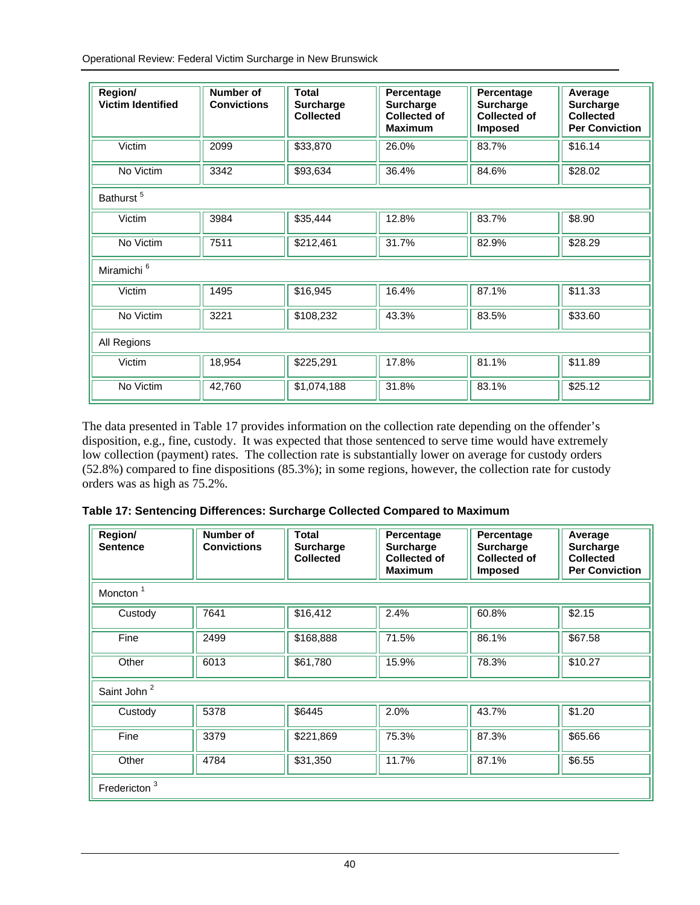Operational Review: Federal Victim Surcharge in New Brunswick

| Region/<br><b>Victim Identified</b> | Number of<br><b>Convictions</b> | Total<br><b>Surcharge</b><br><b>Collected</b> | Percentage<br><b>Surcharge</b><br><b>Collected of</b><br><b>Maximum</b> | Percentage<br><b>Surcharge</b><br><b>Collected of</b><br><b>Imposed</b> | Average<br><b>Surcharge</b><br><b>Collected</b><br><b>Per Conviction</b> |  |  |  |
|-------------------------------------|---------------------------------|-----------------------------------------------|-------------------------------------------------------------------------|-------------------------------------------------------------------------|--------------------------------------------------------------------------|--|--|--|
| Victim                              | 2099                            | \$33,870                                      | 26.0%                                                                   | 83.7%                                                                   | \$16.14                                                                  |  |  |  |
| No Victim                           | 3342                            | \$93,634                                      | 36.4%                                                                   | 84.6%                                                                   | \$28.02                                                                  |  |  |  |
| Bathurst <sup>5</sup>               |                                 |                                               |                                                                         |                                                                         |                                                                          |  |  |  |
| Victim                              | 3984                            | \$35,444                                      | 12.8%                                                                   | 83.7%                                                                   | \$8.90                                                                   |  |  |  |
| No Victim                           | 7511                            | \$212,461                                     | 31.7%                                                                   | 82.9%                                                                   | \$28.29                                                                  |  |  |  |
| Miramichi <sup>6</sup>              |                                 |                                               |                                                                         |                                                                         |                                                                          |  |  |  |
| Victim                              | 1495                            | \$16,945                                      | 16.4%                                                                   | 87.1%                                                                   | \$11.33                                                                  |  |  |  |
| No Victim                           | 3221                            | \$108,232                                     | 43.3%                                                                   | 83.5%                                                                   | \$33.60                                                                  |  |  |  |
| All Regions                         |                                 |                                               |                                                                         |                                                                         |                                                                          |  |  |  |
| Victim                              | 18,954                          | \$225,291                                     | 17.8%                                                                   | 81.1%                                                                   | \$11.89                                                                  |  |  |  |
| No Victim                           | 42,760                          | \$1,074,188                                   | 31.8%                                                                   | 83.1%                                                                   | \$25.12                                                                  |  |  |  |

The data presented in Table 17 provides information on the collection rate depending on the offender's disposition, e.g., fine, custody. It was expected that those sentenced to serve time would have extremely low collection (payment) rates. The collection rate is substantially lower on average for custody orders (52.8%) compared to fine dispositions (85.3%); in some regions, however, the collection rate for custody orders was as high as 75.2%.

|  |  |  |  | Table 17: Sentencing Differences: Surcharge Collected Compared to Maximum |
|--|--|--|--|---------------------------------------------------------------------------|
|--|--|--|--|---------------------------------------------------------------------------|

| Region/<br><b>Sentence</b> | Number of<br><b>Convictions</b> | <b>Total</b><br><b>Surcharge</b><br><b>Collected</b> | Percentage<br><b>Surcharge</b><br><b>Collected of</b><br><b>Maximum</b> | Percentage<br><b>Surcharge</b><br><b>Collected of</b><br><b>Imposed</b> | Average<br>Surcharge<br><b>Collected</b><br><b>Per Conviction</b> |  |
|----------------------------|---------------------------------|------------------------------------------------------|-------------------------------------------------------------------------|-------------------------------------------------------------------------|-------------------------------------------------------------------|--|
| Moncton <sup>1</sup>       |                                 |                                                      |                                                                         |                                                                         |                                                                   |  |
| Custody                    | 7641                            | \$16,412                                             | 2.4%                                                                    | 60.8%                                                                   | \$2.15                                                            |  |
| Fine                       | 2499                            | \$168,888                                            | 71.5%                                                                   | 86.1%                                                                   | \$67.58                                                           |  |
| Other                      | 6013                            | \$61,780                                             | 15.9%                                                                   | 78.3%                                                                   | \$10.27                                                           |  |
| Saint John <sup>2</sup>    |                                 |                                                      |                                                                         |                                                                         |                                                                   |  |
| Custody                    | 5378                            | \$6445                                               | 2.0%                                                                    | 43.7%                                                                   | \$1.20                                                            |  |
| Fine                       | 3379                            | $\overline{$}221,869$                                | 75.3%                                                                   | 87.3%                                                                   | \$65.66                                                           |  |
| Other                      | 4784                            | \$31,350                                             | 11.7%                                                                   | 87.1%                                                                   | \$6.55                                                            |  |
| Fredericton <sup>3</sup>   |                                 |                                                      |                                                                         |                                                                         |                                                                   |  |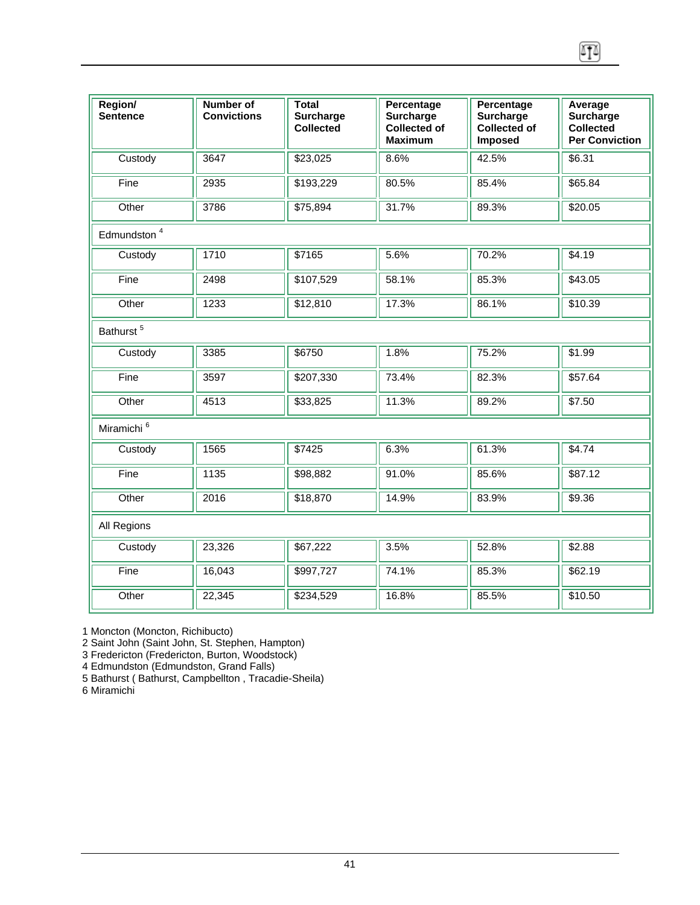| Region/<br><b>Sentence</b> | Number of<br><b>Convictions</b> | <b>Total</b><br><b>Surcharge</b><br><b>Collected</b> | Percentage<br>Surcharge<br><b>Collected of</b><br><b>Maximum</b> | Percentage<br>Surcharge<br><b>Collected of</b><br>Imposed | Average<br><b>Surcharge</b><br>Collected<br><b>Per Conviction</b> |  |  |  |
|----------------------------|---------------------------------|------------------------------------------------------|------------------------------------------------------------------|-----------------------------------------------------------|-------------------------------------------------------------------|--|--|--|
| Custody                    | 3647                            | \$23,025                                             | 8.6%                                                             | 42.5%                                                     | \$6.31                                                            |  |  |  |
| Fine                       | 2935                            | \$193,229                                            | 80.5%                                                            | 85.4%                                                     | \$65.84                                                           |  |  |  |
| Other                      | 3786                            | \$75,894                                             | 31.7%                                                            | 89.3%                                                     | \$20.05                                                           |  |  |  |
| Edmundston <sup>4</sup>    |                                 |                                                      |                                                                  |                                                           |                                                                   |  |  |  |
| Custody                    | 1710                            | \$7165                                               | 5.6%                                                             | 70.2%                                                     | \$4.19                                                            |  |  |  |
| Fine                       | 2498                            | \$107,529                                            | 58.1%                                                            | 85.3%                                                     | \$43.05                                                           |  |  |  |
| Other                      | 1233                            | \$12,810                                             | 17.3%                                                            | 86.1%                                                     | \$10.39                                                           |  |  |  |
| Bathurst <sup>5</sup>      |                                 |                                                      |                                                                  |                                                           |                                                                   |  |  |  |
| Custody                    | 3385                            | \$6750                                               | 1.8%                                                             | 75.2%                                                     | \$1.99                                                            |  |  |  |
| Fine                       | 3597                            | \$207,330                                            | 73.4%                                                            | 82.3%                                                     | \$57.64                                                           |  |  |  |
| Other                      | 4513                            | \$33,825                                             | 11.3%                                                            | 89.2%                                                     | \$7.50                                                            |  |  |  |
| Miramichi <sup>6</sup>     |                                 |                                                      |                                                                  |                                                           |                                                                   |  |  |  |
| Custody                    | 1565                            | \$7425                                               | 6.3%                                                             | 61.3%                                                     | \$4.74                                                            |  |  |  |
| Fine                       | 1135                            | \$98,882                                             | 91.0%                                                            | 85.6%                                                     | \$87.12                                                           |  |  |  |
| Other                      | 2016                            | \$18,870                                             | 14.9%                                                            | 83.9%                                                     | \$9.36                                                            |  |  |  |
| All Regions                |                                 |                                                      |                                                                  |                                                           |                                                                   |  |  |  |
| Custody                    | 23,326                          | \$67,222                                             | 3.5%                                                             | 52.8%                                                     | \$2.88                                                            |  |  |  |
| Fine                       | 16,043                          | \$997,727                                            | 74.1%                                                            | 85.3%                                                     | \$62.19                                                           |  |  |  |
| Other                      | 22,345                          | \$234,529                                            | 16.8%                                                            | 85.5%                                                     | \$10.50                                                           |  |  |  |

 $\sqrt{10}$ 

1 Moncton (Moncton, Richibucto)

2 Saint John (Saint John, St. Stephen, Hampton)

3 Fredericton (Fredericton, Burton, Woodstock)

4 Edmundston (Edmundston, Grand Falls)

5 Bathurst ( Bathurst, Campbellton , Tracadie-Sheila)

6 Miramichi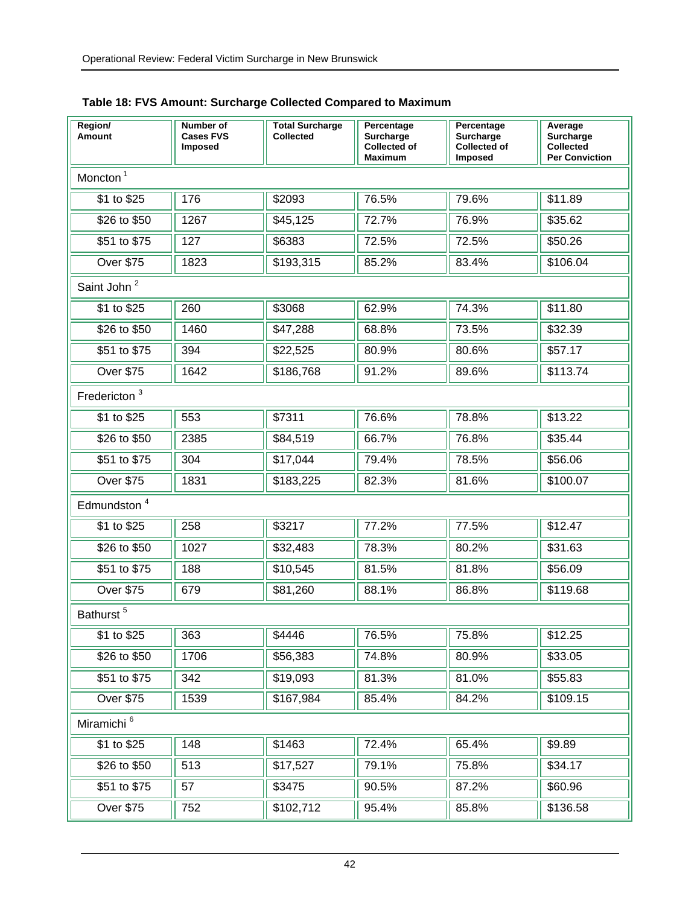| Region/<br>Amount        | Number of<br><b>Cases FVS</b><br>Imposed | <b>Total Surcharge</b><br><b>Collected</b> | Percentage<br>Surcharge<br><b>Collected of</b><br>Maximum | Percentage<br>Surcharge<br><b>Collected of</b><br><b>Imposed</b> | Average<br>Surcharge<br><b>Collected</b><br><b>Per Conviction</b> |
|--------------------------|------------------------------------------|--------------------------------------------|-----------------------------------------------------------|------------------------------------------------------------------|-------------------------------------------------------------------|
| Moncton <sup>1</sup>     |                                          |                                            |                                                           |                                                                  |                                                                   |
| \$1 to \$25              | 176                                      | \$2093                                     | 76.5%                                                     | 79.6%                                                            | \$11.89                                                           |
| \$26 to \$50             | 1267                                     | \$45,125                                   | 72.7%                                                     | 76.9%                                                            | \$35.62                                                           |
| \$51 to \$75             | 127                                      | \$6383                                     | 72.5%                                                     | 72.5%                                                            | \$50.26                                                           |
| <b>Over \$75</b>         | 1823                                     | \$193,315                                  | 85.2%                                                     | 83.4%                                                            | \$106.04                                                          |
| Saint John <sup>2</sup>  |                                          |                                            |                                                           |                                                                  |                                                                   |
| \$1 to \$25              | 260                                      | \$3068                                     | 62.9%                                                     | 74.3%                                                            | \$11.80                                                           |
| \$26 to \$50             | 1460                                     | \$47,288                                   | 68.8%                                                     | 73.5%                                                            | \$32.39                                                           |
| \$51 to \$75             | 394                                      | \$22,525                                   | 80.9%                                                     | 80.6%                                                            | \$57.17                                                           |
| <b>Over \$75</b>         | 1642                                     | \$186,768                                  | 91.2%                                                     | 89.6%                                                            | \$113.74                                                          |
| Fredericton <sup>3</sup> |                                          |                                            |                                                           |                                                                  |                                                                   |
| \$1 to \$25              | 553                                      | \$7311                                     | 76.6%                                                     | 78.8%                                                            | \$13.22                                                           |
| \$26 to \$50             | 2385                                     | \$84,519                                   | 66.7%                                                     | 76.8%                                                            | \$35.44                                                           |
| \$51 to \$75             | 304                                      | \$17,044                                   | 79.4%                                                     | 78.5%                                                            | \$56.06                                                           |
| <b>Over \$75</b>         | 1831                                     | \$183,225                                  | 82.3%                                                     | 81.6%                                                            | \$100.07                                                          |
| Edmundston <sup>4</sup>  |                                          |                                            |                                                           |                                                                  |                                                                   |
| \$1 to \$25              | 258                                      | \$3217                                     | 77.2%                                                     | 77.5%                                                            | \$12.47                                                           |
| \$26 to \$50             | 1027                                     | \$32,483                                   | 78.3%                                                     | 80.2%                                                            | \$31.63                                                           |
| \$51 to \$75             | 188                                      | \$10,545                                   | 81.5%                                                     | 81.8%                                                            | \$56.09                                                           |
| <b>Over \$75</b>         | 679                                      | \$81,260                                   | 88.1%                                                     | 86.8%                                                            | \$119.68                                                          |
| Bathurst <sup>5</sup>    |                                          |                                            |                                                           |                                                                  |                                                                   |
| \$1 to \$25              | 363                                      | \$4446                                     | 76.5%                                                     | 75.8%                                                            | \$12.25                                                           |
| \$26 to \$50             | 1706                                     | \$56,383                                   | 74.8%                                                     | 80.9%                                                            | \$33.05                                                           |
| \$51 to \$75             | 342                                      | \$19,093                                   | 81.3%                                                     | 81.0%                                                            | \$55.83                                                           |
| <b>Over \$75</b>         | 1539                                     | \$167,984                                  | 85.4%                                                     | 84.2%                                                            | \$109.15                                                          |
| Miramichi <sup>6</sup>   |                                          |                                            |                                                           |                                                                  |                                                                   |
| \$1 to $$25$             | 148                                      | \$1463                                     | 72.4%                                                     | 65.4%                                                            | \$9.89                                                            |
| \$26 to \$50             | 513                                      | \$17,527                                   | 79.1%                                                     | 75.8%                                                            | \$34.17                                                           |
| \$51 to \$75             | 57                                       | \$3475                                     | 90.5%                                                     | 87.2%                                                            | \$60.96                                                           |
| <b>Over \$75</b>         | 752                                      | \$102,712                                  | 95.4%                                                     | 85.8%                                                            | \$136.58                                                          |

## **Table 18: FVS Amount: Surcharge Collected Compared to Maximum**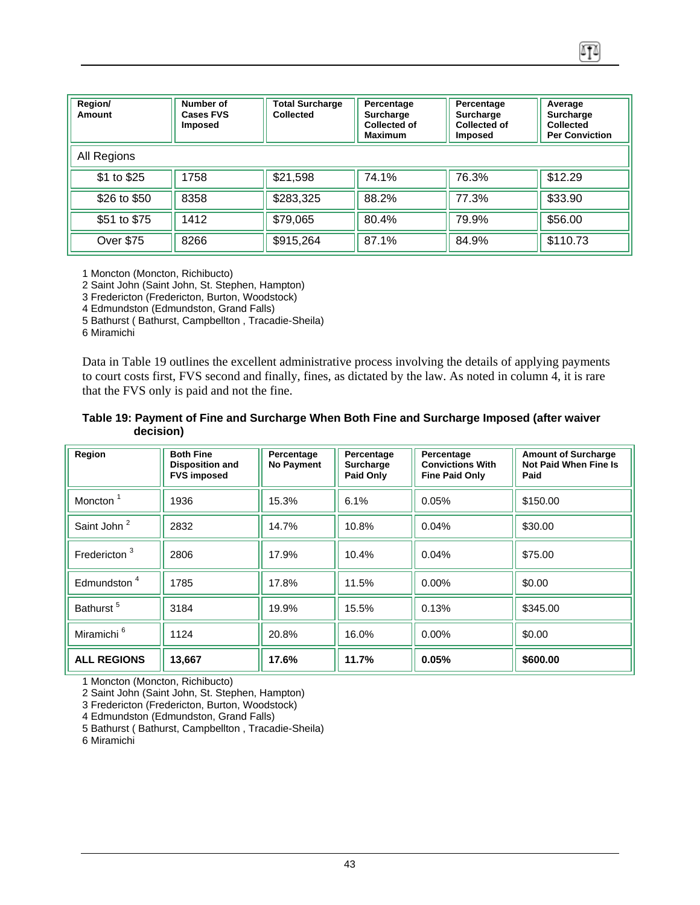| Region/<br>Amount | Number of<br><b>Cases FVS</b><br><b>Imposed</b> | <b>Total Surcharge</b><br><b>Collected</b> | Percentage<br><b>Surcharge</b><br>Collected of<br><b>Maximum</b> | Percentage<br><b>Surcharge</b><br><b>Collected of</b><br><b>Imposed</b> | Average<br><b>Surcharge</b><br>Collected<br><b>Per Conviction</b> |
|-------------------|-------------------------------------------------|--------------------------------------------|------------------------------------------------------------------|-------------------------------------------------------------------------|-------------------------------------------------------------------|
| All Regions       |                                                 |                                            |                                                                  |                                                                         |                                                                   |
| \$1 to \$25       | 1758                                            | \$21,598                                   | 74.1%                                                            | 76.3%                                                                   | \$12.29                                                           |
| \$26 to \$50      | 8358                                            | \$283,325                                  | 88.2%                                                            | 77.3%                                                                   | \$33.90                                                           |
| \$51 to \$75      | 1412                                            | \$79,065                                   | 80.4%                                                            | 79.9%                                                                   | \$56.00                                                           |
| <b>Over \$75</b>  | 8266                                            | \$915,264                                  | 87.1%                                                            | 84.9%                                                                   | \$110.73                                                          |

٨T۵

1 Moncton (Moncton, Richibucto)

2 Saint John (Saint John, St. Stephen, Hampton)

3 Fredericton (Fredericton, Burton, Woodstock)

4 Edmundston (Edmundston, Grand Falls)

5 Bathurst ( Bathurst, Campbellton , Tracadie-Sheila)

6 Miramichi

Data in Table 19 outlines the excellent administrative process involving the details of applying payments to court costs first, FVS second and finally, fines, as dictated by the law. As noted in column 4, it is rare that the FVS only is paid and not the fine.

#### **Table 19: Payment of Fine and Surcharge When Both Fine and Surcharge Imposed (after waiver decision)**

| Region                   | <b>Both Fine</b><br><b>Disposition and</b><br><b>FVS imposed</b> | Percentage<br><b>No Payment</b> | Percentage<br><b>Surcharge</b><br>Paid Only | Percentage<br><b>Convictions With</b><br><b>Fine Paid Only</b> | <b>Amount of Surcharge</b><br>Not Paid When Fine Is<br>Paid |
|--------------------------|------------------------------------------------------------------|---------------------------------|---------------------------------------------|----------------------------------------------------------------|-------------------------------------------------------------|
| Moncton <sup>1</sup>     | 1936                                                             | 15.3%                           | 6.1%                                        | 0.05%                                                          | \$150.00                                                    |
| Saint John <sup>2</sup>  | 2832                                                             | 14.7%                           | 10.8%                                       | 0.04%                                                          | \$30.00                                                     |
| Fredericton <sup>3</sup> | 2806                                                             | 17.9%                           | 10.4%                                       | 0.04%                                                          | \$75.00                                                     |
| Edmundston <sup>4</sup>  | 1785                                                             | 17.8%                           | 11.5%                                       | $0.00\%$                                                       | \$0.00                                                      |
| Bathurst <sup>5</sup>    | 3184                                                             | 19.9%                           | 15.5%                                       | 0.13%                                                          | \$345.00                                                    |
| Miramichi <sup>6</sup>   | 1124                                                             | 20.8%                           | 16.0%                                       | 0.00%                                                          | \$0.00                                                      |
| <b>ALL REGIONS</b>       | 13,667                                                           | 17.6%                           | 11.7%                                       | 0.05%                                                          | \$600.00                                                    |

1 Moncton (Moncton, Richibucto)

2 Saint John (Saint John, St. Stephen, Hampton)

3 Fredericton (Fredericton, Burton, Woodstock)

4 Edmundston (Edmundston, Grand Falls)

5 Bathurst ( Bathurst, Campbellton , Tracadie-Sheila)

6 Miramichi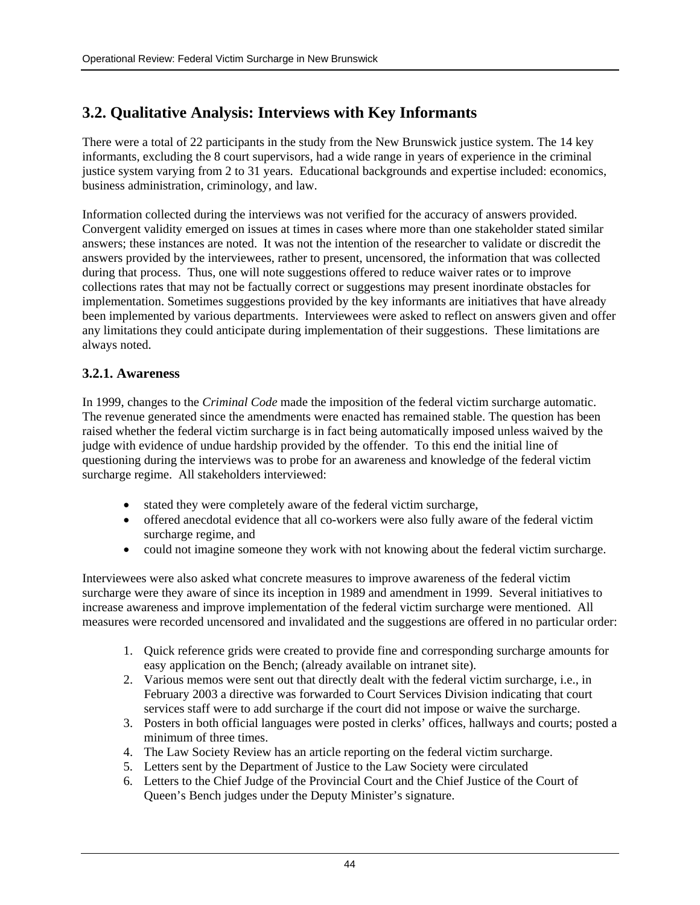## <span id="page-44-0"></span>**3.2. Qualitative Analysis: Interviews with Key Informants**

There were a total of 22 participants in the study from the New Brunswick justice system. The 14 key informants, excluding the 8 court supervisors, had a wide range in years of experience in the criminal justice system varying from 2 to 31 years. Educational backgrounds and expertise included: economics, business administration, criminology, and law.

Information collected during the interviews was not verified for the accuracy of answers provided. Convergent validity emerged on issues at times in cases where more than one stakeholder stated similar answers; these instances are noted. It was not the intention of the researcher to validate or discredit the answers provided by the interviewees, rather to present, uncensored, the information that was collected during that process. Thus, one will note suggestions offered to reduce waiver rates or to improve collections rates that may not be factually correct or suggestions may present inordinate obstacles for implementation. Sometimes suggestions provided by the key informants are initiatives that have already been implemented by various departments. Interviewees were asked to reflect on answers given and offer any limitations they could anticipate during implementation of their suggestions. These limitations are always noted.

## **3.2.1. Awareness**

In 1999, changes to the *Criminal Code* made the imposition of the federal victim surcharge automatic. The revenue generated since the amendments were enacted has remained stable. The question has been raised whether the federal victim surcharge is in fact being automatically imposed unless waived by the judge with evidence of undue hardship provided by the offender. To this end the initial line of questioning during the interviews was to probe for an awareness and knowledge of the federal victim surcharge regime. All stakeholders interviewed:

- stated they were completely aware of the federal victim surcharge,
- offered anecdotal evidence that all co-workers were also fully aware of the federal victim surcharge regime, and
- could not imagine someone they work with not knowing about the federal victim surcharge.

Interviewees were also asked what concrete measures to improve awareness of the federal victim surcharge were they aware of since its inception in 1989 and amendment in 1999. Several initiatives to increase awareness and improve implementation of the federal victim surcharge were mentioned. All measures were recorded uncensored and invalidated and the suggestions are offered in no particular order:

- 1. Quick reference grids were created to provide fine and corresponding surcharge amounts for easy application on the Bench; (already available on intranet site).
- 2. Various memos were sent out that directly dealt with the federal victim surcharge, i.e., in February 2003 a directive was forwarded to Court Services Division indicating that court services staff were to add surcharge if the court did not impose or waive the surcharge.
- 3. Posters in both official languages were posted in clerks' offices, hallways and courts; posted a minimum of three times.
- 4. The Law Society Review has an article reporting on the federal victim surcharge.
- 5. Letters sent by the Department of Justice to the Law Society were circulated
- 6. Letters to the Chief Judge of the Provincial Court and the Chief Justice of the Court of Queen's Bench judges under the Deputy Minister's signature.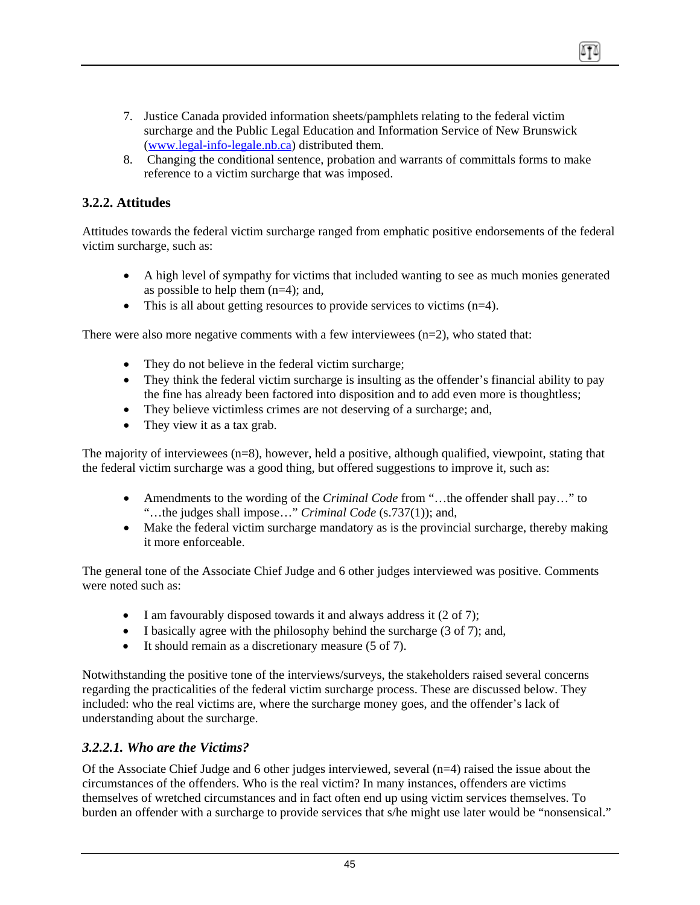- <span id="page-45-0"></span>7. Justice Canada provided information sheets/pamphlets relating to the federal victim surcharge and the Public Legal Education and Information Service of New Brunswick (www.legal-info-legale.nb.ca) distributed them.
- 8. Changing the conditional sentence, probation and warrants of committals forms to make reference to a victim surcharge that was imposed.

### **3.2.2. Attitudes**

Attitudes towards the federal victim surcharge ranged from emphatic positive endorsements of the federal victim surcharge, such as:

- A high level of sympathy for victims that included wanting to see as much monies generated as possible to help them (n=4); and,
- This is all about getting resources to provide services to victims  $(n=4)$ .

There were also more negative comments with a few interviewees  $(n=2)$ , who stated that:

- They do not believe in the federal victim surcharge;
- They think the federal victim surcharge is insulting as the offender's financial ability to pay the fine has already been factored into disposition and to add even more is thoughtless;
- They believe victimless crimes are not deserving of a surcharge; and,
- They view it as a tax grab.

The majority of interviewees  $(n=8)$ , however, held a positive, although qualified, viewpoint, stating that the federal victim surcharge was a good thing, but offered suggestions to improve it, such as:

- Amendments to the wording of the *Criminal Code* from "...the offender shall pay..." to "…the judges shall impose…" *Criminal Code* (s.737(1)); and,
- Make the federal victim surcharge mandatory as is the provincial surcharge, thereby making it more enforceable.

The general tone of the Associate Chief Judge and 6 other judges interviewed was positive. Comments were noted such as:

- I am favourably disposed towards it and always address it (2 of 7);
- I basically agree with the philosophy behind the surcharge (3 of 7); and,
- It should remain as a discretionary measure (5 of 7).

Notwithstanding the positive tone of the interviews/surveys, the stakeholders raised several concerns regarding the practicalities of the federal victim surcharge process. These are discussed below. They included: who the real victims are, where the surcharge money goes, and the offender's lack of understanding about the surcharge.

#### *3.2.2.1. Who are the Victims?*

Of the Associate Chief Judge and 6 other judges interviewed, several (n=4) raised the issue about the circumstances of the offenders. Who is the real victim? In many instances, offenders are victims themselves of wretched circumstances and in fact often end up using victim services themselves. To burden an offender with a surcharge to provide services that s/he might use later would be "nonsensical."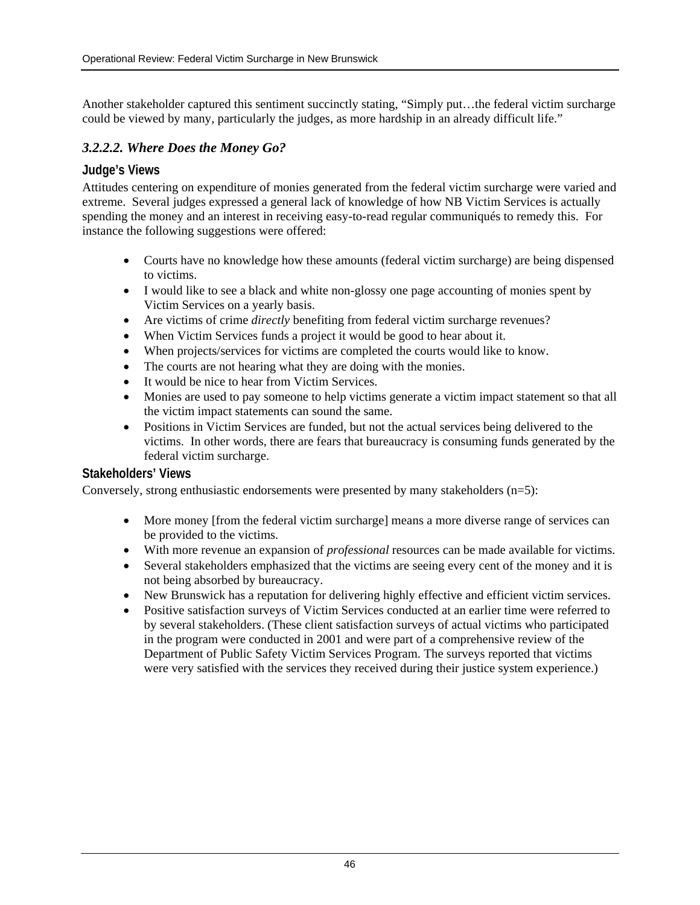Another stakeholder captured this sentiment succinctly stating, "Simply put…the federal victim surcharge could be viewed by many, particularly the judges, as more hardship in an already difficult life."

## *3.2.2.2. Where Does the Money Go?*

### **Judge's Views**

Attitudes centering on expenditure of monies generated from the federal victim surcharge were varied and extreme. Several judges expressed a general lack of knowledge of how NB Victim Services is actually spending the money and an interest in receiving easy-to-read regular communiqués to remedy this. For instance the following suggestions were offered:

- Courts have no knowledge how these amounts (federal victim surcharge) are being dispensed to victims.
- I would like to see a black and white non-glossy one page accounting of monies spent by Victim Services on a yearly basis.
- Are victims of crime *directly* benefiting from federal victim surcharge revenues?
- When Victim Services funds a project it would be good to hear about it.
- When projects/services for victims are completed the courts would like to know.
- The courts are not hearing what they are doing with the monies.
- It would be nice to hear from Victim Services.
- Monies are used to pay someone to help victims generate a victim impact statement so that all the victim impact statements can sound the same.
- Positions in Victim Services are funded, but not the actual services being delivered to the victims. In other words, there are fears that bureaucracy is consuming funds generated by the federal victim surcharge.

#### **Stakeholders' Views**

Conversely, strong enthusiastic endorsements were presented by many stakeholders (n=5):

- More money [from the federal victim surcharge] means a more diverse range of services can be provided to the victims.
- With more revenue an expansion of *professional* resources can be made available for victims.
- Several stakeholders emphasized that the victims are seeing every cent of the money and it is not being absorbed by bureaucracy.
- New Brunswick has a reputation for delivering highly effective and efficient victim services.
- Positive satisfaction surveys of Victim Services conducted at an earlier time were referred to by several stakeholders. (These client satisfaction surveys of actual victims who participated in the program were conducted in 2001 and were part of a comprehensive review of the Department of Public Safety Victim Services Program. The surveys reported that victims were very satisfied with the services they received during their justice system experience.)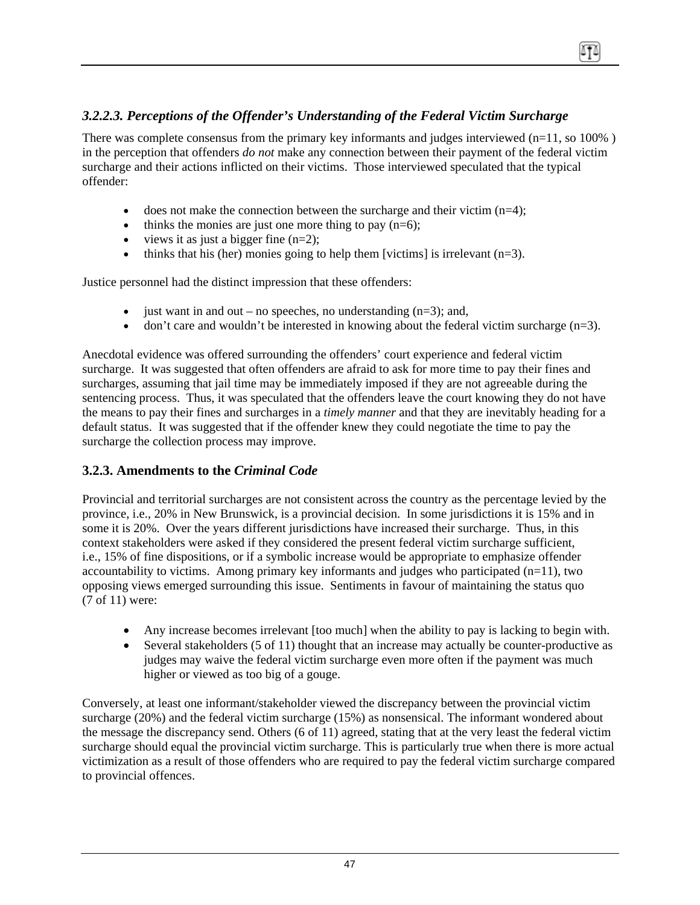## <span id="page-47-0"></span>*3.2.2.3. Perceptions of the Offender's Understanding of the Federal Victim Surcharge*

There was complete consensus from the primary key informants and judges interviewed  $(n=11, so 100\%)$ in the perception that offenders *do not* make any connection between their payment of the federal victim surcharge and their actions inflicted on their victims. Those interviewed speculated that the typical offender:

- does not make the connection between the surcharge and their victim  $(n=4)$ ;
- thinks the monies are just one more thing to pay  $(n=6)$ ;
- views it as just a bigger fine  $(n=2)$ ;
- thinks that his (her) monies going to help them [victims] is irrelevant  $(n=3)$ .

Justice personnel had the distinct impression that these offenders:

- just want in and out no speeches, no understanding  $(n=3)$ ; and,
- don't care and wouldn't be interested in knowing about the federal victim surcharge  $(n=3)$ .

Anecdotal evidence was offered surrounding the offenders' court experience and federal victim surcharge. It was suggested that often offenders are afraid to ask for more time to pay their fines and surcharges, assuming that jail time may be immediately imposed if they are not agreeable during the sentencing process. Thus, it was speculated that the offenders leave the court knowing they do not have the means to pay their fines and surcharges in a *timely manner* and that they are inevitably heading for a default status. It was suggested that if the offender knew they could negotiate the time to pay the surcharge the collection process may improve.

### **3.2.3. Amendments to the** *Criminal Code*

Provincial and territorial surcharges are not consistent across the country as the percentage levied by the province, i.e., 20% in New Brunswick, is a provincial decision. In some jurisdictions it is 15% and in some it is 20%. Over the years different jurisdictions have increased their surcharge. Thus, in this context stakeholders were asked if they considered the present federal victim surcharge sufficient, i.e., 15% of fine dispositions, or if a symbolic increase would be appropriate to emphasize offender accountability to victims. Among primary key informants and judges who participated  $(n=11)$ , two opposing views emerged surrounding this issue. Sentiments in favour of maintaining the status quo (7 of 11) were:

- Any increase becomes irrelevant [too much] when the ability to pay is lacking to begin with.
- Several stakeholders (5 of 11) thought that an increase may actually be counter-productive as judges may waive the federal victim surcharge even more often if the payment was much higher or viewed as too big of a gouge.

Conversely, at least one informant/stakeholder viewed the discrepancy between the provincial victim surcharge (20%) and the federal victim surcharge (15%) as nonsensical. The informant wondered about the message the discrepancy send. Others (6 of 11) agreed, stating that at the very least the federal victim surcharge should equal the provincial victim surcharge. This is particularly true when there is more actual victimization as a result of those offenders who are required to pay the federal victim surcharge compared to provincial offences.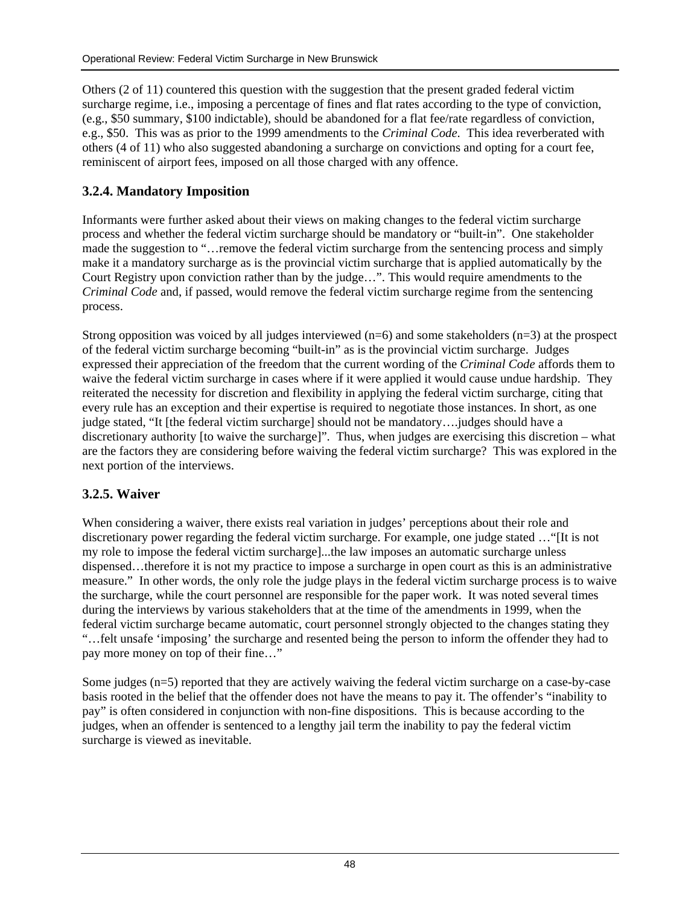<span id="page-48-0"></span>Others (2 of 11) countered this question with the suggestion that the present graded federal victim surcharge regime, i.e., imposing a percentage of fines and flat rates according to the type of conviction, (e.g., \$50 summary, \$100 indictable), should be abandoned for a flat fee/rate regardless of conviction, e.g., \$50. This was as prior to the 1999 amendments to the *Criminal Code*. This idea reverberated with others (4 of 11) who also suggested abandoning a surcharge on convictions and opting for a court fee, reminiscent of airport fees, imposed on all those charged with any offence.

## **3.2.4. Mandatory Imposition**

Informants were further asked about their views on making changes to the federal victim surcharge process and whether the federal victim surcharge should be mandatory or "built-in". One stakeholder made the suggestion to "…remove the federal victim surcharge from the sentencing process and simply make it a mandatory surcharge as is the provincial victim surcharge that is applied automatically by the Court Registry upon conviction rather than by the judge…". This would require amendments to the *Criminal Code* and, if passed, would remove the federal victim surcharge regime from the sentencing process.

Strong opposition was voiced by all judges interviewed  $(n=6)$  and some stakeholders  $(n=3)$  at the prospect of the federal victim surcharge becoming "built-in" as is the provincial victim surcharge. Judges expressed their appreciation of the freedom that the current wording of the *Criminal Code* affords them to waive the federal victim surcharge in cases where if it were applied it would cause undue hardship. They reiterated the necessity for discretion and flexibility in applying the federal victim surcharge, citing that every rule has an exception and their expertise is required to negotiate those instances. In short, as one judge stated, "It [the federal victim surcharge] should not be mandatory….judges should have a discretionary authority [to waive the surcharge]". Thus, when judges are exercising this discretion – what are the factors they are considering before waiving the federal victim surcharge? This was explored in the next portion of the interviews.

## **3.2.5. Waiver**

When considering a waiver, there exists real variation in judges' perceptions about their role and discretionary power regarding the federal victim surcharge. For example, one judge stated …"[It is not my role to impose the federal victim surcharge]...the law imposes an automatic surcharge unless dispensed…therefore it is not my practice to impose a surcharge in open court as this is an administrative measure." In other words, the only role the judge plays in the federal victim surcharge process is to waive the surcharge, while the court personnel are responsible for the paper work. It was noted several times during the interviews by various stakeholders that at the time of the amendments in 1999, when the federal victim surcharge became automatic, court personnel strongly objected to the changes stating they "…felt unsafe 'imposing' the surcharge and resented being the person to inform the offender they had to pay more money on top of their fine…"

Some judges (n=5) reported that they are actively waiving the federal victim surcharge on a case-by-case basis rooted in the belief that the offender does not have the means to pay it. The offender's "inability to pay" is often considered in conjunction with non-fine dispositions. This is because according to the judges, when an offender is sentenced to a lengthy jail term the inability to pay the federal victim surcharge is viewed as inevitable.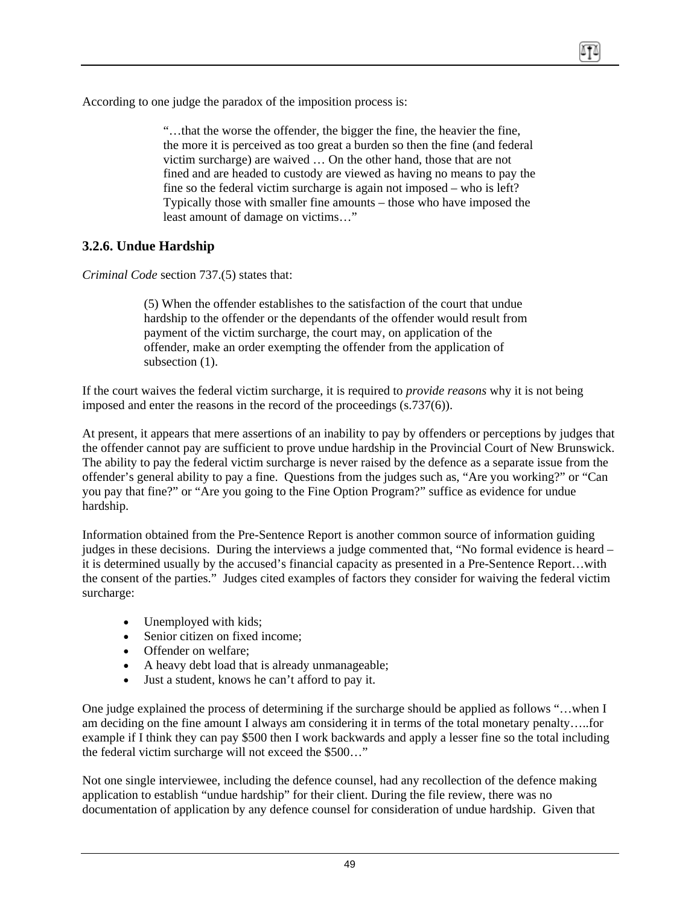<span id="page-49-0"></span>According to one judge the paradox of the imposition process is:

"…that the worse the offender, the bigger the fine, the heavier the fine, the more it is perceived as too great a burden so then the fine (and federal victim surcharge) are waived … On the other hand, those that are not fined and are headed to custody are viewed as having no means to pay the fine so the federal victim surcharge is again not imposed – who is left? Typically those with smaller fine amounts – those who have imposed the least amount of damage on victims…"

### **3.2.6. Undue Hardship**

*Criminal Code* section 737.(5) states that:

(5) When the offender establishes to the satisfaction of the court that undue hardship to the offender or the dependants of the offender would result from payment of the victim surcharge, the court may, on application of the offender, make an order exempting the offender from the application of subsection  $(1)$ .

If the court waives the federal victim surcharge, it is required to *provide reasons* why it is not being imposed and enter the reasons in the record of the proceedings (s.737(6)).

At present, it appears that mere assertions of an inability to pay by offenders or perceptions by judges that the offender cannot pay are sufficient to prove undue hardship in the Provincial Court of New Brunswick. The ability to pay the federal victim surcharge is never raised by the defence as a separate issue from the offender's general ability to pay a fine. Questions from the judges such as, "Are you working?" or "Can you pay that fine?" or "Are you going to the Fine Option Program?" suffice as evidence for undue hardship.

Information obtained from the Pre-Sentence Report is another common source of information guiding judges in these decisions. During the interviews a judge commented that, "No formal evidence is heard – it is determined usually by the accused's financial capacity as presented in a Pre-Sentence Report…with the consent of the parties." Judges cited examples of factors they consider for waiving the federal victim surcharge:

- Unemployed with kids;
- Senior citizen on fixed income;
- Offender on welfare:
- A heavy debt load that is already unmanageable;
- Just a student, knows he can't afford to pay it.

One judge explained the process of determining if the surcharge should be applied as follows "…when I am deciding on the fine amount I always am considering it in terms of the total monetary penalty…..for example if I think they can pay \$500 then I work backwards and apply a lesser fine so the total including the federal victim surcharge will not exceed the \$500…"

Not one single interviewee, including the defence counsel, had any recollection of the defence making application to establish "undue hardship" for their client. During the file review, there was no documentation of application by any defence counsel for consideration of undue hardship. Given that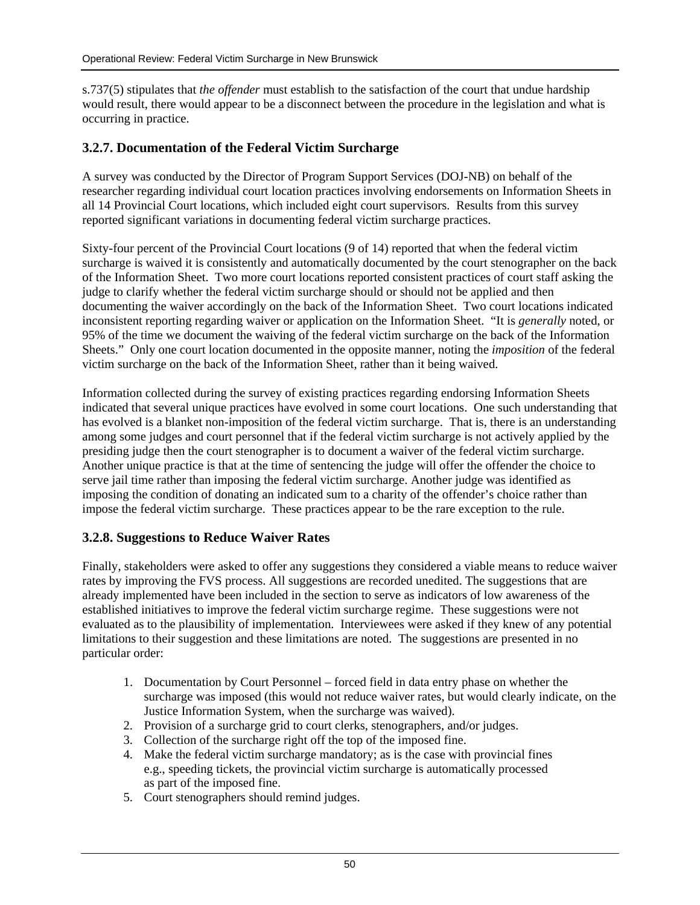<span id="page-50-0"></span>s.737(5) stipulates that *the offender* must establish to the satisfaction of the court that undue hardship would result, there would appear to be a disconnect between the procedure in the legislation and what is occurring in practice.

## **3.2.7. Documentation of the Federal Victim Surcharge**

A survey was conducted by the Director of Program Support Services (DOJ-NB) on behalf of the researcher regarding individual court location practices involving endorsements on Information Sheets in all 14 Provincial Court locations, which included eight court supervisors. Results from this survey reported significant variations in documenting federal victim surcharge practices.

Sixty-four percent of the Provincial Court locations (9 of 14) reported that when the federal victim surcharge is waived it is consistently and automatically documented by the court stenographer on the back of the Information Sheet. Two more court locations reported consistent practices of court staff asking the judge to clarify whether the federal victim surcharge should or should not be applied and then documenting the waiver accordingly on the back of the Information Sheet. Two court locations indicated inconsistent reporting regarding waiver or application on the Information Sheet. "It is *generally* noted, or 95% of the time we document the waiving of the federal victim surcharge on the back of the Information Sheets." Only one court location documented in the opposite manner, noting the *imposition* of the federal victim surcharge on the back of the Information Sheet, rather than it being waived.

Information collected during the survey of existing practices regarding endorsing Information Sheets indicated that several unique practices have evolved in some court locations. One such understanding that has evolved is a blanket non-imposition of the federal victim surcharge. That is, there is an understanding among some judges and court personnel that if the federal victim surcharge is not actively applied by the presiding judge then the court stenographer is to document a waiver of the federal victim surcharge. Another unique practice is that at the time of sentencing the judge will offer the offender the choice to serve jail time rather than imposing the federal victim surcharge. Another judge was identified as imposing the condition of donating an indicated sum to a charity of the offender's choice rather than impose the federal victim surcharge. These practices appear to be the rare exception to the rule.

### **3.2.8. Suggestions to Reduce Waiver Rates**

Finally, stakeholders were asked to offer any suggestions they considered a viable means to reduce waiver rates by improving the FVS process. All suggestions are recorded unedited. The suggestions that are already implemented have been included in the section to serve as indicators of low awareness of the established initiatives to improve the federal victim surcharge regime. These suggestions were not evaluated as to the plausibility of implementation. Interviewees were asked if they knew of any potential limitations to their suggestion and these limitations are noted. The suggestions are presented in no particular order:

- 1. Documentation by Court Personnel forced field in data entry phase on whether the surcharge was imposed (this would not reduce waiver rates, but would clearly indicate, on the Justice Information System, when the surcharge was waived).
- 2. Provision of a surcharge grid to court clerks, stenographers, and/or judges.
- 3. Collection of the surcharge right off the top of the imposed fine.
- 4. Make the federal victim surcharge mandatory; as is the case with provincial fines e.g., speeding tickets, the provincial victim surcharge is automatically processed as part of the imposed fine.
- 5. Court stenographers should remind judges.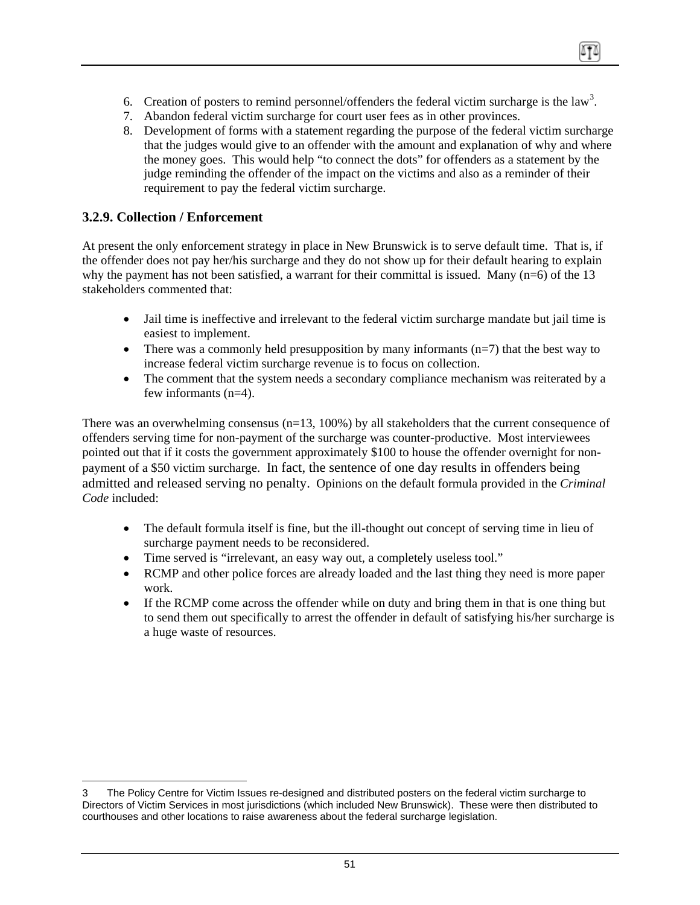- <span id="page-51-0"></span>6. Creation of posters to remind personnel/offenders the federal victim surcharge is the law<sup>[3](#page-51-1)</sup>.
- 7. Abandon federal victim surcharge for court user fees as in other provinces.
- 8. Development of forms with a statement regarding the purpose of the federal victim surcharge that the judges would give to an offender with the amount and explanation of why and where the money goes. This would help "to connect the dots" for offenders as a statement by the judge reminding the offender of the impact on the victims and also as a reminder of their requirement to pay the federal victim surcharge.

## **3.2.9. Collection / Enforcement**

 $\overline{a}$ 

At present the only enforcement strategy in place in New Brunswick is to serve default time. That is, if the offender does not pay her/his surcharge and they do not show up for their default hearing to explain why the payment has not been satisfied, a warrant for their committal is issued. Many  $(n=6)$  of the 13 stakeholders commented that:

- Jail time is ineffective and irrelevant to the federal victim surcharge mandate but jail time is easiest to implement.
- There was a commonly held presupposition by many informants  $(n=7)$  that the best way to increase federal victim surcharge revenue is to focus on collection.
- The comment that the system needs a secondary compliance mechanism was reiterated by a few informants (n=4).

There was an overwhelming consensus (n=13, 100%) by all stakeholders that the current consequence of offenders serving time for non-payment of the surcharge was counter-productive. Most interviewees pointed out that if it costs the government approximately \$100 to house the offender overnight for nonpayment of a \$50 victim surcharge. In fact, the sentence of one day results in offenders being admitted and released serving no penalty. Opinions on the default formula provided in the *Criminal Code* included:

- The default formula itself is fine, but the ill-thought out concept of serving time in lieu of surcharge payment needs to be reconsidered.
- Time served is "irrelevant, an easy way out, a completely useless tool."
- RCMP and other police forces are already loaded and the last thing they need is more paper work.
- If the RCMP come across the offender while on duty and bring them in that is one thing but to send them out specifically to arrest the offender in default of satisfying his/her surcharge is a huge waste of resources.

<span id="page-51-1"></span><sup>3</sup> The Policy Centre for Victim Issues re-designed and distributed posters on the federal victim surcharge to Directors of Victim Services in most jurisdictions (which included New Brunswick). These were then distributed to courthouses and other locations to raise awareness about the federal surcharge legislation.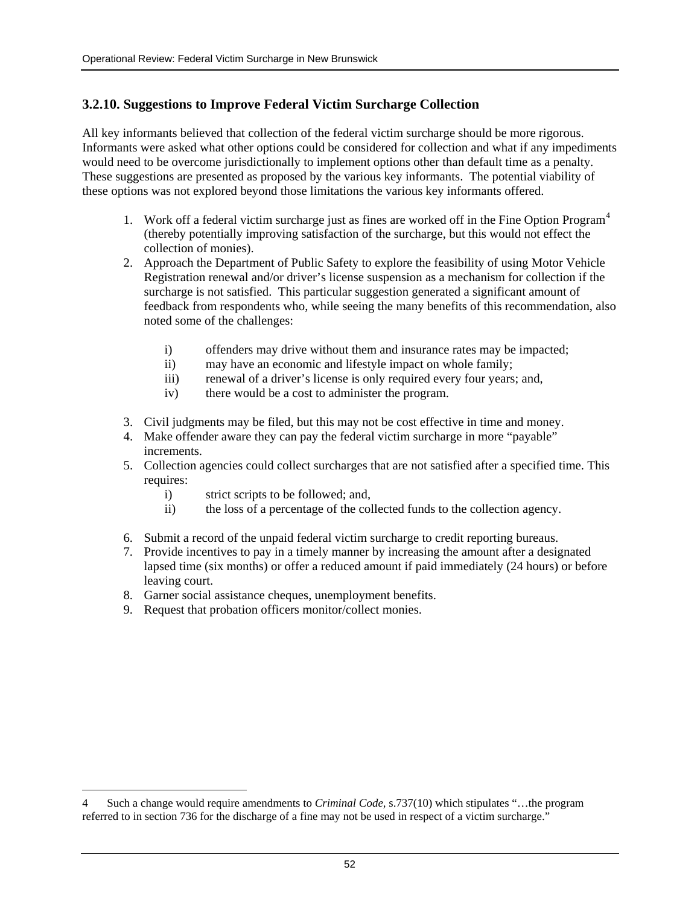## <span id="page-52-0"></span>**3.2.10. Suggestions to Improve Federal Victim Surcharge Collection**

All key informants believed that collection of the federal victim surcharge should be more rigorous. Informants were asked what other options could be considered for collection and what if any impediments would need to be overcome jurisdictionally to implement options other than default time as a penalty. These suggestions are presented as proposed by the various key informants. The potential viability of these options was not explored beyond those limitations the various key informants offered.

- 1. Work off a federal victim surcharge just as fines are worked off in the Fine Option Program<sup>[4](#page-52-1)</sup> (thereby potentially improving satisfaction of the surcharge, but this would not effect the collection of monies).
- 2. Approach the Department of Public Safety to explore the feasibility of using Motor Vehicle Registration renewal and/or driver's license suspension as a mechanism for collection if the surcharge is not satisfied. This particular suggestion generated a significant amount of feedback from respondents who, while seeing the many benefits of this recommendation, also noted some of the challenges:
	- i) offenders may drive without them and insurance rates may be impacted;
	- ii) may have an economic and lifestyle impact on whole family;
	- iii) renewal of a driver's license is only required every four years; and,
	- iv) there would be a cost to administer the program.
- 3. Civil judgments may be filed, but this may not be cost effective in time and money.
- 4. Make offender aware they can pay the federal victim surcharge in more "payable" increments.
- 5. Collection agencies could collect surcharges that are not satisfied after a specified time. This requires:
	- i) strict scripts to be followed; and,
	- ii) the loss of a percentage of the collected funds to the collection agency.
- 6. Submit a record of the unpaid federal victim surcharge to credit reporting bureaus.
- 7. Provide incentives to pay in a timely manner by increasing the amount after a designated lapsed time (six months) or offer a reduced amount if paid immediately (24 hours) or before leaving court.
- 8. Garner social assistance cheques, unemployment benefits.
- 9. Request that probation officers monitor/collect monies.

 $\overline{a}$ 

<span id="page-52-1"></span><sup>4</sup> Such a change would require amendments to *Criminal Code,* s.737(10) which stipulates "…the program referred to in section 736 for the discharge of a fine may not be used in respect of a victim surcharge."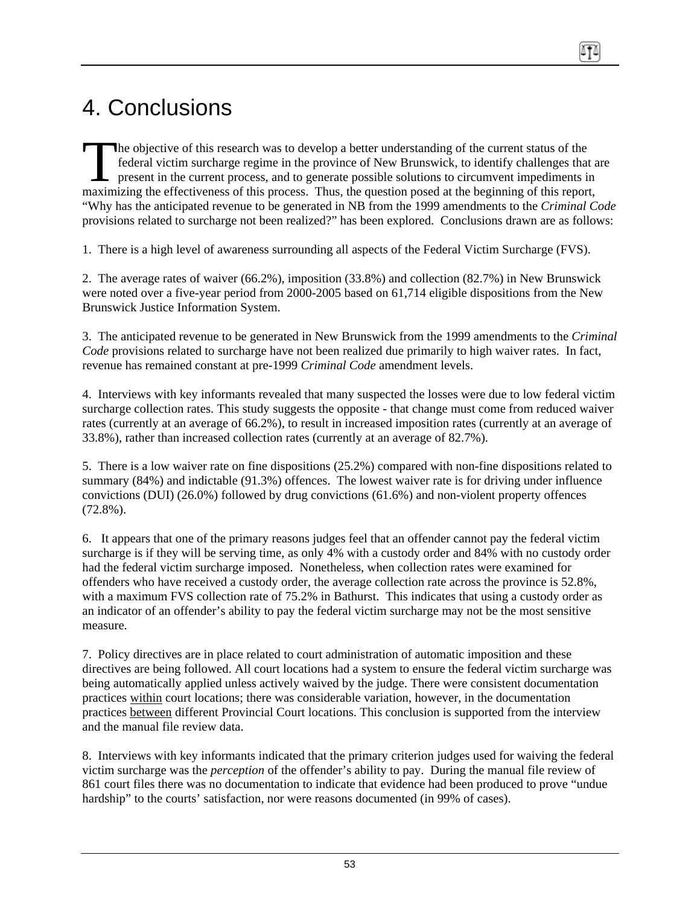# <span id="page-53-0"></span>4. Conclusions

he objective of this research was to develop a better understanding of the current status of the federal victim surcharge regime in the province of New Brunswick, to identify challenges that are present in the current process, and to generate possible solutions to circumvent impediments in The objective of this research was to develop a better understanding of the current status of the federal victim surcharge regime in the province of New Brunswick, to identify challenges that a present in the current proce "Why has the anticipated revenue to be generated in NB from the 1999 amendments to the *Criminal Code* provisions related to surcharge not been realized?" has been explored. Conclusions drawn are as follows:

1. There is a high level of awareness surrounding all aspects of the Federal Victim Surcharge (FVS).

2. The average rates of waiver (66.2%), imposition (33.8%) and collection (82.7%) in New Brunswick were noted over a five-year period from 2000-2005 based on 61,714 eligible dispositions from the New Brunswick Justice Information System.

3. The anticipated revenue to be generated in New Brunswick from the 1999 amendments to the *Criminal Code* provisions related to surcharge have not been realized due primarily to high waiver rates. In fact, revenue has remained constant at pre-1999 *Criminal Code* amendment levels.

4. Interviews with key informants revealed that many suspected the losses were due to low federal victim surcharge collection rates. This study suggests the opposite - that change must come from reduced waiver rates (currently at an average of 66.2%), to result in increased imposition rates (currently at an average of 33.8%), rather than increased collection rates (currently at an average of 82.7%).

5. There is a low waiver rate on fine dispositions (25.2%) compared with non-fine dispositions related to summary (84%) and indictable (91.3%) offences. The lowest waiver rate is for driving under influence convictions (DUI) (26.0%) followed by drug convictions (61.6%) and non-violent property offences (72.8%).

6. It appears that one of the primary reasons judges feel that an offender cannot pay the federal victim surcharge is if they will be serving time, as only 4% with a custody order and 84% with no custody order had the federal victim surcharge imposed. Nonetheless, when collection rates were examined for offenders who have received a custody order, the average collection rate across the province is 52.8%, with a maximum FVS collection rate of 75.2% in Bathurst. This indicates that using a custody order as an indicator of an offender's ability to pay the federal victim surcharge may not be the most sensitive measure.

7. Policy directives are in place related to court administration of automatic imposition and these directives are being followed. All court locations had a system to ensure the federal victim surcharge was being automatically applied unless actively waived by the judge. There were consistent documentation practices within court locations; there was considerable variation, however, in the documentation practices between different Provincial Court locations. This conclusion is supported from the interview and the manual file review data.

8. Interviews with key informants indicated that the primary criterion judges used for waiving the federal victim surcharge was the *perception* of the offender's ability to pay. During the manual file review of 861 court files there was no documentation to indicate that evidence had been produced to prove "undue hardship" to the courts' satisfaction, nor were reasons documented (in 99% of cases).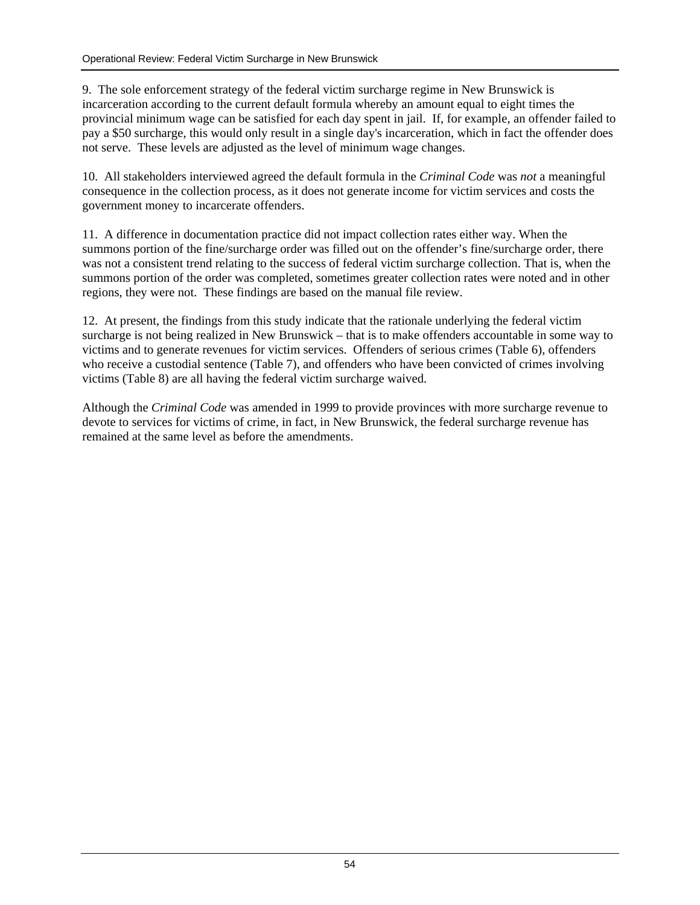9. The sole enforcement strategy of the federal victim surcharge regime in New Brunswick is incarceration according to the current default formula whereby an amount equal to eight times the provincial minimum wage can be satisfied for each day spent in jail. If, for example, an offender failed to pay a \$50 surcharge, this would only result in a single day's incarceration, which in fact the offender does not serve. These levels are adjusted as the level of minimum wage changes.

10. All stakeholders interviewed agreed the default formula in the *Criminal Code* was *not* a meaningful consequence in the collection process, as it does not generate income for victim services and costs the government money to incarcerate offenders.

11. A difference in documentation practice did not impact collection rates either way. When the summons portion of the fine/surcharge order was filled out on the offender's fine/surcharge order, there was not a consistent trend relating to the success of federal victim surcharge collection. That is, when the summons portion of the order was completed, sometimes greater collection rates were noted and in other regions, they were not. These findings are based on the manual file review.

12. At present, the findings from this study indicate that the rationale underlying the federal victim surcharge is not being realized in New Brunswick – that is to make offenders accountable in some way to victims and to generate revenues for victim services. Offenders of serious crimes (Table 6), offenders who receive a custodial sentence (Table 7), and offenders who have been convicted of crimes involving victims (Table 8) are all having the federal victim surcharge waived.

Although the *Criminal Code* was amended in 1999 to provide provinces with more surcharge revenue to devote to services for victims of crime, in fact, in New Brunswick, the federal surcharge revenue has remained at the same level as before the amendments.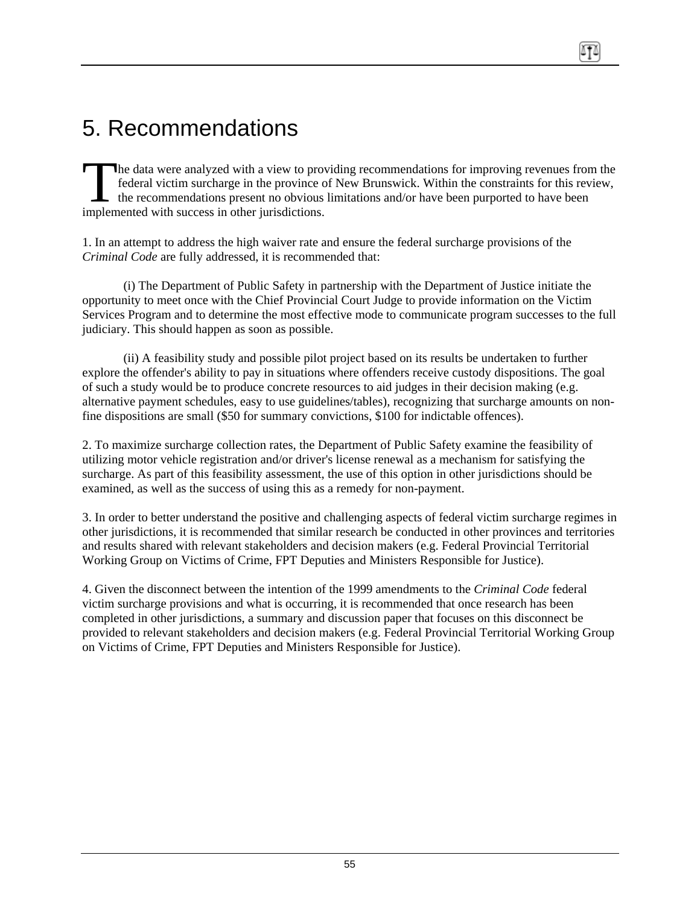# <span id="page-55-0"></span>5. Recommendations

he data were analyzed with a view to providing recommendations for improving revenues from the federal victim surcharge in the province of New Brunswick. Within the constraints for this review, the recommendations present no obvious limitations and/or have been purported to have been **implemented with success in the province of the recommendations present no obvious implemented with success in other jurisdictions.** 

1. In an attempt to address the high waiver rate and ensure the federal surcharge provisions of the *Criminal Code* are fully addressed, it is recommended that:

(i) The Department of Public Safety in partnership with the Department of Justice initiate the opportunity to meet once with the Chief Provincial Court Judge to provide information on the Victim Services Program and to determine the most effective mode to communicate program successes to the full judiciary. This should happen as soon as possible.

(ii) A feasibility study and possible pilot project based on its results be undertaken to further explore the offender's ability to pay in situations where offenders receive custody dispositions. The goal of such a study would be to produce concrete resources to aid judges in their decision making (e.g. alternative payment schedules, easy to use guidelines/tables), recognizing that surcharge amounts on nonfine dispositions are small (\$50 for summary convictions, \$100 for indictable offences).

2. To maximize surcharge collection rates, the Department of Public Safety examine the feasibility of utilizing motor vehicle registration and/or driver's license renewal as a mechanism for satisfying the surcharge. As part of this feasibility assessment, the use of this option in other jurisdictions should be examined, as well as the success of using this as a remedy for non-payment.

3. In order to better understand the positive and challenging aspects of federal victim surcharge regimes in other jurisdictions, it is recommended that similar research be conducted in other provinces and territories and results shared with relevant stakeholders and decision makers (e.g. Federal Provincial Territorial Working Group on Victims of Crime, FPT Deputies and Ministers Responsible for Justice).

4. Given the disconnect between the intention of the 1999 amendments to the *Criminal Code* federal victim surcharge provisions and what is occurring, it is recommended that once research has been completed in other jurisdictions, a summary and discussion paper that focuses on this disconnect be provided to relevant stakeholders and decision makers (e.g. Federal Provincial Territorial Working Group on Victims of Crime, FPT Deputies and Ministers Responsible for Justice).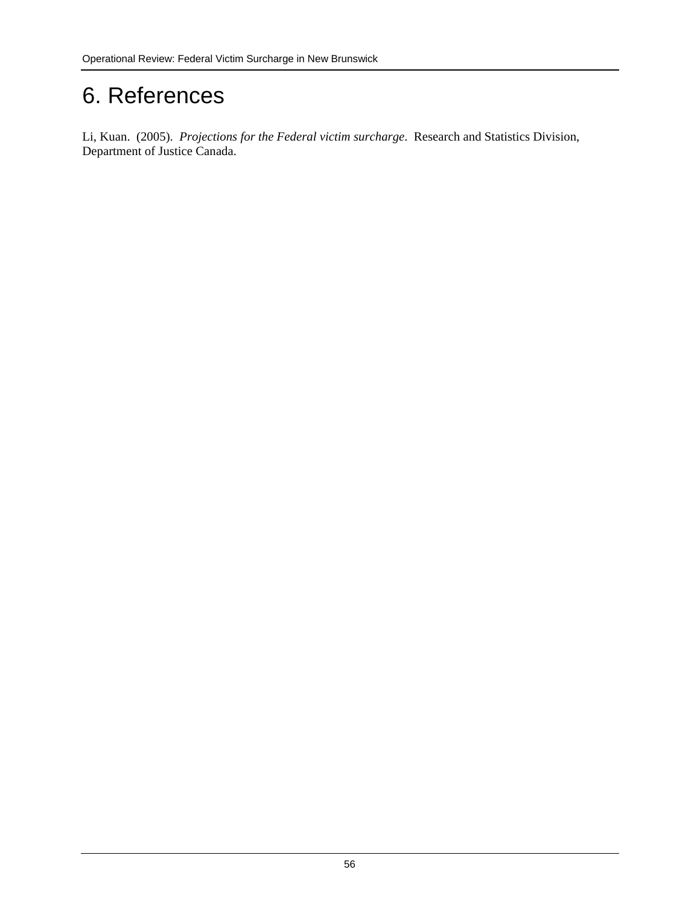# <span id="page-56-0"></span>6. References

Li, Kuan. (2005). *Projections for the Federal victim surcharge*. Research and Statistics Division, Department of Justice Canada.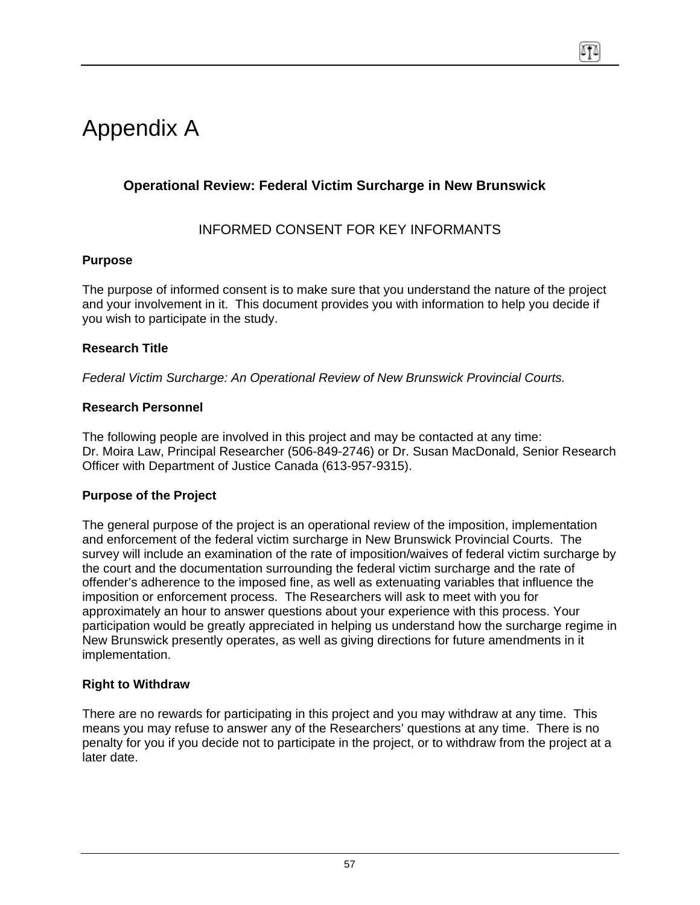# <span id="page-57-0"></span>Appendix A

## **Operational Review: Federal Victim Surcharge in New Brunswick**

## INFORMED CONSENT FOR KEY INFORMANTS

### **Purpose**

The purpose of informed consent is to make sure that you understand the nature of the project and your involvement in it. This document provides you with information to help you decide if you wish to participate in the study.

### **Research Title**

*Federal Victim Surcharge: An Operational Review of New Brunswick Provincial Courts.* 

#### **Research Personnel**

The following people are involved in this project and may be contacted at any time: Dr. Moira Law, Principal Researcher (506-849-2746) or Dr. Susan MacDonald, Senior Research Officer with Department of Justice Canada (613-957-9315).

#### **Purpose of the Project**

The general purpose of the project is an operational review of the imposition, implementation and enforcement of the federal victim surcharge in New Brunswick Provincial Courts. The survey will include an examination of the rate of imposition/waives of federal victim surcharge by the court and the documentation surrounding the federal victim surcharge and the rate of offender's adherence to the imposed fine, as well as extenuating variables that influence the imposition or enforcement process. The Researchers will ask to meet with you for approximately an hour to answer questions about your experience with this process. Your participation would be greatly appreciated in helping us understand how the surcharge regime in New Brunswick presently operates, as well as giving directions for future amendments in it implementation.

### **Right to Withdraw**

There are no rewards for participating in this project and you may withdraw at any time. This means you may refuse to answer any of the Researchers' questions at any time. There is no penalty for you if you decide not to participate in the project, or to withdraw from the project at a later date.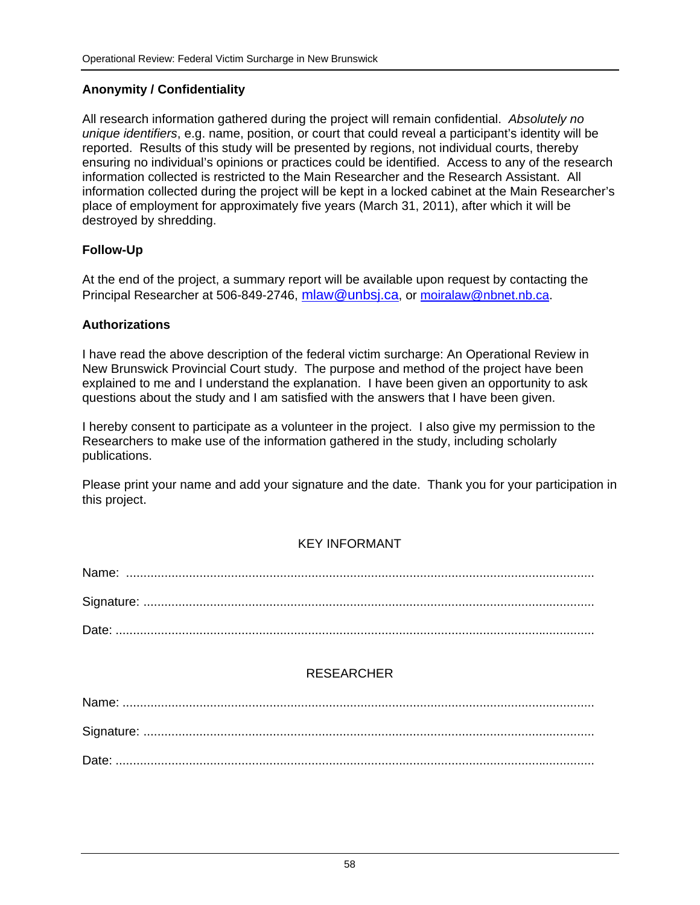### **Anonymity / Confidentiality**

All research information gathered during the project will remain confidential. *Absolutely no unique identifiers*, e.g. name, position, or court that could reveal a participant's identity will be reported. Results of this study will be presented by regions, not individual courts, thereby ensuring no individual's opinions or practices could be identified. Access to any of the research information collected is restricted to the Main Researcher and the Research Assistant. All information collected during the project will be kept in a locked cabinet at the Main Researcher's place of employment for approximately five years (March 31, 2011), after which it will be destroyed by shredding.

#### **Follow-Up**

At the end of the project, a summary report will be available upon request by contacting the Principal Researcher at 506-849-2746, mlaw@unbsj.ca, or moiralaw@nbnet.nb.ca.

#### **Authorizations**

I have read the above description of the federal victim surcharge: An Operational Review in New Brunswick Provincial Court study. The purpose and method of the project have been explained to me and I understand the explanation. I have been given an opportunity to ask questions about the study and I am satisfied with the answers that I have been given.

I hereby consent to participate as a volunteer in the project. I also give my permission to the Researchers to make use of the information gathered in the study, including scholarly publications.

Please print your name and add your signature and the date. Thank you for your participation in this project.

### KEY INFORMANT

### RESEARCHER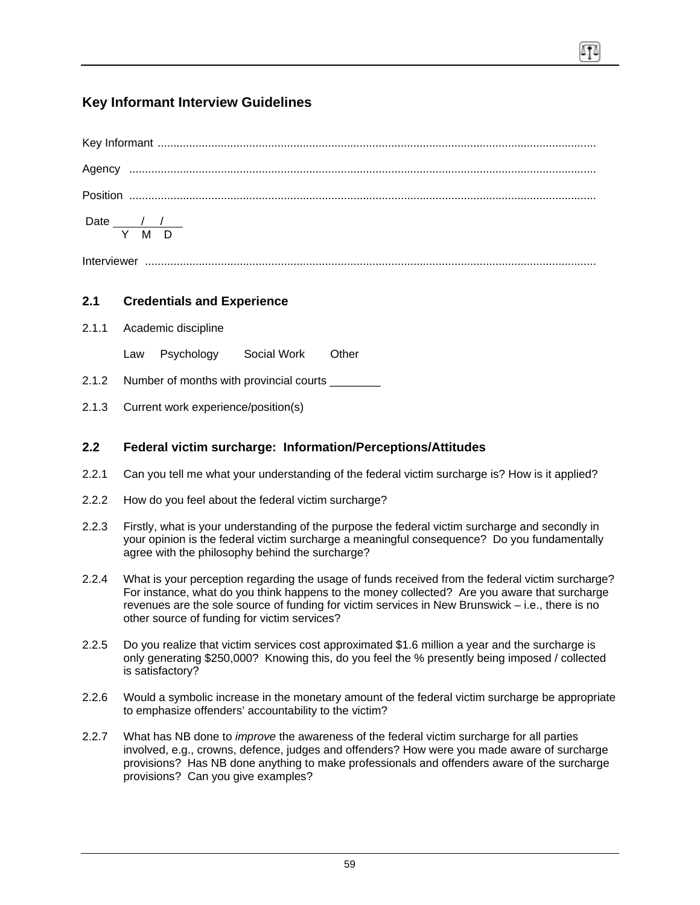## **Key Informant Interview Guidelines**

| Date $\frac{1}{2}$ / $\frac{1}{2}$<br>Y M D |  |
|---------------------------------------------|--|

#### Interviewer ...............................................................................................................................................

### **2.1 Credentials and Experience**

- 2.1.1 Academic discipline
	- Law Psychology Social Work Other
- 2.1.2 Number of months with provincial courts \_\_\_\_\_\_\_\_
- 2.1.3 Current work experience/position(s)

#### **2.2 Federal victim surcharge: Information/Perceptions/Attitudes**

- 2.2.1 Can you tell me what your understanding of the federal victim surcharge is? How is it applied?
- 2.2.2 How do you feel about the federal victim surcharge?
- 2.2.3 Firstly, what is your understanding of the purpose the federal victim surcharge and secondly in your opinion is the federal victim surcharge a meaningful consequence? Do you fundamentally agree with the philosophy behind the surcharge?
- 2.2.4 What is your perception regarding the usage of funds received from the federal victim surcharge? For instance, what do you think happens to the money collected? Are you aware that surcharge revenues are the sole source of funding for victim services in New Brunswick – i.e., there is no other source of funding for victim services?
- 2.2.5 Do you realize that victim services cost approximated \$1.6 million a year and the surcharge is only generating \$250,000? Knowing this, do you feel the % presently being imposed / collected is satisfactory?
- 2.2.6 Would a symbolic increase in the monetary amount of the federal victim surcharge be appropriate to emphasize offenders' accountability to the victim?
- 2.2.7 What has NB done to *improve* the awareness of the federal victim surcharge for all parties involved, e.g., crowns, defence, judges and offenders? How were you made aware of surcharge provisions? Has NB done anything to make professionals and offenders aware of the surcharge provisions? Can you give examples?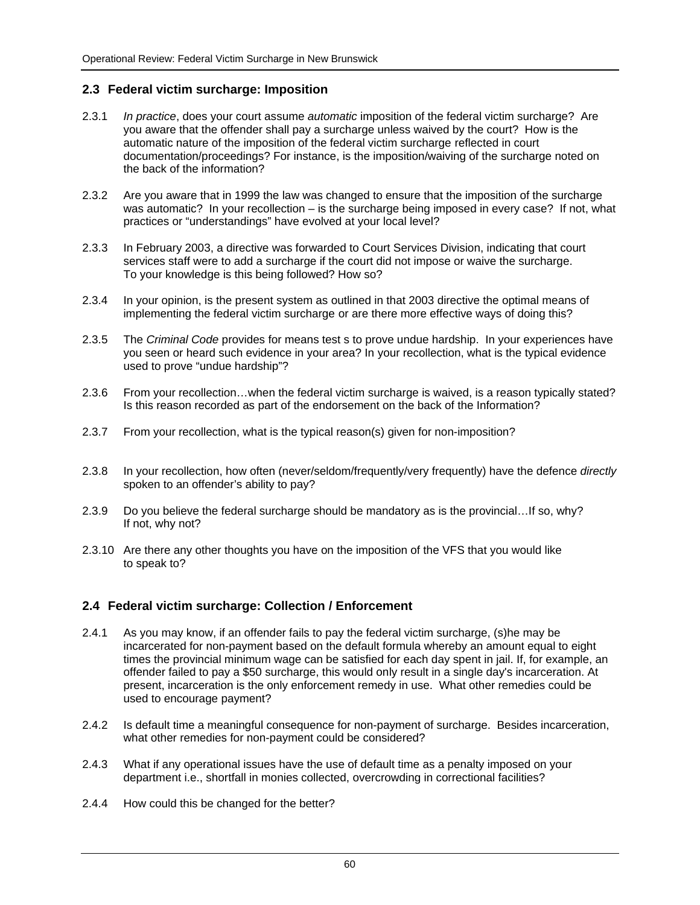#### **2.3 Federal victim surcharge: Imposition**

- 2.3.1 *In practice*, does your court assume *automatic* imposition of the federal victim surcharge? Are you aware that the offender shall pay a surcharge unless waived by the court? How is the automatic nature of the imposition of the federal victim surcharge reflected in court documentation/proceedings? For instance, is the imposition/waiving of the surcharge noted on the back of the information?
- 2.3.2 Are you aware that in 1999 the law was changed to ensure that the imposition of the surcharge was automatic? In your recollection – is the surcharge being imposed in every case? If not, what practices or "understandings" have evolved at your local level?
- 2.3.3 In February 2003, a directive was forwarded to Court Services Division, indicating that court services staff were to add a surcharge if the court did not impose or waive the surcharge. To your knowledge is this being followed? How so?
- 2.3.4 In your opinion, is the present system as outlined in that 2003 directive the optimal means of implementing the federal victim surcharge or are there more effective ways of doing this?
- 2.3.5 The *Criminal Code* provides for means test s to prove undue hardship. In your experiences have you seen or heard such evidence in your area? In your recollection, what is the typical evidence used to prove "undue hardship"?
- 2.3.6 From your recollection…when the federal victim surcharge is waived, is a reason typically stated? Is this reason recorded as part of the endorsement on the back of the Information?
- 2.3.7 From your recollection, what is the typical reason(s) given for non-imposition?
- 2.3.8 In your recollection, how often (never/seldom/frequently/very frequently) have the defence *directly* spoken to an offender's ability to pay?
- 2.3.9 Do you believe the federal surcharge should be mandatory as is the provincial…If so, why? If not, why not?
- 2.3.10 Are there any other thoughts you have on the imposition of the VFS that you would like to speak to?

#### **2.4 Federal victim surcharge: Collection / Enforcement**

- 2.4.1 As you may know, if an offender fails to pay the federal victim surcharge, (s)he may be incarcerated for non-payment based on the default formula whereby an amount equal to eight times the provincial minimum wage can be satisfied for each day spent in jail. If, for example, an offender failed to pay a \$50 surcharge, this would only result in a single day's incarceration. At present, incarceration is the only enforcement remedy in use. What other remedies could be used to encourage payment?
- 2.4.2 Is default time a meaningful consequence for non-payment of surcharge. Besides incarceration, what other remedies for non-payment could be considered?
- 2.4.3 What if any operational issues have the use of default time as a penalty imposed on your department i.e., shortfall in monies collected, overcrowding in correctional facilities?
- 2.4.4 How could this be changed for the better?